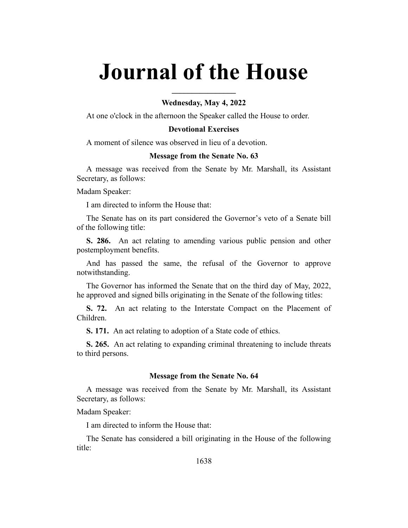# **Journal of the House**

## **Wednesday, May 4, 2022**

**\_\_\_\_\_\_\_\_\_\_\_\_\_\_\_\_**

At one o'clock in the afternoon the Speaker called the House to order.

## **Devotional Exercises**

A moment of silence was observed in lieu of a devotion.

#### **Message from the Senate No. 63**

A message was received from the Senate by Mr. Marshall, its Assistant Secretary, as follows:

Madam Speaker:

I am directed to inform the House that:

The Senate has on its part considered the Governor's veto of a Senate bill of the following title:

**S. 286.** An act relating to amending various public pension and other postemployment benefits.

And has passed the same, the refusal of the Governor to approve notwithstanding.

The Governor has informed the Senate that on the third day of May, 2022, he approved and signed bills originating in the Senate of the following titles:

**S. 72.** An act relating to the Interstate Compact on the Placement of Children.

**S. 171.** An act relating to adoption of a State code of ethics.

**S. 265.** An act relating to expanding criminal threatening to include threats to third persons.

#### **Message from the Senate No. 64**

A message was received from the Senate by Mr. Marshall, its Assistant Secretary, as follows:

Madam Speaker:

I am directed to inform the House that:

The Senate has considered a bill originating in the House of the following title: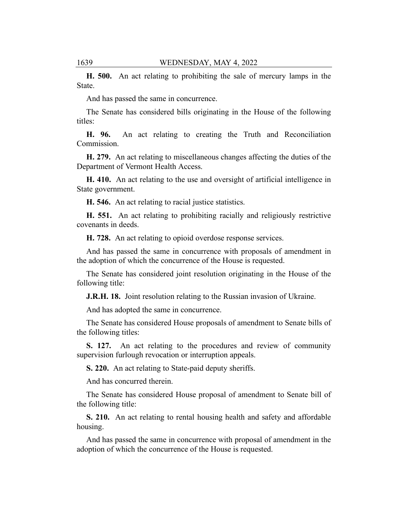**H. 500.** An act relating to prohibiting the sale of mercury lamps in the State.

And has passed the same in concurrence.

The Senate has considered bills originating in the House of the following titles:

**H. 96.** An act relating to creating the Truth and Reconciliation Commission.

**H. 279.** An act relating to miscellaneous changes affecting the duties of the Department of Vermont Health Access.

**H. 410.** An act relating to the use and oversight of artificial intelligence in State government.

**H. 546.** An act relating to racial justice statistics.

**H. 551.** An act relating to prohibiting racially and religiously restrictive covenants in deeds.

**H. 728.** An act relating to opioid overdose response services.

And has passed the same in concurrence with proposals of amendment in the adoption of which the concurrence of the House is requested.

The Senate has considered joint resolution originating in the House of the following title:

**J.R.H. 18.** Joint resolution relating to the Russian invasion of Ukraine.

And has adopted the same in concurrence.

The Senate has considered House proposals of amendment to Senate bills of the following titles:

**S. 127.** An act relating to the procedures and review of community supervision furlough revocation or interruption appeals.

**S. 220.** An act relating to State-paid deputy sheriffs.

And has concurred therein.

The Senate has considered House proposal of amendment to Senate bill of the following title:

**S. 210.** An act relating to rental housing health and safety and affordable housing.

And has passed the same in concurrence with proposal of amendment in the adoption of which the concurrence of the House is requested.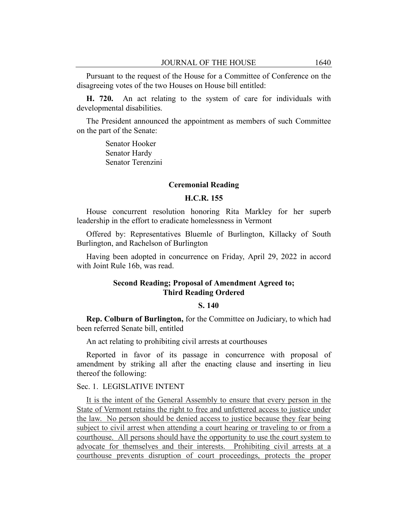Pursuant to the request of the House for a Committee of Conference on the disagreeing votes of the two Houses on House bill entitled:

**H. 720.** An act relating to the system of care for individuals with developmental disabilities.

The President announced the appointment as members of such Committee on the part of the Senate:

> Senator Hooker Senator Hardy Senator Terenzini

## **Ceremonial Reading**

## **H.C.R. 155**

House concurrent resolution honoring Rita Markley for her superb leadership in the effort to eradicate homelessness in Vermont

Offered by: Representatives Bluemle of Burlington, Killacky of South Burlington, and Rachelson of Burlington

Having been adopted in concurrence on Friday, April 29, 2022 in accord with Joint Rule 16b, was read.

## **Second Reading; Proposal of Amendment Agreed to; Third Reading Ordered**

## **S. 140**

**Rep. Colburn of Burlington,** for the Committee on Judiciary, to which had been referred Senate bill, entitled

An act relating to prohibiting civil arrests at courthouses

Reported in favor of its passage in concurrence with proposal of amendment by striking all after the enacting clause and inserting in lieu thereof the following:

## Sec. 1. LEGISLATIVE INTENT

It is the intent of the General Assembly to ensure that every person in the State of Vermont retains the right to free and unfettered access to justice under the law. No person should be denied access to justice because they fear being subject to civil arrest when attending a court hearing or traveling to or from a courthouse. All persons should have the opportunity to use the court system to advocate for themselves and their interests. Prohibiting civil arrests at a courthouse prevents disruption of court proceedings, protects the proper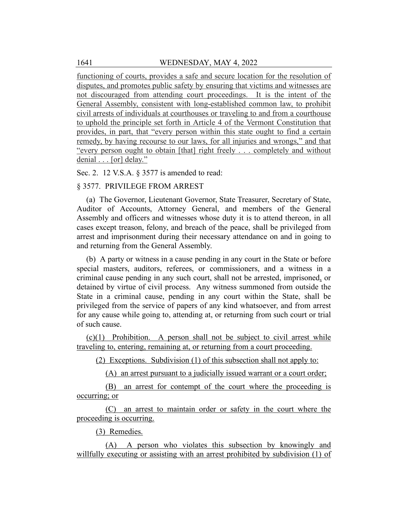functioning of courts, provides a safe and secure location for the resolution of disputes, and promotes public safety by ensuring that victims and witnesses are not discouraged from attending court proceedings. It is the intent of the General Assembly, consistent with long-established common law, to prohibit civil arrests of individuals at courthouses or traveling to and from a courthouse to uphold the principle set forth in Article 4 of the Vermont Constitution that provides, in part, that "every person within this state ought to find a certain remedy, by having recourse to our laws, for all injuries and wrongs," and that "every person ought to obtain [that] right freely . . . completely and without denial . . . [or] delay."

Sec. 2. 12 V.S.A. § 3577 is amended to read:

## § 3577. PRIVILEGE FROM ARREST

(a) The Governor, Lieutenant Governor, State Treasurer, Secretary of State, Auditor of Accounts, Attorney General, and members of the General Assembly and officers and witnesses whose duty it is to attend thereon, in all cases except treason, felony, and breach of the peace, shall be privileged from arrest and imprisonment during their necessary attendance on and in going to and returning from the General Assembly.

(b) A party or witness in a cause pending in any court in the State or before special masters, auditors, referees, or commissioners, and a witness in a criminal cause pending in any such court, shall not be arrested, imprisoned, or detained by virtue of civil process. Any witness summoned from outside the State in a criminal cause, pending in any court within the State, shall be privileged from the service of papers of any kind whatsoever, and from arrest for any cause while going to, attending at, or returning from such court or trial of such cause.

 $(c)(1)$  Prohibition. A person shall not be subject to civil arrest while traveling to, entering, remaining at, or returning from a court proceeding.

(2) Exceptions. Subdivision (1) of this subsection shall not apply to:

(A) an arrest pursuant to a judicially issued warrant or a court order;

(B) an arrest for contempt of the court where the proceeding is occurring; or

(C) an arrest to maintain order or safety in the court where the proceeding is occurring.

(3) Remedies.

(A) A person who violates this subsection by knowingly and willfully executing or assisting with an arrest prohibited by subdivision (1) of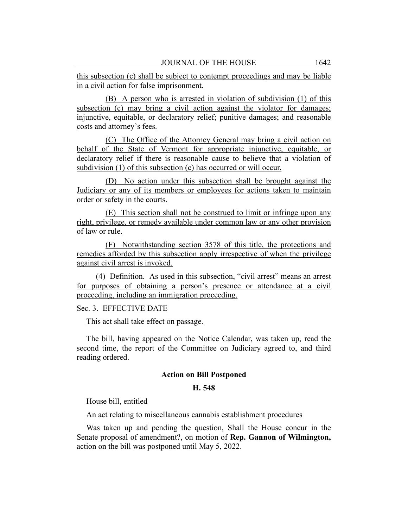this subsection (c) shall be subject to contempt proceedings and may be liable in a civil action for false imprisonment.

(B) A person who is arrested in violation of subdivision (1) of this subsection (c) may bring a civil action against the violator for damages; injunctive, equitable, or declaratory relief; punitive damages; and reasonable costs and attorney's fees.

(C) The Office of the Attorney General may bring a civil action on behalf of the State of Vermont for appropriate injunctive, equitable, or declaratory relief if there is reasonable cause to believe that a violation of subdivision (1) of this subsection (c) has occurred or will occur.

(D) No action under this subsection shall be brought against the Judiciary or any of its members or employees for actions taken to maintain order or safety in the courts.

(E) This section shall not be construed to limit or infringe upon any right, privilege, or remedy available under common law or any other provision of law or rule.

(F) Notwithstanding section 3578 of this title, the protections and remedies afforded by this subsection apply irrespective of when the privilege against civil arrest is invoked.

(4) Definition. As used in this subsection, "civil arrest" means an arrest for purposes of obtaining a person's presence or attendance at a civil proceeding, including an immigration proceeding.

Sec. 3. EFFECTIVE DATE

This act shall take effect on passage.

The bill, having appeared on the Notice Calendar, was taken up, read the second time, the report of the Committee on Judiciary agreed to, and third reading ordered.

#### **Action on Bill Postponed**

## **H. 548**

House bill, entitled

An act relating to miscellaneous cannabis establishment procedures

Was taken up and pending the question, Shall the House concur in the Senate proposal of amendment?, on motion of **Rep. Gannon of Wilmington,** action on the bill was postponed until May 5, 2022.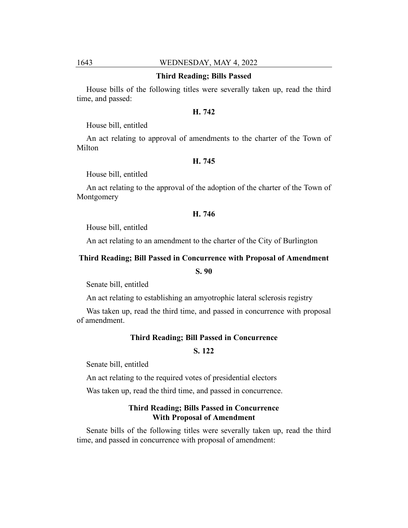# 1643 WEDNESDAY, MAY 4, 2022

#### **Third Reading; Bills Passed**

House bills of the following titles were severally taken up, read the third time, and passed:

#### **H. 742**

House bill, entitled

An act relating to approval of amendments to the charter of the Town of Milton

#### **H. 745**

House bill, entitled

An act relating to the approval of the adoption of the charter of the Town of Montgomery

## **H. 746**

House bill, entitled

An act relating to an amendment to the charter of the City of Burlington

## **Third Reading; Bill Passed in Concurrence with Proposal of Amendment**

**S. 90**

Senate bill, entitled

An act relating to establishing an amyotrophic lateral sclerosis registry

Was taken up, read the third time, and passed in concurrence with proposal of amendment.

## **Third Reading; Bill Passed in Concurrence**

## **S. 122**

Senate bill, entitled

An act relating to the required votes of presidential electors

Was taken up, read the third time, and passed in concurrence.

# **Third Reading; Bills Passed in Concurrence With Proposal of Amendment**

Senate bills of the following titles were severally taken up, read the third time, and passed in concurrence with proposal of amendment: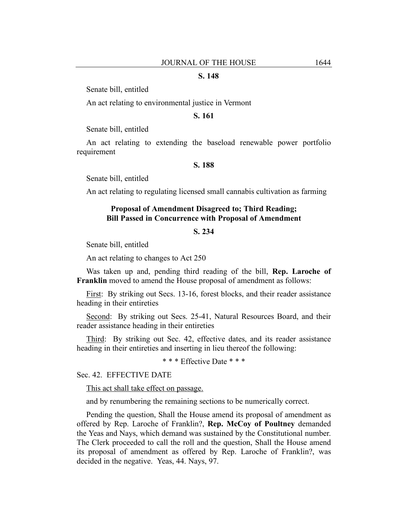## **S. 148**

Senate bill, entitled

An act relating to environmental justice in Vermont

## **S. 161**

Senate bill, entitled

An act relating to extending the baseload renewable power portfolio requirement

## **S. 188**

Senate bill, entitled

An act relating to regulating licensed small cannabis cultivation as farming

## **Proposal of Amendment Disagreed to; Third Reading; Bill Passed in Concurrence with Proposal of Amendment**

# **S. 234**

Senate bill, entitled

An act relating to changes to Act 250

Was taken up and, pending third reading of the bill, **Rep. Laroche of Franklin** moved to amend the House proposal of amendment as follows:

First: By striking out Secs. 13-16, forest blocks, and their reader assistance heading in their entireties

Second: By striking out Secs. 25-41, Natural Resources Board, and their reader assistance heading in their entireties

Third: By striking out Sec. 42, effective dates, and its reader assistance heading in their entireties and inserting in lieu thereof the following:

\* \* \* Effective Date \* \* \*

Sec. 42. EFFECTIVE DATE

This act shall take effect on passage.

and by renumbering the remaining sections to be numerically correct.

Pending the question, Shall the House amend its proposal of amendment as offered by Rep. Laroche of Franklin?, **Rep. McCoy of Poultney** demanded the Yeas and Nays, which demand was sustained by the Constitutional number. The Clerk proceeded to call the roll and the question, Shall the House amend its proposal of amendment as offered by Rep. Laroche of Franklin?, was decided in the negative. Yeas, 44. Nays, 97.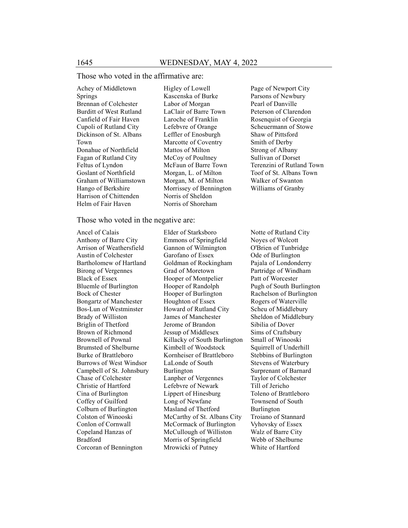## Those who voted in the affirmative are:

Achey of Middletown Springs Brennan of Colchester Burditt of West Rutland Canfield of Fair Haven Cupoli of Rutland City Dickinson of St. Albans Town Donahue of Northfield Fagan of Rutland City Feltus of Lyndon Goslant of Northfield Graham of Williamstown Hango of Berkshire Harrison of Chittenden Helm of Fair Haven

Higley of Lowell Kascenska of Burke Labor of Morgan LaClair of Barre Town Laroche of Franklin Lefebvre of Orange Leffler of Enosburgh Marcotte of Coventry Mattos of Milton McCoy of Poultney McFaun of Barre Town Morgan, L. of Milton Morgan, M. of Milton Morrissey of Bennington Norris of Sheldon Norris of Shoreham

Page of Newport City Parsons of Newbury Pearl of Danville Peterson of Clarendon Rosenquist of Georgia Scheuermann of Stowe Shaw of Pittsford Smith of Derby Strong of Albany Sullivan of Dorset Terenzini of Rutland Town Toof of St. Albans Town Walker of Swanton Williams of Granby

## Those who voted in the negative are:

Ancel of Calais Anthony of Barre City Arrison of Weathersfield Austin of Colchester Bartholomew of Hartland Birong of Vergennes Black of Essex Bluemle of Burlington Bock of Chester Bongartz of Manchester Bos-Lun of Westminster Brady of Williston Briglin of Thetford Brown of Richmond Brownell of Pownal Brumsted of Shelburne Burke of Brattleboro Burrows of West Windsor Campbell of St. Johnsbury Chase of Colchester Christie of Hartford Cina of Burlington Coffey of Guilford Colburn of Burlington Colston of Winooski Conlon of Cornwall Copeland Hanzas of Bradford Corcoran of Bennington

Elder of Starksboro Emmons of Springfield Gannon of Wilmington Garofano of Essex Goldman of Rockingham Grad of Moretown Hooper of Montpelier Hooper of Randolph Hooper of Burlington Houghton of Essex Howard of Rutland City James of Manchester Jerome of Brandon Jessup of Middlesex Killacky of South Burlington Kimbell of Woodstock Kornheiser of Brattleboro LaLonde of South Burlington Lanpher of Vergennes Lefebvre of Newark Lippert of Hinesburg Long of Newfane Masland of Thetford McCarthy of St. Albans City McCormack of Burlington McCullough of Williston Morris of Springfield Mrowicki of Putney

Notte of Rutland City Noyes of Wolcott O'Brien of Tunbridge Ode of Burlington Pajala of Londonderry Partridge of Windham Patt of Worcester Pugh of South Burlington Rachelson of Burlington Rogers of Waterville Scheu of Middlebury Sheldon of Middlebury Sibilia of Dover Sims of Craftsbury Small of Winooski Squirrell of Underhill Stebbins of Burlington Stevens of Waterbury Surprenant of Barnard Taylor of Colchester Till of Jericho Toleno of Brattleboro Townsend of South Burlington Troiano of Stannard Vyhovsky of Essex Walz of Barre City Webb of Shelburne White of Hartford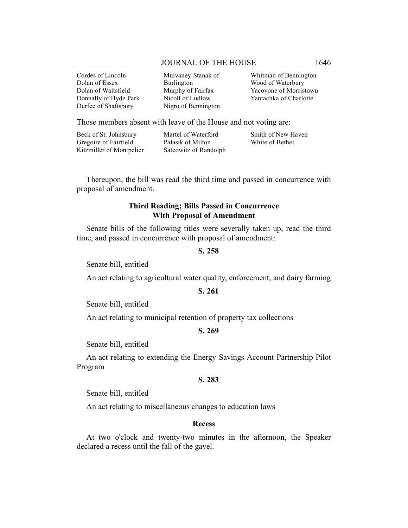## JOURNAL OF THE HOUSE 1646

Cordes of Lincoln Dolan of Essex Dolan of Waitsfield Donnally of Hyde Park Durfee of Shaftsbury

Mulvaney-Stanak of Burlington Murphy of Fairfax Nicoll of Ludlow Nigro of Bennington

Whitman of Bennington Wood of Waterbury Yacovone of Morristown Yantachka of Charlotte

Those members absent with leave of the House and not voting are:

| Beck of St. Johnsbury    | Martel of Waterford   | Smith of New Haven |
|--------------------------|-----------------------|--------------------|
| Gregoire of Fairfield    | Palasik of Milton     | White of Bethel    |
| Kitzmiller of Montpelier | Satcowitz of Randolph |                    |

Thereupon, the bill was read the third time and passed in concurrence with proposal of amendment.

# **Third Reading; Bills Passed in Concurrence With Proposal of Amendment**

Senate bills of the following titles were severally taken up, read the third time, and passed in concurrence with proposal of amendment:

## **S. 258**

Senate bill, entitled

An act relating to agricultural water quality, enforcement, and dairy farming

#### **S. 261**

Senate bill, entitled

An act relating to municipal retention of property tax collections

# **S. 269**

Senate bill, entitled

An act relating to extending the Energy Savings Account Partnership Pilot Program

#### **S. 283**

Senate bill, entitled

An act relating to miscellaneous changes to education laws

#### **Recess**

At two o'clock and twenty-two minutes in the afternoon, the Speaker declared a recess until the fall of the gavel.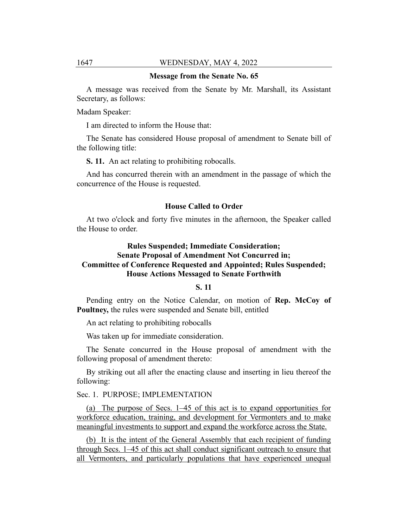#### **Message from the Senate No. 65**

A message was received from the Senate by Mr. Marshall, its Assistant Secretary, as follows:

Madam Speaker:

I am directed to inform the House that:

The Senate has considered House proposal of amendment to Senate bill of the following title:

**S. 11.** An act relating to prohibiting robocalls.

And has concurred therein with an amendment in the passage of which the concurrence of the House is requested.

## **House Called to Order**

At two o'clock and forty five minutes in the afternoon, the Speaker called the House to order.

# **Rules Suspended; Immediate Consideration; Senate Proposal of Amendment Not Concurred in; Committee of Conference Requested and Appointed; Rules Suspended; House Actions Messaged to Senate Forthwith**

## **S. 11**

Pending entry on the Notice Calendar, on motion of **Rep. McCoy of Poultney,** the rules were suspended and Senate bill, entitled

An act relating to prohibiting robocalls

Was taken up for immediate consideration.

The Senate concurred in the House proposal of amendment with the following proposal of amendment thereto:

By striking out all after the enacting clause and inserting in lieu thereof the following:

## Sec. 1. PURPOSE; IMPLEMENTATION

(a) The purpose of Secs. 1–45 of this act is to expand opportunities for workforce education, training, and development for Vermonters and to make meaningful investments to support and expand the workforce across the State.

(b) It is the intent of the General Assembly that each recipient of funding through Secs. 1–45 of this act shall conduct significant outreach to ensure that all Vermonters, and particularly populations that have experienced unequal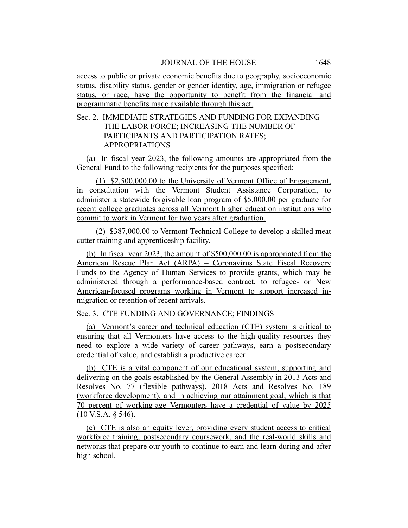access to public or private economic benefits due to geography, socioeconomic status, disability status, gender or gender identity, age, immigration or refugee status, or race, have the opportunity to benefit from the financial and programmatic benefits made available through this act.

# Sec. 2. IMMEDIATE STRATEGIES AND FUNDING FOR EXPANDING THE LABOR FORCE; INCREASING THE NUMBER OF PARTICIPANTS AND PARTICIPATION RATES; APPROPRIATIONS

(a) In fiscal year 2023, the following amounts are appropriated from the General Fund to the following recipients for the purposes specified:

(1) \$2,500,000.00 to the University of Vermont Office of Engagement, in consultation with the Vermont Student Assistance Corporation, to administer a statewide forgivable loan program of \$5,000.00 per graduate for recent college graduates across all Vermont higher education institutions who commit to work in Vermont for two years after graduation.

(2) \$387,000.00 to Vermont Technical College to develop a skilled meat cutter training and apprenticeship facility.

(b) In fiscal year 2023, the amount of \$500,000.00 is appropriated from the American Rescue Plan Act (ARPA) – Coronavirus State Fiscal Recovery Funds to the Agency of Human Services to provide grants, which may be administered through a performance-based contract, to refugee- or New American-focused programs working in Vermont to support increased inmigration or retention of recent arrivals.

Sec. 3. CTE FUNDING AND GOVERNANCE; FINDINGS

(a) Vermont's career and technical education (CTE) system is critical to ensuring that all Vermonters have access to the high-quality resources they need to explore a wide variety of career pathways, earn a postsecondary credential of value, and establish a productive career.

(b) CTE is a vital component of our educational system, supporting and delivering on the goals established by the General Assembly in 2013 Acts and Resolves No. 77 (flexible pathways), 2018 Acts and Resolves No. 189 (workforce development), and in achieving our attainment goal, which is that 70 percent of working-age Vermonters have a credential of value by 2025 (10 V.S.A. § 546).

(c) CTE is also an equity lever, providing every student access to critical workforce training, postsecondary coursework, and the real-world skills and networks that prepare our youth to continue to earn and learn during and after high school.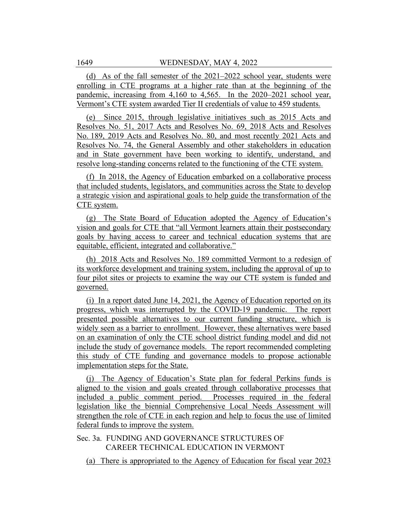(d) As of the fall semester of the 2021–2022 school year, students were enrolling in CTE programs at a higher rate than at the beginning of the pandemic, increasing from 4,160 to 4,565. In the 2020–2021 school year, Vermont's CTE system awarded Tier II credentials of value to 459 students.

(e) Since 2015, through legislative initiatives such as 2015 Acts and Resolves No. 51, 2017 Acts and Resolves No. 69, 2018 Acts and Resolves No. 189, 2019 Acts and Resolves No. 80, and most recently 2021 Acts and Resolves No. 74, the General Assembly and other stakeholders in education and in State government have been working to identify, understand, and resolve long-standing concerns related to the functioning of the CTE system.

(f) In 2018, the Agency of Education embarked on a collaborative process that included students, legislators, and communities across the State to develop a strategic vision and aspirational goals to help guide the transformation of the CTE system.

(g) The State Board of Education adopted the Agency of Education's vision and goals for CTE that "all Vermont learners attain their postsecondary goals by having access to career and technical education systems that are equitable, efficient, integrated and collaborative."

(h) 2018 Acts and Resolves No. 189 committed Vermont to a redesign of its workforce development and training system, including the approval of up to four pilot sites or projects to examine the way our CTE system is funded and governed.

(i) In a report dated June 14, 2021, the Agency of Education reported on its progress, which was interrupted by the COVID-19 pandemic. The report presented possible alternatives to our current funding structure, which is widely seen as a barrier to enrollment. However, these alternatives were based on an examination of only the CTE school district funding model and did not include the study of governance models. The report recommended completing this study of CTE funding and governance models to propose actionable implementation steps for the State.

(j) The Agency of Education's State plan for federal Perkins funds is aligned to the vision and goals created through collaborative processes that included a public comment period. Processes required in the federal legislation like the biennial Comprehensive Local Needs Assessment will strengthen the role of CTE in each region and help to focus the use of limited federal funds to improve the system.

# Sec. 3a. FUNDING AND GOVERNANCE STRUCTURES OF CAREER TECHNICAL EDUCATION IN VERMONT

(a) There is appropriated to the Agency of Education for fiscal year 2023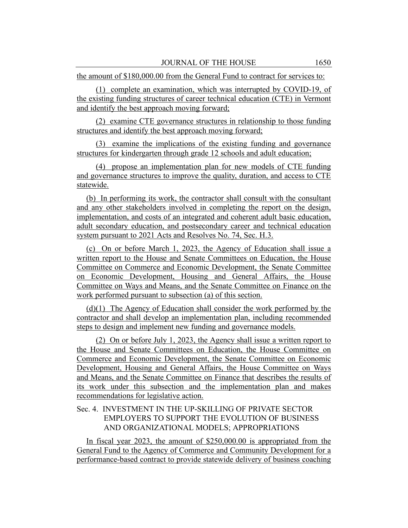the amount of \$180,000.00 from the General Fund to contract for services to:

(1) complete an examination, which was interrupted by COVID-19, of the existing funding structures of career technical education (CTE) in Vermont and identify the best approach moving forward;

(2) examine CTE governance structures in relationship to those funding structures and identify the best approach moving forward;

(3) examine the implications of the existing funding and governance structures for kindergarten through grade 12 schools and adult education;

(4) propose an implementation plan for new models of CTE funding and governance structures to improve the quality, duration, and access to CTE statewide.

(b) In performing its work, the contractor shall consult with the consultant and any other stakeholders involved in completing the report on the design, implementation, and costs of an integrated and coherent adult basic education, adult secondary education, and postsecondary career and technical education system pursuant to 2021 Acts and Resolves No. 74, Sec. H.3.

(c) On or before March 1, 2023, the Agency of Education shall issue a written report to the House and Senate Committees on Education, the House Committee on Commerce and Economic Development, the Senate Committee on Economic Development, Housing and General Affairs, the House Committee on Ways and Means, and the Senate Committee on Finance on the work performed pursuant to subsection (a) of this section.

(d)(1) The Agency of Education shall consider the work performed by the contractor and shall develop an implementation plan, including recommended steps to design and implement new funding and governance models.

(2) On or before July 1, 2023, the Agency shall issue a written report to the House and Senate Committees on Education, the House Committee on Commerce and Economic Development, the Senate Committee on Economic Development, Housing and General Affairs, the House Committee on Ways and Means, and the Senate Committee on Finance that describes the results of its work under this subsection and the implementation plan and makes recommendations for legislative action.

# Sec. 4. INVESTMENT IN THE UP-SKILLING OF PRIVATE SECTOR EMPLOYERS TO SUPPORT THE EVOLUTION OF BUSINESS AND ORGANIZATIONAL MODELS; APPROPRIATIONS

In fiscal year 2023, the amount of \$250,000.00 is appropriated from the General Fund to the Agency of Commerce and Community Development for a performance-based contract to provide statewide delivery of business coaching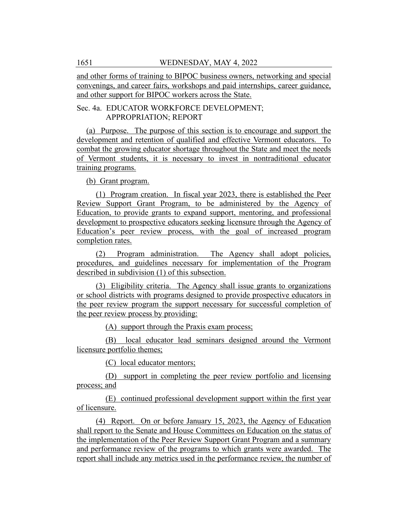and other forms of training to BIPOC business owners, networking and special convenings, and career fairs, workshops and paid internships, career guidance, and other support for BIPOC workers across the State.

## Sec. 4a. EDUCATOR WORKFORCE DEVELOPMENT; APPROPRIATION; REPORT

(a) Purpose. The purpose of this section is to encourage and support the development and retention of qualified and effective Vermont educators. To combat the growing educator shortage throughout the State and meet the needs of Vermont students, it is necessary to invest in nontraditional educator training programs.

(b) Grant program.

(1) Program creation. In fiscal year 2023, there is established the Peer Review Support Grant Program, to be administered by the Agency of Education, to provide grants to expand support, mentoring, and professional development to prospective educators seeking licensure through the Agency of Education's peer review process, with the goal of increased program completion rates.

(2) Program administration. The Agency shall adopt policies, procedures, and guidelines necessary for implementation of the Program described in subdivision (1) of this subsection.

(3) Eligibility criteria. The Agency shall issue grants to organizations or school districts with programs designed to provide prospective educators in the peer review program the support necessary for successful completion of the peer review process by providing:

(A) support through the Praxis exam process;

(B) local educator lead seminars designed around the Vermont licensure portfolio themes;

(C) local educator mentors;

(D) support in completing the peer review portfolio and licensing process; and

(E) continued professional development support within the first year of licensure.

(4) Report. On or before January 15, 2023, the Agency of Education shall report to the Senate and House Committees on Education on the status of the implementation of the Peer Review Support Grant Program and a summary and performance review of the programs to which grants were awarded. The report shall include any metrics used in the performance review, the number of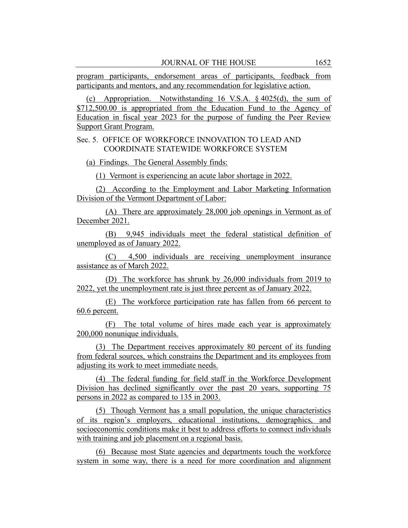program participants, endorsement areas of participants, feedback from participants and mentors, and any recommendation for legislative action.

(c) Appropriation. Notwithstanding 16 V.S.A. § 4025(d), the sum of \$712,500.00 is appropriated from the Education Fund to the Agency of Education in fiscal year 2023 for the purpose of funding the Peer Review Support Grant Program.

# Sec. 5. OFFICE OF WORKFORCE INNOVATION TO LEAD AND COORDINATE STATEWIDE WORKFORCE SYSTEM

(a) Findings. The General Assembly finds:

(1) Vermont is experiencing an acute labor shortage in 2022.

(2) According to the Employment and Labor Marketing Information Division of the Vermont Department of Labor:

(A) There are approximately 28,000 job openings in Vermont as of December 2021.

(B) 9,945 individuals meet the federal statistical definition of unemployed as of January 2022.

(C) 4,500 individuals are receiving unemployment insurance assistance as of March 2022.

(D) The workforce has shrunk by 26,000 individuals from 2019 to 2022, yet the unemployment rate is just three percent as of January 2022.

(E) The workforce participation rate has fallen from 66 percent to 60.6 percent.

(F) The total volume of hires made each year is approximately 200,000 nonunique individuals.

(3) The Department receives approximately 80 percent of its funding from federal sources, which constrains the Department and its employees from adjusting its work to meet immediate needs.

(4) The federal funding for field staff in the Workforce Development Division has declined significantly over the past 20 years, supporting 75 persons in 2022 as compared to 135 in 2003.

(5) Though Vermont has a small population, the unique characteristics of its region's employers, educational institutions, demographics, and socioeconomic conditions make it best to address efforts to connect individuals with training and job placement on a regional basis.

(6) Because most State agencies and departments touch the workforce system in some way, there is a need for more coordination and alignment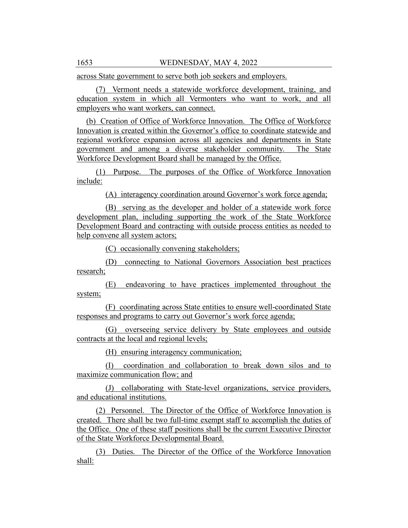across State government to serve both job seekers and employers.

(7) Vermont needs a statewide workforce development, training, and education system in which all Vermonters who want to work, and all employers who want workers, can connect.

(b) Creation of Office of Workforce Innovation. The Office of Workforce Innovation is created within the Governor's office to coordinate statewide and regional workforce expansion across all agencies and departments in State government and among a diverse stakeholder community. The State Workforce Development Board shall be managed by the Office.

(1) Purpose. The purposes of the Office of Workforce Innovation include:

(A) interagency coordination around Governor's work force agenda;

(B) serving as the developer and holder of a statewide work force development plan, including supporting the work of the State Workforce Development Board and contracting with outside process entities as needed to help convene all system actors;

(C) occasionally convening stakeholders;

(D) connecting to National Governors Association best practices research;

(E) endeavoring to have practices implemented throughout the system;

(F) coordinating across State entities to ensure well-coordinated State responses and programs to carry out Governor's work force agenda;

(G) overseeing service delivery by State employees and outside contracts at the local and regional levels;

(H) ensuring interagency communication;

(I) coordination and collaboration to break down silos and to maximize communication flow; and

(J) collaborating with State-level organizations, service providers, and educational institutions.

(2) Personnel. The Director of the Office of Workforce Innovation is created. There shall be two full-time exempt staff to accomplish the duties of the Office. One of these staff positions shall be the current Executive Director of the State Workforce Developmental Board.

(3) Duties. The Director of the Office of the Workforce Innovation shall: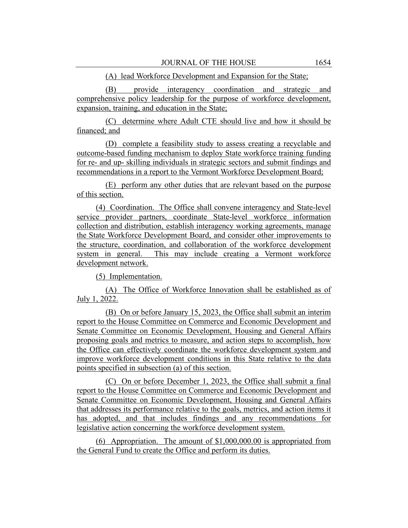## (A) lead Workforce Development and Expansion for the State;

(B) provide interagency coordination and strategic and comprehensive policy leadership for the purpose of workforce development, expansion, training, and education in the State;

(C) determine where Adult CTE should live and how it should be financed; and

(D) complete a feasibility study to assess creating a recyclable and outcome-based funding mechanism to deploy State workforce training funding for re- and up- skilling individuals in strategic sectors and submit findings and recommendations in a report to the Vermont Workforce Development Board;

(E) perform any other duties that are relevant based on the purpose of this section.

(4) Coordination. The Office shall convene interagency and State-level service provider partners, coordinate State-level workforce information collection and distribution, establish interagency working agreements, manage the State Workforce Development Board, and consider other improvements to the structure, coordination, and collaboration of the workforce development system in general. This may include creating a Vermont workforce development network.

(5) Implementation.

(A) The Office of Workforce Innovation shall be established as of July 1, 2022.

(B) On or before January 15, 2023, the Office shall submit an interim report to the House Committee on Commerce and Economic Development and Senate Committee on Economic Development, Housing and General Affairs proposing goals and metrics to measure, and action steps to accomplish, how the Office can effectively coordinate the workforce development system and improve workforce development conditions in this State relative to the data points specified in subsection (a) of this section.

(C) On or before December 1, 2023, the Office shall submit a final report to the House Committee on Commerce and Economic Development and Senate Committee on Economic Development, Housing and General Affairs that addresses its performance relative to the goals, metrics, and action items it has adopted, and that includes findings and any recommendations for legislative action concerning the workforce development system.

(6) Appropriation. The amount of \$1,000,000.00 is appropriated from the General Fund to create the Office and perform its duties.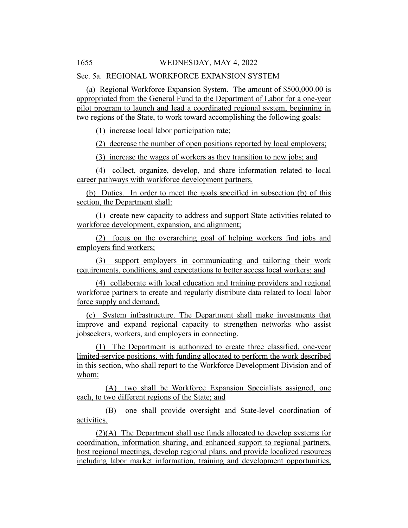Sec. 5a. REGIONAL WORKFORCE EXPANSION SYSTEM

(a) Regional Workforce Expansion System. The amount of \$500,000.00 is appropriated from the General Fund to the Department of Labor for a one-year pilot program to launch and lead a coordinated regional system, beginning in two regions of the State, to work toward accomplishing the following goals:

(1) increase local labor participation rate;

(2) decrease the number of open positions reported by local employers;

(3) increase the wages of workers as they transition to new jobs; and

(4) collect, organize, develop, and share information related to local career pathways with workforce development partners.

(b) Duties. In order to meet the goals specified in subsection (b) of this section, the Department shall:

(1) create new capacity to address and support State activities related to workforce development, expansion, and alignment;

(2) focus on the overarching goal of helping workers find jobs and employers find workers;

(3) support employers in communicating and tailoring their work requirements, conditions, and expectations to better access local workers; and

(4) collaborate with local education and training providers and regional workforce partners to create and regularly distribute data related to local labor force supply and demand.

(c) System infrastructure. The Department shall make investments that improve and expand regional capacity to strengthen networks who assist jobseekers, workers, and employers in connecting.

(1) The Department is authorized to create three classified, one-year limited-service positions, with funding allocated to perform the work described in this section, who shall report to the Workforce Development Division and of whom:

(A) two shall be Workforce Expansion Specialists assigned, one each, to two different regions of the State; and

(B) one shall provide oversight and State-level coordination of activities.

(2)(A) The Department shall use funds allocated to develop systems for coordination, information sharing, and enhanced support to regional partners, host regional meetings, develop regional plans, and provide localized resources including labor market information, training and development opportunities,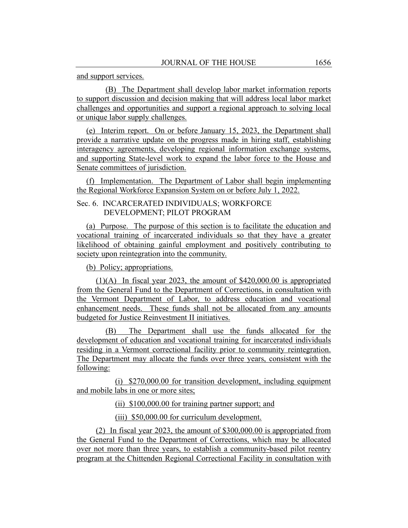and support services.

(B) The Department shall develop labor market information reports to support discussion and decision making that will address local labor market challenges and opportunities and support a regional approach to solving local or unique labor supply challenges.

(e) Interim report. On or before January 15, 2023, the Department shall provide a narrative update on the progress made in hiring staff, establishing interagency agreements, developing regional information exchange systems, and supporting State-level work to expand the labor force to the House and Senate committees of jurisdiction.

(f) Implementation. The Department of Labor shall begin implementing the Regional Workforce Expansion System on or before July 1, 2022.

Sec. 6. INCARCERATED INDIVIDUALS; WORKFORCE DEVELOPMENT; PILOT PROGRAM

(a) Purpose. The purpose of this section is to facilitate the education and vocational training of incarcerated individuals so that they have a greater likelihood of obtaining gainful employment and positively contributing to society upon reintegration into the community.

(b) Policy; appropriations.

(1)(A) In fiscal year 2023, the amount of \$420,000.00 is appropriated from the General Fund to the Department of Corrections, in consultation with the Vermont Department of Labor, to address education and vocational enhancement needs. These funds shall not be allocated from any amounts budgeted for Justice Reinvestment II initiatives.

(B) The Department shall use the funds allocated for the development of education and vocational training for incarcerated individuals residing in a Vermont correctional facility prior to community reintegration. The Department may allocate the funds over three years, consistent with the following:

(i) \$270,000.00 for transition development, including equipment and mobile labs in one or more sites;

(ii) \$100,000.00 for training partner support; and

(iii) \$50,000.00 for curriculum development.

(2) In fiscal year 2023, the amount of \$300,000.00 is appropriated from the General Fund to the Department of Corrections, which may be allocated over not more than three years, to establish a community-based pilot reentry program at the Chittenden Regional Correctional Facility in consultation with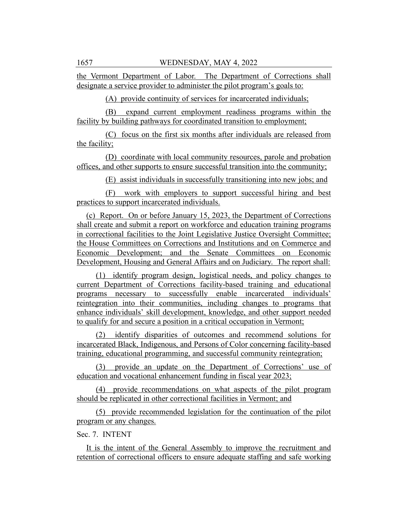the Vermont Department of Labor. The Department of Corrections shall designate a service provider to administer the pilot program's goals to:

(A) provide continuity of services for incarcerated individuals;

(B) expand current employment readiness programs within the facility by building pathways for coordinated transition to employment;

(C) focus on the first six months after individuals are released from the facility;

(D) coordinate with local community resources, parole and probation offices, and other supports to ensure successful transition into the community;

(E) assist individuals in successfully transitioning into new jobs; and

(F) work with employers to support successful hiring and best practices to support incarcerated individuals.

(c) Report. On or before January 15, 2023, the Department of Corrections shall create and submit a report on workforce and education training programs in correctional facilities to the Joint Legislative Justice Oversight Committee; the House Committees on Corrections and Institutions and on Commerce and Economic Development; and the Senate Committees on Economic Development, Housing and General Affairs and on Judiciary. The report shall:

(1) identify program design, logistical needs, and policy changes to current Department of Corrections facility-based training and educational programs necessary to successfully enable incarcerated individuals' reintegration into their communities, including changes to programs that enhance individuals' skill development, knowledge, and other support needed to qualify for and secure a position in a critical occupation in Vermont;

(2) identify disparities of outcomes and recommend solutions for incarcerated Black, Indigenous, and Persons of Color concerning facility-based training, educational programming, and successful community reintegration;

(3) provide an update on the Department of Corrections' use of education and vocational enhancement funding in fiscal year 2023;

(4) provide recommendations on what aspects of the pilot program should be replicated in other correctional facilities in Vermont; and

(5) provide recommended legislation for the continuation of the pilot program or any changes.

# Sec. 7. INTENT

It is the intent of the General Assembly to improve the recruitment and retention of correctional officers to ensure adequate staffing and safe working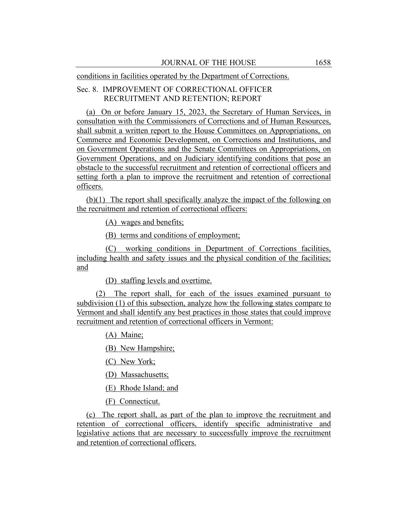conditions in facilities operated by the Department of Corrections.

# Sec. 8. IMPROVEMENT OF CORRECTIONAL OFFICER RECRUITMENT AND RETENTION; REPORT

(a) On or before January 15, 2023, the Secretary of Human Services, in consultation with the Commissioners of Corrections and of Human Resources, shall submit a written report to the House Committees on Appropriations, on Commerce and Economic Development, on Corrections and Institutions, and on Government Operations and the Senate Committees on Appropriations, on Government Operations, and on Judiciary identifying conditions that pose an obstacle to the successful recruitment and retention of correctional officers and setting forth a plan to improve the recruitment and retention of correctional officers.

(b)(1) The report shall specifically analyze the impact of the following on the recruitment and retention of correctional officers:

(A) wages and benefits;

(B) terms and conditions of employment;

(C) working conditions in Department of Corrections facilities, including health and safety issues and the physical condition of the facilities; and

(D) staffing levels and overtime.

(2) The report shall, for each of the issues examined pursuant to subdivision (1) of this subsection, analyze how the following states compare to Vermont and shall identify any best practices in those states that could improve recruitment and retention of correctional officers in Vermont:

(A) Maine;

(B) New Hampshire;

(C) New York;

(D) Massachusetts;

(E) Rhode Island; and

(F) Connecticut.

(c) The report shall, as part of the plan to improve the recruitment and retention of correctional officers, identify specific administrative and legislative actions that are necessary to successfully improve the recruitment and retention of correctional officers.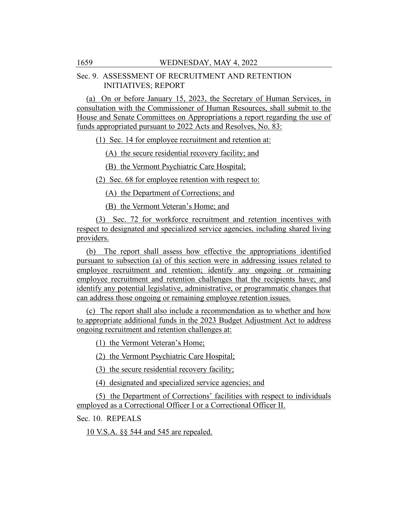## Sec. 9. ASSESSMENT OF RECRUITMENT AND RETENTION INITIATIVES; REPORT

(a) On or before January 15, 2023, the Secretary of Human Services, in consultation with the Commissioner of Human Resources, shall submit to the House and Senate Committees on Appropriations a report regarding the use of funds appropriated pursuant to 2022 Acts and Resolves, No. 83:

(1) Sec. 14 for employee recruitment and retention at:

(A) the secure residential recovery facility; and

(B) the Vermont Psychiatric Care Hospital;

(2) Sec. 68 for employee retention with respect to:

(A) the Department of Corrections; and

(B) the Vermont Veteran's Home; and

(3) Sec. 72 for workforce recruitment and retention incentives with respect to designated and specialized service agencies, including shared living providers.

(b) The report shall assess how effective the appropriations identified pursuant to subsection (a) of this section were in addressing issues related to employee recruitment and retention; identify any ongoing or remaining employee recruitment and retention challenges that the recipients have; and identify any potential legislative, administrative, or programmatic changes that can address those ongoing or remaining employee retention issues.

(c) The report shall also include a recommendation as to whether and how to appropriate additional funds in the 2023 Budget Adjustment Act to address ongoing recruitment and retention challenges at:

(1) the Vermont Veteran's Home;

(2) the Vermont Psychiatric Care Hospital;

(3) the secure residential recovery facility;

(4) designated and specialized service agencies; and

(5) the Department of Corrections' facilities with respect to individuals employed as a Correctional Officer I or a Correctional Officer II.

Sec. 10. REPEALS

10 V.S.A. §§ 544 and 545 are repealed.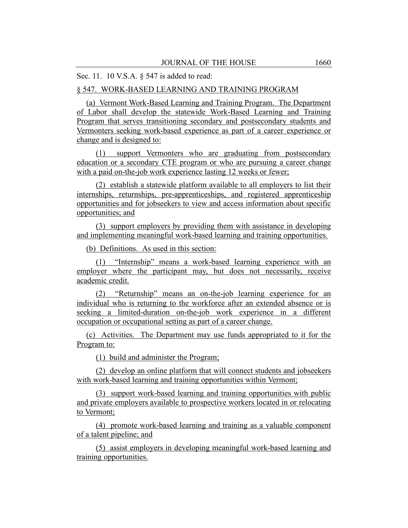## Sec. 11. 10 V.S.A. § 547 is added to read:

## § 547. WORK-BASED LEARNING AND TRAINING PROGRAM

(a) Vermont Work-Based Learning and Training Program. The Department of Labor shall develop the statewide Work-Based Learning and Training Program that serves transitioning secondary and postsecondary students and Vermonters seeking work-based experience as part of a career experience or change and is designed to:

(1) support Vermonters who are graduating from postsecondary education or a secondary CTE program or who are pursuing a career change with a paid on-the-job work experience lasting 12 weeks or fewer;

(2) establish a statewide platform available to all employers to list their internships, returnships, pre-apprenticeships, and registered apprenticeship opportunities and for jobseekers to view and access information about specific opportunities; and

(3) support employers by providing them with assistance in developing and implementing meaningful work-based learning and training opportunities.

(b) Definitions. As used in this section:

(1) "Internship" means a work-based learning experience with an employer where the participant may, but does not necessarily, receive academic credit.

(2) "Returnship" means an on-the-job learning experience for an individual who is returning to the workforce after an extended absence or is seeking a limited-duration on-the-job work experience in a different occupation or occupational setting as part of a career change.

(c) Activities. The Department may use funds appropriated to it for the Program to:

(1) build and administer the Program;

(2) develop an online platform that will connect students and jobseekers with work-based learning and training opportunities within Vermont;

(3) support work-based learning and training opportunities with public and private employers available to prospective workers located in or relocating to Vermont;

(4) promote work-based learning and training as a valuable component of a talent pipeline; and

(5) assist employers in developing meaningful work-based learning and training opportunities.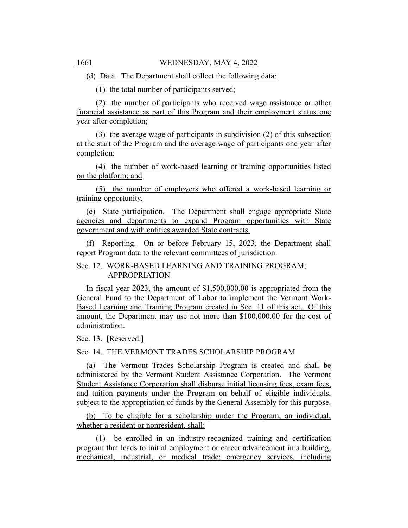(d) Data. The Department shall collect the following data:

(1) the total number of participants served;

(2) the number of participants who received wage assistance or other financial assistance as part of this Program and their employment status one year after completion;

(3) the average wage of participants in subdivision (2) of this subsection at the start of the Program and the average wage of participants one year after completion;

(4) the number of work-based learning or training opportunities listed on the platform; and

(5) the number of employers who offered a work-based learning or training opportunity.

(e) State participation. The Department shall engage appropriate State agencies and departments to expand Program opportunities with State government and with entities awarded State contracts.

(f) Reporting. On or before February 15, 2023, the Department shall report Program data to the relevant committees of jurisdiction.

Sec. 12. WORK-BASED LEARNING AND TRAINING PROGRAM; APPROPRIATION

In fiscal year 2023, the amount of \$1,500,000.00 is appropriated from the General Fund to the Department of Labor to implement the Vermont Work-Based Learning and Training Program created in Sec. 11 of this act. Of this amount, the Department may use not more than \$100,000.00 for the cost of administration.

Sec. 13. [Reserved.]

Sec. 14. THE VERMONT TRADES SCHOLARSHIP PROGRAM

(a) The Vermont Trades Scholarship Program is created and shall be administered by the Vermont Student Assistance Corporation. The Vermont Student Assistance Corporation shall disburse initial licensing fees, exam fees, and tuition payments under the Program on behalf of eligible individuals, subject to the appropriation of funds by the General Assembly for this purpose.

(b) To be eligible for a scholarship under the Program, an individual, whether a resident or nonresident, shall:

(1) be enrolled in an industry-recognized training and certification program that leads to initial employment or career advancement in a building, mechanical, industrial, or medical trade; emergency services, including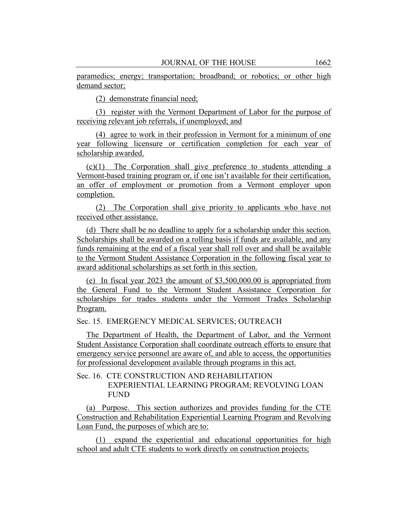paramedics; energy; transportation; broadband; or robotics; or other high demand sector;

(2) demonstrate financial need;

(3) register with the Vermont Department of Labor for the purpose of receiving relevant job referrals, if unemployed; and

(4) agree to work in their profession in Vermont for a minimum of one year following licensure or certification completion for each year of scholarship awarded.

(c)(1) The Corporation shall give preference to students attending a Vermont-based training program or, if one isn't available for their certification, an offer of employment or promotion from a Vermont employer upon completion.

(2) The Corporation shall give priority to applicants who have not received other assistance.

(d) There shall be no deadline to apply for a scholarship under this section. Scholarships shall be awarded on a rolling basis if funds are available, and any funds remaining at the end of a fiscal year shall roll over and shall be available to the Vermont Student Assistance Corporation in the following fiscal year to award additional scholarships as set forth in this section.

(e) In fiscal year 2023 the amount of \$3,500,000.00 is appropriated from the General Fund to the Vermont Student Assistance Corporation for scholarships for trades students under the Vermont Trades Scholarship Program.

Sec. 15. EMERGENCY MEDICAL SERVICES; OUTREACH

The Department of Health, the Department of Labor, and the Vermont Student Assistance Corporation shall coordinate outreach efforts to ensure that emergency service personnel are aware of, and able to access, the opportunities for professional development available through programs in this act.

# Sec. 16. CTE CONSTRUCTION AND REHABILITATION EXPERIENTIAL LEARNING PROGRAM; REVOLVING LOAN FUND

(a) Purpose. This section authorizes and provides funding for the CTE Construction and Rehabilitation Experiential Learning Program and Revolving Loan Fund, the purposes of which are to:

(1) expand the experiential and educational opportunities for high school and adult CTE students to work directly on construction projects;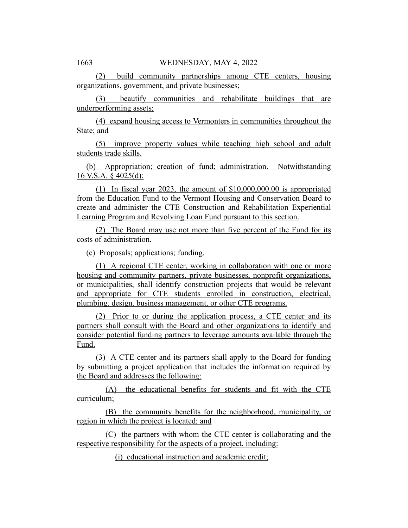(2) build community partnerships among CTE centers, housing organizations, government, and private businesses;

(3) beautify communities and rehabilitate buildings that are underperforming assets;

(4) expand housing access to Vermonters in communities throughout the State; and

(5) improve property values while teaching high school and adult students trade skills.

(b) Appropriation; creation of fund; administration. Notwithstanding 16 V.S.A. § 4025(d):

(1) In fiscal year 2023, the amount of \$10,000,000.00 is appropriated from the Education Fund to the Vermont Housing and Conservation Board to create and administer the CTE Construction and Rehabilitation Experiential Learning Program and Revolving Loan Fund pursuant to this section.

(2) The Board may use not more than five percent of the Fund for its costs of administration.

(c) Proposals; applications; funding.

(1) A regional CTE center, working in collaboration with one or more housing and community partners, private businesses, nonprofit organizations, or municipalities, shall identify construction projects that would be relevant and appropriate for CTE students enrolled in construction, electrical, plumbing, design, business management, or other CTE programs.

(2) Prior to or during the application process, a CTE center and its partners shall consult with the Board and other organizations to identify and consider potential funding partners to leverage amounts available through the Fund.

(3) A CTE center and its partners shall apply to the Board for funding by submitting a project application that includes the information required by the Board and addresses the following:

(A) the educational benefits for students and fit with the CTE curriculum;

(B) the community benefits for the neighborhood, municipality, or region in which the project is located; and

(C) the partners with whom the CTE center is collaborating and the respective responsibility for the aspects of a project, including:

(i) educational instruction and academic credit;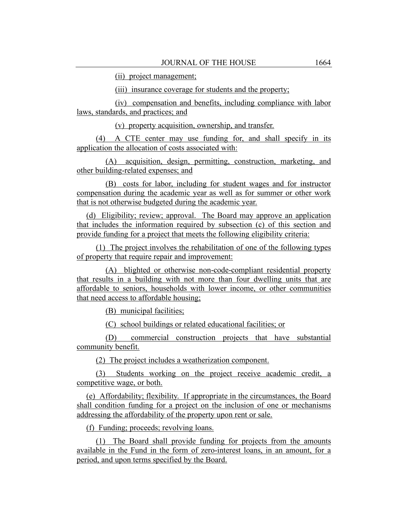(ii) project management;

(iii) insurance coverage for students and the property;

(iv) compensation and benefits, including compliance with labor laws, standards, and practices; and

(v) property acquisition, ownership, and transfer.

(4) A CTE center may use funding for, and shall specify in its application the allocation of costs associated with:

(A) acquisition, design, permitting, construction, marketing, and other building-related expenses; and

(B) costs for labor, including for student wages and for instructor compensation during the academic year as well as for summer or other work that is not otherwise budgeted during the academic year.

(d) Eligibility; review; approval. The Board may approve an application that includes the information required by subsection (c) of this section and provide funding for a project that meets the following eligibility criteria:

(1) The project involves the rehabilitation of one of the following types of property that require repair and improvement:

(A) blighted or otherwise non-code-compliant residential property that results in a building with not more than four dwelling units that are affordable to seniors, households with lower income, or other communities that need access to affordable housing;

(B) municipal facilities;

(C) school buildings or related educational facilities; or

(D) commercial construction projects that have substantial community benefit.

(2) The project includes a weatherization component.

(3) Students working on the project receive academic credit, a competitive wage, or both.

(e) Affordability; flexibility. If appropriate in the circumstances, the Board shall condition funding for a project on the inclusion of one or mechanisms addressing the affordability of the property upon rent or sale.

(f) Funding; proceeds; revolving loans.

(1) The Board shall provide funding for projects from the amounts available in the Fund in the form of zero-interest loans, in an amount, for a period, and upon terms specified by the Board.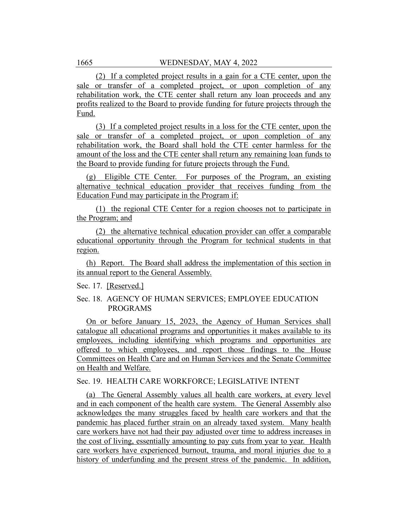(2) If a completed project results in a gain for a CTE center, upon the sale or transfer of a completed project, or upon completion of any rehabilitation work, the CTE center shall return any loan proceeds and any profits realized to the Board to provide funding for future projects through the Fund.

(3) If a completed project results in a loss for the CTE center, upon the sale or transfer of a completed project, or upon completion of any rehabilitation work, the Board shall hold the CTE center harmless for the amount of the loss and the CTE center shall return any remaining loan funds to the Board to provide funding for future projects through the Fund.

(g) Eligible CTE Center. For purposes of the Program, an existing alternative technical education provider that receives funding from the Education Fund may participate in the Program if:

(1) the regional CTE Center for a region chooses not to participate in the Program; and

(2) the alternative technical education provider can offer a comparable educational opportunity through the Program for technical students in that region.

(h) Report. The Board shall address the implementation of this section in its annual report to the General Assembly.

Sec. 17. [Reserved.]

# Sec. 18. AGENCY OF HUMAN SERVICES; EMPLOYEE EDUCATION PROGRAMS

On or before January 15, 2023, the Agency of Human Services shall catalogue all educational programs and opportunities it makes available to its employees, including identifying which programs and opportunities are offered to which employees, and report those findings to the House Committees on Health Care and on Human Services and the Senate Committee on Health and Welfare.

Sec. 19. HEALTH CARE WORKFORCE; LEGISLATIVE INTENT

(a) The General Assembly values all health care workers, at every level and in each component of the health care system. The General Assembly also acknowledges the many struggles faced by health care workers and that the pandemic has placed further strain on an already taxed system. Many health care workers have not had their pay adjusted over time to address increases in the cost of living, essentially amounting to pay cuts from year to year. Health care workers have experienced burnout, trauma, and moral injuries due to a history of underfunding and the present stress of the pandemic. In addition,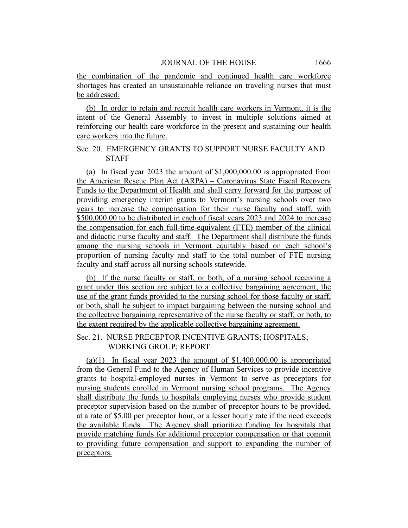the combination of the pandemic and continued health care workforce shortages has created an unsustainable reliance on traveling nurses that must be addressed.

(b) In order to retain and recruit health care workers in Vermont, it is the intent of the General Assembly to invest in multiple solutions aimed at reinforcing our health care workforce in the present and sustaining our health care workers into the future.

# Sec. 20. EMERGENCY GRANTS TO SUPPORT NURSE FACULTY AND **STAFF**

(a) In fiscal year 2023 the amount of \$1,000,000.00 is appropriated from the American Rescue Plan Act (ARPA) – Coronavirus State Fiscal Recovery Funds to the Department of Health and shall carry forward for the purpose of providing emergency interim grants to Vermont's nursing schools over two years to increase the compensation for their nurse faculty and staff, with \$500,000.00 to be distributed in each of fiscal years 2023 and 2024 to increase the compensation for each full-time-equivalent (FTE) member of the clinical and didactic nurse faculty and staff. The Department shall distribute the funds among the nursing schools in Vermont equitably based on each school's proportion of nursing faculty and staff to the total number of FTE nursing faculty and staff across all nursing schools statewide.

(b) If the nurse faculty or staff, or both, of a nursing school receiving a grant under this section are subject to a collective bargaining agreement, the use of the grant funds provided to the nursing school for those faculty or staff, or both, shall be subject to impact bargaining between the nursing school and the collective bargaining representative of the nurse faculty or staff, or both, to the extent required by the applicable collective bargaining agreement.

# Sec. 21. NURSE PRECEPTOR INCENTIVE GRANTS; HOSPITALS; WORKING GROUP; REPORT

(a)(1) In fiscal year 2023 the amount of  $$1,400,000.00$  is appropriated from the General Fund to the Agency of Human Services to provide incentive grants to hospital-employed nurses in Vermont to serve as preceptors for nursing students enrolled in Vermont nursing school programs. The Agency shall distribute the funds to hospitals employing nurses who provide student preceptor supervision based on the number of preceptor hours to be provided, at a rate of \$5.00 per preceptor hour, or a lesser hourly rate if the need exceeds the available funds. The Agency shall prioritize funding for hospitals that provide matching funds for additional preceptor compensation or that commit to providing future compensation and support to expanding the number of preceptors.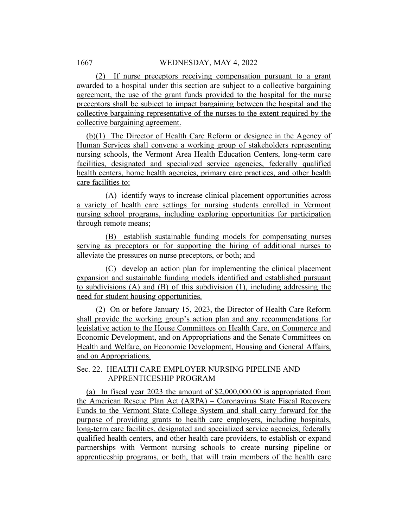(2) If nurse preceptors receiving compensation pursuant to a grant awarded to a hospital under this section are subject to a collective bargaining agreement, the use of the grant funds provided to the hospital for the nurse preceptors shall be subject to impact bargaining between the hospital and the collective bargaining representative of the nurses to the extent required by the collective bargaining agreement.

(b)(1) The Director of Health Care Reform or designee in the Agency of Human Services shall convene a working group of stakeholders representing nursing schools, the Vermont Area Health Education Centers, long-term care facilities, designated and specialized service agencies, federally qualified health centers, home health agencies, primary care practices, and other health care facilities to:

(A) identify ways to increase clinical placement opportunities across a variety of health care settings for nursing students enrolled in Vermont nursing school programs, including exploring opportunities for participation through remote means;

(B) establish sustainable funding models for compensating nurses serving as preceptors or for supporting the hiring of additional nurses to alleviate the pressures on nurse preceptors, or both; and

(C) develop an action plan for implementing the clinical placement expansion and sustainable funding models identified and established pursuant to subdivisions (A) and (B) of this subdivision (1), including addressing the need for student housing opportunities.

(2) On or before January 15, 2023, the Director of Health Care Reform shall provide the working group's action plan and any recommendations for legislative action to the House Committees on Health Care, on Commerce and Economic Development, and on Appropriations and the Senate Committees on Health and Welfare, on Economic Development, Housing and General Affairs, and on Appropriations.

# Sec. 22. HEALTH CARE EMPLOYER NURSING PIPELINE AND APPRENTICESHIP PROGRAM

(a) In fiscal year 2023 the amount of \$2,000,000.00 is appropriated from the American Rescue Plan Act (ARPA) – Coronavirus State Fiscal Recovery Funds to the Vermont State College System and shall carry forward for the purpose of providing grants to health care employers, including hospitals, long-term care facilities, designated and specialized service agencies, federally qualified health centers, and other health care providers, to establish or expand partnerships with Vermont nursing schools to create nursing pipeline or apprenticeship programs, or both, that will train members of the health care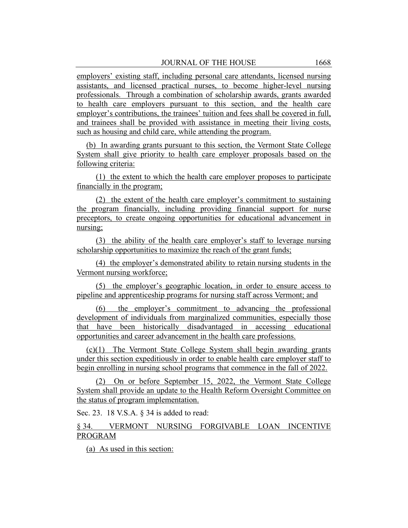employers' existing staff, including personal care attendants, licensed nursing assistants, and licensed practical nurses, to become higher-level nursing professionals. Through a combination of scholarship awards, grants awarded to health care employers pursuant to this section, and the health care employer's contributions, the trainees' tuition and fees shall be covered in full, and trainees shall be provided with assistance in meeting their living costs, such as housing and child care, while attending the program.

(b) In awarding grants pursuant to this section, the Vermont State College System shall give priority to health care employer proposals based on the following criteria:

(1) the extent to which the health care employer proposes to participate financially in the program;

(2) the extent of the health care employer's commitment to sustaining the program financially, including providing financial support for nurse preceptors, to create ongoing opportunities for educational advancement in nursing;

(3) the ability of the health care employer's staff to leverage nursing scholarship opportunities to maximize the reach of the grant funds;

(4) the employer's demonstrated ability to retain nursing students in the Vermont nursing workforce;

(5) the employer's geographic location, in order to ensure access to pipeline and apprenticeship programs for nursing staff across Vermont; and

(6) the employer's commitment to advancing the professional development of individuals from marginalized communities, especially those that have been historically disadvantaged in accessing educational opportunities and career advancement in the health care professions.

(c)(1) The Vermont State College System shall begin awarding grants under this section expeditiously in order to enable health care employer staff to begin enrolling in nursing school programs that commence in the fall of 2022.

(2) On or before September 15, 2022, the Vermont State College System shall provide an update to the Health Reform Oversight Committee on the status of program implementation.

Sec. 23. 18 V.S.A. § 34 is added to read:

# § 34. VERMONT NURSING FORGIVABLE LOAN INCENTIVE PROGRAM

(a) As used in this section: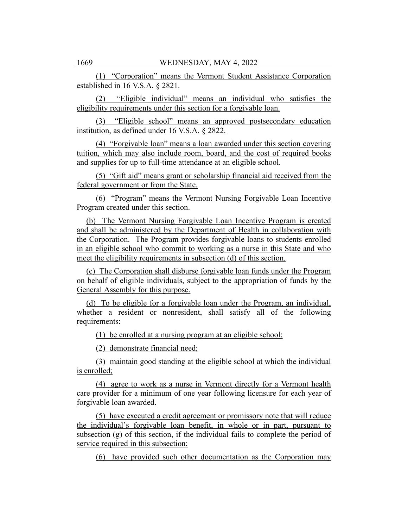(1) "Corporation" means the Vermont Student Assistance Corporation established in 16 V.S.A. § 2821.

(2) "Eligible individual" means an individual who satisfies the eligibility requirements under this section for a forgivable loan.

(3) "Eligible school" means an approved postsecondary education institution, as defined under 16 V.S.A. § 2822.

(4) "Forgivable loan" means a loan awarded under this section covering tuition, which may also include room, board, and the cost of required books and supplies for up to full-time attendance at an eligible school.

(5) "Gift aid" means grant or scholarship financial aid received from the federal government or from the State.

(6) "Program" means the Vermont Nursing Forgivable Loan Incentive Program created under this section.

(b) The Vermont Nursing Forgivable Loan Incentive Program is created and shall be administered by the Department of Health in collaboration with the Corporation. The Program provides forgivable loans to students enrolled in an eligible school who commit to working as a nurse in this State and who meet the eligibility requirements in subsection (d) of this section.

(c) The Corporation shall disburse forgivable loan funds under the Program on behalf of eligible individuals, subject to the appropriation of funds by the General Assembly for this purpose.

(d) To be eligible for a forgivable loan under the Program, an individual, whether a resident or nonresident, shall satisfy all of the following requirements:

(1) be enrolled at a nursing program at an eligible school;

(2) demonstrate financial need;

(3) maintain good standing at the eligible school at which the individual is enrolled;

(4) agree to work as a nurse in Vermont directly for a Vermont health care provider for a minimum of one year following licensure for each year of forgivable loan awarded.

(5) have executed a credit agreement or promissory note that will reduce the individual's forgivable loan benefit, in whole or in part, pursuant to subsection (g) of this section, if the individual fails to complete the period of service required in this subsection;

(6) have provided such other documentation as the Corporation may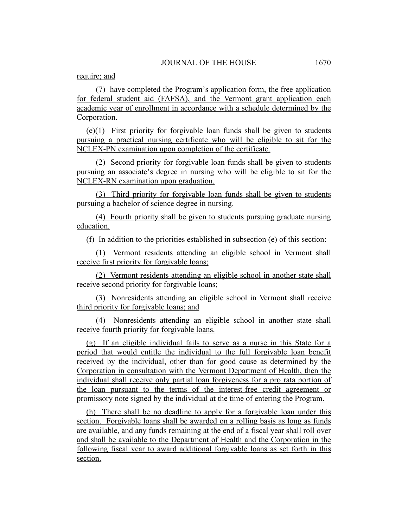## require; and

(7) have completed the Program's application form, the free application for federal student aid (FAFSA), and the Vermont grant application each academic year of enrollment in accordance with a schedule determined by the Corporation.

(e)(1) First priority for forgivable loan funds shall be given to students pursuing a practical nursing certificate who will be eligible to sit for the NCLEX-PN examination upon completion of the certificate.

(2) Second priority for forgivable loan funds shall be given to students pursuing an associate's degree in nursing who will be eligible to sit for the NCLEX-RN examination upon graduation.

(3) Third priority for forgivable loan funds shall be given to students pursuing a bachelor of science degree in nursing.

(4) Fourth priority shall be given to students pursuing graduate nursing education.

(f) In addition to the priorities established in subsection (e) of this section:

(1) Vermont residents attending an eligible school in Vermont shall receive first priority for forgivable loans;

(2) Vermont residents attending an eligible school in another state shall receive second priority for forgivable loans;

(3) Nonresidents attending an eligible school in Vermont shall receive third priority for forgivable loans; and

(4) Nonresidents attending an eligible school in another state shall receive fourth priority for forgivable loans.

(g) If an eligible individual fails to serve as a nurse in this State for a period that would entitle the individual to the full forgivable loan benefit received by the individual, other than for good cause as determined by the Corporation in consultation with the Vermont Department of Health, then the individual shall receive only partial loan forgiveness for a pro rata portion of the loan pursuant to the terms of the interest-free credit agreement or promissory note signed by the individual at the time of entering the Program.

(h) There shall be no deadline to apply for a forgivable loan under this section. Forgivable loans shall be awarded on a rolling basis as long as funds are available, and any funds remaining at the end of a fiscal year shall roll over and shall be available to the Department of Health and the Corporation in the following fiscal year to award additional forgivable loans as set forth in this section.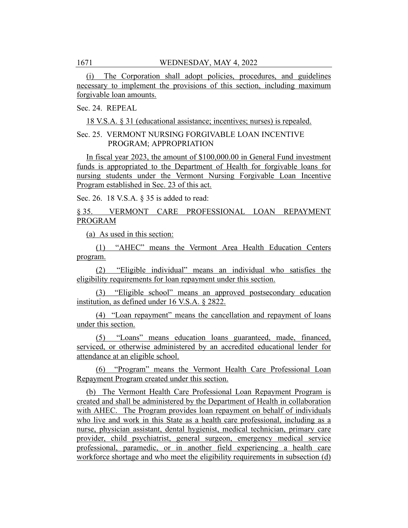(i) The Corporation shall adopt policies, procedures, and guidelines necessary to implement the provisions of this section, including maximum forgivable loan amounts.

# Sec. 24. REPEAL

18 V.S.A. § 31 (educational assistance; incentives; nurses) is repealed.

# Sec. 25. VERMONT NURSING FORGIVABLE LOAN INCENTIVE PROGRAM; APPROPRIATION

In fiscal year 2023, the amount of \$100,000.00 in General Fund investment funds is appropriated to the Department of Health for forgivable loans for nursing students under the Vermont Nursing Forgivable Loan Incentive Program established in Sec. 23 of this act.

Sec. 26. 18 V.S.A. § 35 is added to read:

§ 35. VERMONT CARE PROFESSIONAL LOAN REPAYMENT PROGRAM

(a) As used in this section:

(1) "AHEC" means the Vermont Area Health Education Centers program.

(2) "Eligible individual" means an individual who satisfies the eligibility requirements for loan repayment under this section.

(3) "Eligible school" means an approved postsecondary education institution, as defined under 16 V.S.A. § 2822.

(4) "Loan repayment" means the cancellation and repayment of loans under this section.

(5) "Loans" means education loans guaranteed, made, financed, serviced, or otherwise administered by an accredited educational lender for attendance at an eligible school.

"Program" means the Vermont Health Care Professional Loan Repayment Program created under this section.

(b) The Vermont Health Care Professional Loan Repayment Program is created and shall be administered by the Department of Health in collaboration with AHEC. The Program provides loan repayment on behalf of individuals who live and work in this State as a health care professional, including as a nurse, physician assistant, dental hygienist, medical technician, primary care provider, child psychiatrist, general surgeon, emergency medical service professional, paramedic, or in another field experiencing a health care workforce shortage and who meet the eligibility requirements in subsection (d)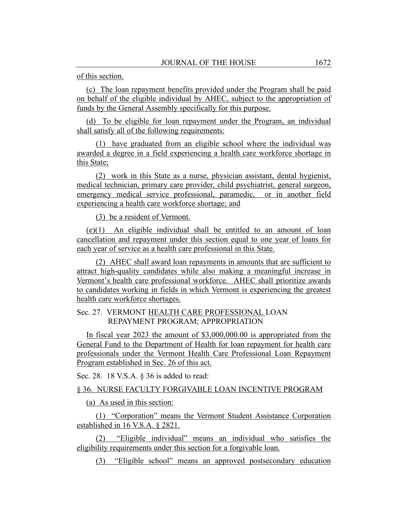of this section.

(c) The loan repayment benefits provided under the Program shall be paid on behalf of the eligible individual by AHEC, subject to the appropriation of funds by the General Assembly specifically for this purpose.

(d) To be eligible for loan repayment under the Program, an individual shall satisfy all of the following requirements:

(1) have graduated from an eligible school where the individual was awarded a degree in a field experiencing a health care workforce shortage in this State;

(2) work in this State as a nurse, physician assistant, dental hygienist, medical technician, primary care provider, child psychiatrist, general surgeon, emergency medical service professional, paramedic, or in another field experiencing a health care workforce shortage; and

(3) be a resident of Vermont.

(e)(1) An eligible individual shall be entitled to an amount of loan cancellation and repayment under this section equal to one year of loans for each year of service as a health care professional in this State.

(2) AHEC shall award loan repayments in amounts that are sufficient to attract high-quality candidates while also making a meaningful increase in Vermont's health care professional workforce. AHEC shall prioritize awards to candidates working in fields in which Vermont is experiencing the greatest health care workforce shortages.

# Sec. 27. VERMONT HEALTH CARE PROFESSIONAL LOAN REPAYMENT PROGRAM; APPROPRIATION

In fiscal year 2023 the amount of \$3,000,000.00 is appropriated from the General Fund to the Department of Health for loan repayment for health care professionals under the Vermont Health Care Professional Loan Repayment Program established in Sec. 26 of this act.

Sec. 28. 18 V.S.A. § 36 is added to read:

## § 36. NURSE FACULTY FORGIVABLE LOAN INCENTIVE PROGRAM

(a) As used in this section:

(1) "Corporation" means the Vermont Student Assistance Corporation established in 16 V.S.A. § 2821.

(2) "Eligible individual" means an individual who satisfies the eligibility requirements under this section for a forgivable loan.

(3) "Eligible school" means an approved postsecondary education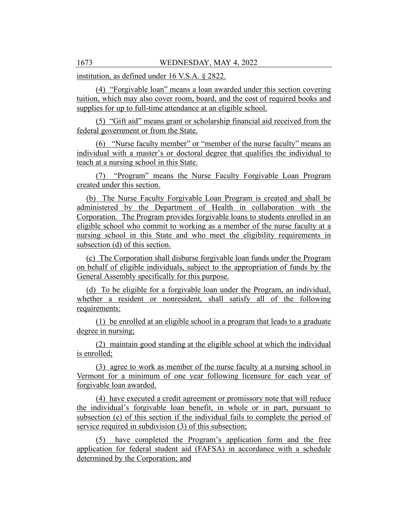institution, as defined under 16 V.S.A. § 2822.

(4) "Forgivable loan" means a loan awarded under this section covering tuition, which may also cover room, board, and the cost of required books and supplies for up to full-time attendance at an eligible school.

(5) "Gift aid" means grant or scholarship financial aid received from the federal government or from the State.

(6) "Nurse faculty member" or "member of the nurse faculty" means an individual with a master's or doctoral degree that qualifies the individual to teach at a nursing school in this State.

(7) "Program" means the Nurse Faculty Forgivable Loan Program created under this section.

(b) The Nurse Faculty Forgivable Loan Program is created and shall be administered by the Department of Health in collaboration with the Corporation. The Program provides forgivable loans to students enrolled in an eligible school who commit to working as a member of the nurse faculty at a nursing school in this State and who meet the eligibility requirements in subsection (d) of this section.

(c) The Corporation shall disburse forgivable loan funds under the Program on behalf of eligible individuals, subject to the appropriation of funds by the General Assembly specifically for this purpose.

(d) To be eligible for a forgivable loan under the Program, an individual, whether a resident or nonresident, shall satisfy all of the following requirements:

(1) be enrolled at an eligible school in a program that leads to a graduate degree in nursing;

(2) maintain good standing at the eligible school at which the individual is enrolled;

(3) agree to work as member of the nurse faculty at a nursing school in Vermont for a minimum of one year following licensure for each year of forgivable loan awarded.

(4) have executed a credit agreement or promissory note that will reduce the individual's forgivable loan benefit, in whole or in part, pursuant to subsection (e) of this section if the individual fails to complete the period of service required in subdivision (3) of this subsection;

(5) have completed the Program's application form and the free application for federal student aid (FAFSA) in accordance with a schedule determined by the Corporation; and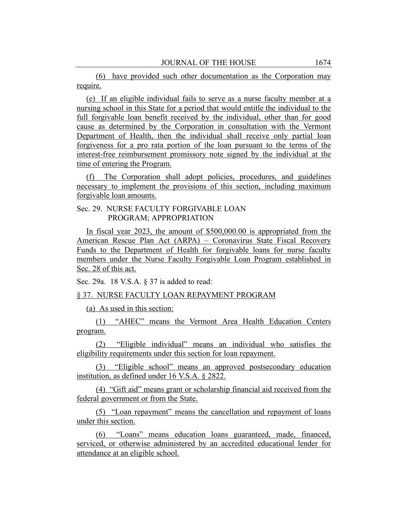(6) have provided such other documentation as the Corporation may require.

(e) If an eligible individual fails to serve as a nurse faculty member at a nursing school in this State for a period that would entitle the individual to the full forgivable loan benefit received by the individual, other than for good cause as determined by the Corporation in consultation with the Vermont Department of Health, then the individual shall receive only partial loan forgiveness for a pro rata portion of the loan pursuant to the terms of the interest-free reimbursement promissory note signed by the individual at the time of entering the Program.

(f) The Corporation shall adopt policies, procedures, and guidelines necessary to implement the provisions of this section, including maximum forgivable loan amounts.

Sec. 29. NURSE FACULTY FORGIVABLE LOAN PROGRAM; APPROPRIATION

In fiscal year 2023, the amount of \$500,000.00 is appropriated from the American Rescue Plan Act (ARPA) – Coronavirus State Fiscal Recovery Funds to the Department of Health for forgivable loans for nurse faculty members under the Nurse Faculty Forgivable Loan Program established in Sec. 28 of this act.

Sec. 29a. 18 V.S.A. § 37 is added to read:

### § 37. NURSE FACULTY LOAN REPAYMENT PROGRAM

(a) As used in this section:

(1) "AHEC" means the Vermont Area Health Education Centers program.

(2) "Eligible individual" means an individual who satisfies the eligibility requirements under this section for loan repayment.

(3) "Eligible school" means an approved postsecondary education institution, as defined under 16 V.S.A. § 2822.

(4) "Gift aid" means grant or scholarship financial aid received from the federal government or from the State.

(5) "Loan repayment" means the cancellation and repayment of loans under this section.

(6) "Loans" means education loans guaranteed, made, financed, serviced, or otherwise administered by an accredited educational lender for attendance at an eligible school.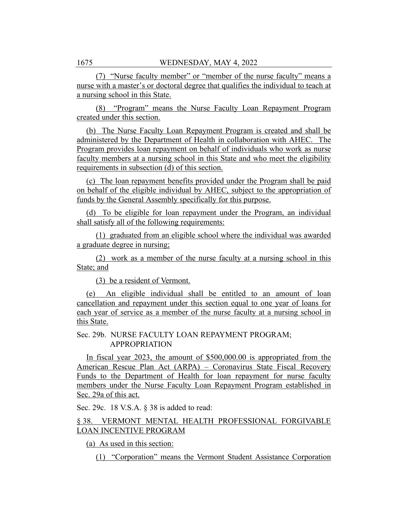(7) "Nurse faculty member" or "member of the nurse faculty" means a nurse with a master's or doctoral degree that qualifies the individual to teach at a nursing school in this State.

(8) "Program" means the Nurse Faculty Loan Repayment Program created under this section.

(b) The Nurse Faculty Loan Repayment Program is created and shall be administered by the Department of Health in collaboration with AHEC. The Program provides loan repayment on behalf of individuals who work as nurse faculty members at a nursing school in this State and who meet the eligibility requirements in subsection (d) of this section.

(c) The loan repayment benefits provided under the Program shall be paid on behalf of the eligible individual by AHEC, subject to the appropriation of funds by the General Assembly specifically for this purpose.

(d) To be eligible for loan repayment under the Program, an individual shall satisfy all of the following requirements:

(1) graduated from an eligible school where the individual was awarded a graduate degree in nursing;

(2) work as a member of the nurse faculty at a nursing school in this State; and

(3) be a resident of Vermont.

(e) An eligible individual shall be entitled to an amount of loan cancellation and repayment under this section equal to one year of loans for each year of service as a member of the nurse faculty at a nursing school in this State.

Sec. 29b. NURSE FACULTY LOAN REPAYMENT PROGRAM; APPROPRIATION

In fiscal year 2023, the amount of \$500,000.00 is appropriated from the American Rescue Plan Act (ARPA) – Coronavirus State Fiscal Recovery Funds to the Department of Health for loan repayment for nurse faculty members under the Nurse Faculty Loan Repayment Program established in Sec. 29a of this act.

Sec. 29c. 18 V.S.A. § 38 is added to read:

## § 38. VERMONT MENTAL HEALTH PROFESSIONAL FORGIVABLE LOAN INCENTIVE PROGRAM

(a) As used in this section:

(1) "Corporation" means the Vermont Student Assistance Corporation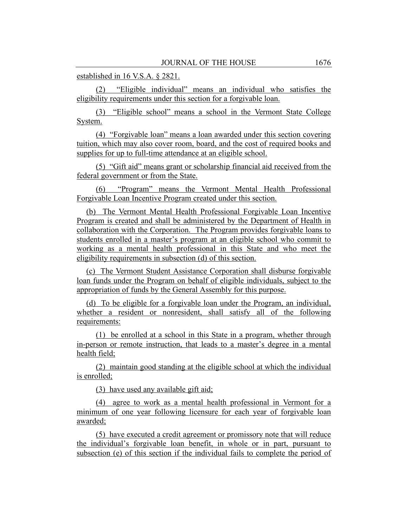established in 16 V.S.A. § 2821.

(2) "Eligible individual" means an individual who satisfies the eligibility requirements under this section for a forgivable loan.

(3) "Eligible school" means a school in the Vermont State College System.

(4) "Forgivable loan" means a loan awarded under this section covering tuition, which may also cover room, board, and the cost of required books and supplies for up to full-time attendance at an eligible school.

(5) "Gift aid" means grant or scholarship financial aid received from the federal government or from the State.

(6) "Program" means the Vermont Mental Health Professional Forgivable Loan Incentive Program created under this section.

(b) The Vermont Mental Health Professional Forgivable Loan Incentive Program is created and shall be administered by the Department of Health in collaboration with the Corporation. The Program provides forgivable loans to students enrolled in a master's program at an eligible school who commit to working as a mental health professional in this State and who meet the eligibility requirements in subsection (d) of this section.

(c) The Vermont Student Assistance Corporation shall disburse forgivable loan funds under the Program on behalf of eligible individuals, subject to the appropriation of funds by the General Assembly for this purpose.

(d) To be eligible for a forgivable loan under the Program, an individual, whether a resident or nonresident, shall satisfy all of the following requirements:

(1) be enrolled at a school in this State in a program, whether through in-person or remote instruction, that leads to a master's degree in a mental health field;

(2) maintain good standing at the eligible school at which the individual is enrolled;

(3) have used any available gift aid;

(4) agree to work as a mental health professional in Vermont for a minimum of one year following licensure for each year of forgivable loan awarded;

(5) have executed a credit agreement or promissory note that will reduce the individual's forgivable loan benefit, in whole or in part, pursuant to subsection (e) of this section if the individual fails to complete the period of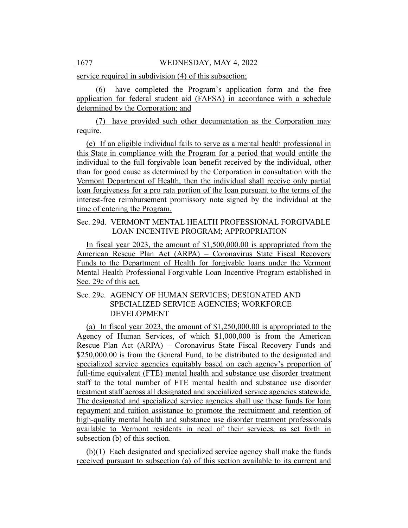service required in subdivision (4) of this subsection;

(6) have completed the Program's application form and the free application for federal student aid (FAFSA) in accordance with a schedule determined by the Corporation; and

(7) have provided such other documentation as the Corporation may require.

(e) If an eligible individual fails to serve as a mental health professional in this State in compliance with the Program for a period that would entitle the individual to the full forgivable loan benefit received by the individual, other than for good cause as determined by the Corporation in consultation with the Vermont Department of Health, then the individual shall receive only partial loan forgiveness for a pro rata portion of the loan pursuant to the terms of the interest-free reimbursement promissory note signed by the individual at the time of entering the Program.

## Sec. 29d. VERMONT MENTAL HEALTH PROFESSIONAL FORGIVABLE LOAN INCENTIVE PROGRAM; APPROPRIATION

In fiscal year 2023, the amount of \$1,500,000.00 is appropriated from the American Rescue Plan Act (ARPA) – Coronavirus State Fiscal Recovery Funds to the Department of Health for forgivable loans under the Vermont Mental Health Professional Forgivable Loan Incentive Program established in Sec. 29c of this act.

## Sec. 29e. AGENCY OF HUMAN SERVICES; DESIGNATED AND SPECIALIZED SERVICE AGENCIES; WORKFORCE DEVELOPMENT

(a) In fiscal year 2023, the amount of \$1,250,000.00 is appropriated to the Agency of Human Services, of which \$1,000,000 is from the American Rescue Plan Act (ARPA) – Coronavirus State Fiscal Recovery Funds and \$250,000.00 is from the General Fund, to be distributed to the designated and specialized service agencies equitably based on each agency's proportion of full-time equivalent (FTE) mental health and substance use disorder treatment staff to the total number of FTE mental health and substance use disorder treatment staff across all designated and specialized service agencies statewide. The designated and specialized service agencies shall use these funds for loan repayment and tuition assistance to promote the recruitment and retention of high-quality mental health and substance use disorder treatment professionals available to Vermont residents in need of their services, as set forth in subsection (b) of this section.

(b)(1) Each designated and specialized service agency shall make the funds received pursuant to subsection (a) of this section available to its current and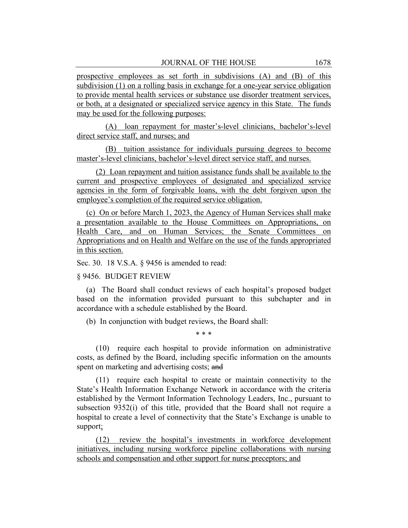prospective employees as set forth in subdivisions (A) and (B) of this subdivision (1) on a rolling basis in exchange for a one-year service obligation to provide mental health services or substance use disorder treatment services, or both, at a designated or specialized service agency in this State. The funds may be used for the following purposes:

(A) loan repayment for master's-level clinicians, bachelor's-level direct service staff, and nurses; and

(B) tuition assistance for individuals pursuing degrees to become master's-level clinicians, bachelor's-level direct service staff, and nurses.

(2) Loan repayment and tuition assistance funds shall be available to the current and prospective employees of designated and specialized service agencies in the form of forgivable loans, with the debt forgiven upon the employee's completion of the required service obligation.

(c) On or before March 1, 2023, the Agency of Human Services shall make a presentation available to the House Committees on Appropriations, on Health Care, and on Human Services; the Senate Committees on Appropriations and on Health and Welfare on the use of the funds appropriated in this section.

Sec. 30. 18 V.S.A. § 9456 is amended to read:

#### § 9456. BUDGET REVIEW

(a) The Board shall conduct reviews of each hospital's proposed budget based on the information provided pursuant to this subchapter and in accordance with a schedule established by the Board.

(b) In conjunction with budget reviews, the Board shall:

\* \* \*

(10) require each hospital to provide information on administrative costs, as defined by the Board, including specific information on the amounts spent on marketing and advertising costs; and

(11) require each hospital to create or maintain connectivity to the State's Health Information Exchange Network in accordance with the criteria established by the Vermont Information Technology Leaders, Inc., pursuant to subsection 9352(i) of this title, provided that the Board shall not require a hospital to create a level of connectivity that the State's Exchange is unable to support;

(12) review the hospital's investments in workforce development initiatives, including nursing workforce pipeline collaborations with nursing schools and compensation and other support for nurse preceptors; and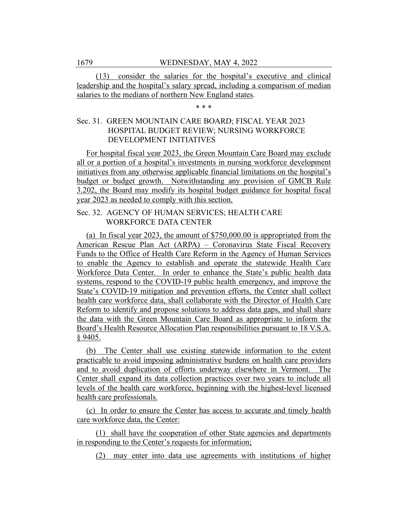(13) consider the salaries for the hospital's executive and clinical leadership and the hospital's salary spread, including a comparison of median salaries to the medians of northern New England states.

\* \* \*

# Sec. 31. GREEN MOUNTAIN CARE BOARD; FISCAL YEAR 2023 HOSPITAL BUDGET REVIEW; NURSING WORKFORCE DEVELOPMENT INITIATIVES

For hospital fiscal year 2023, the Green Mountain Care Board may exclude all or a portion of a hospital's investments in nursing workforce development initiatives from any otherwise applicable financial limitations on the hospital's budget or budget growth. Notwithstanding any provision of GMCB Rule 3.202, the Board may modify its hospital budget guidance for hospital fiscal year 2023 as needed to comply with this section.

## Sec. 32. AGENCY OF HUMAN SERVICES; HEALTH CARE WORKFORCE DATA CENTER

(a) In fiscal year 2023, the amount of \$750,000.00 is appropriated from the American Rescue Plan Act (ARPA) – Coronavirus State Fiscal Recovery Funds to the Office of Health Care Reform in the Agency of Human Services to enable the Agency to establish and operate the statewide Health Care Workforce Data Center. In order to enhance the State's public health data systems, respond to the COVID-19 public health emergency, and improve the State's COVID-19 mitigation and prevention efforts, the Center shall collect health care workforce data, shall collaborate with the Director of Health Care Reform to identify and propose solutions to address data gaps, and shall share the data with the Green Mountain Care Board as appropriate to inform the Board's Health Resource Allocation Plan responsibilities pursuant to 18 V.S.A. § 9405.

(b) The Center shall use existing statewide information to the extent practicable to avoid imposing administrative burdens on health care providers and to avoid duplication of efforts underway elsewhere in Vermont. The Center shall expand its data collection practices over two years to include all levels of the health care workforce, beginning with the highest-level licensed health care professionals.

(c) In order to ensure the Center has access to accurate and timely health care workforce data, the Center:

(1) shall have the cooperation of other State agencies and departments in responding to the Center's requests for information;

(2) may enter into data use agreements with institutions of higher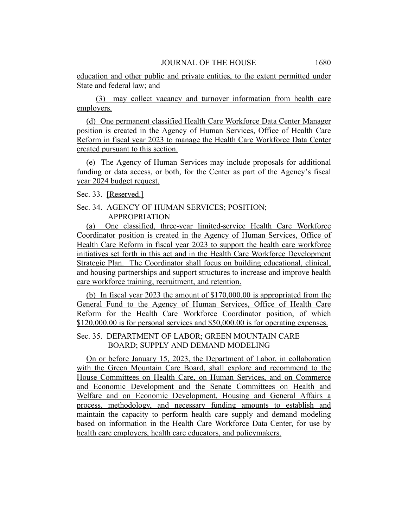education and other public and private entities, to the extent permitted under State and federal law; and

(3) may collect vacancy and turnover information from health care employers.

(d) One permanent classified Health Care Workforce Data Center Manager position is created in the Agency of Human Services, Office of Health Care Reform in fiscal year 2023 to manage the Health Care Workforce Data Center created pursuant to this section.

(e) The Agency of Human Services may include proposals for additional funding or data access, or both, for the Center as part of the Agency's fiscal year 2024 budget request.

Sec. 33. [Reserved.]

## Sec. 34. AGENCY OF HUMAN SERVICES; POSITION; APPROPRIATION

(a) One classified, three-year limited-service Health Care Workforce Coordinator position is created in the Agency of Human Services, Office of Health Care Reform in fiscal year 2023 to support the health care workforce initiatives set forth in this act and in the Health Care Workforce Development Strategic Plan. The Coordinator shall focus on building educational, clinical, and housing partnerships and support structures to increase and improve health care workforce training, recruitment, and retention.

(b) In fiscal year 2023 the amount of \$170,000.00 is appropriated from the General Fund to the Agency of Human Services, Office of Health Care Reform for the Health Care Workforce Coordinator position, of which \$120,000.00 is for personal services and \$50,000.00 is for operating expenses.

## Sec. 35. DEPARTMENT OF LABOR; GREEN MOUNTAIN CARE BOARD; SUPPLY AND DEMAND MODELING

On or before January 15, 2023, the Department of Labor, in collaboration with the Green Mountain Care Board, shall explore and recommend to the House Committees on Health Care, on Human Services, and on Commerce and Economic Development and the Senate Committees on Health and Welfare and on Economic Development, Housing and General Affairs a process, methodology, and necessary funding amounts to establish and maintain the capacity to perform health care supply and demand modeling based on information in the Health Care Workforce Data Center, for use by health care employers, health care educators, and policymakers.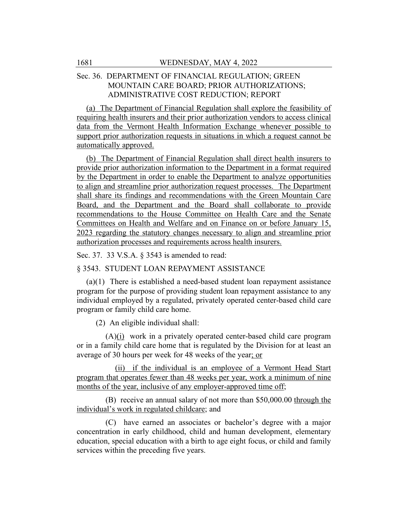# Sec. 36. DEPARTMENT OF FINANCIAL REGULATION; GREEN MOUNTAIN CARE BOARD; PRIOR AUTHORIZATIONS; ADMINISTRATIVE COST REDUCTION; REPORT

(a) The Department of Financial Regulation shall explore the feasibility of requiring health insurers and their prior authorization vendors to access clinical data from the Vermont Health Information Exchange whenever possible to support prior authorization requests in situations in which a request cannot be automatically approved.

(b) The Department of Financial Regulation shall direct health insurers to provide prior authorization information to the Department in a format required by the Department in order to enable the Department to analyze opportunities to align and streamline prior authorization request processes. The Department shall share its findings and recommendations with the Green Mountain Care Board, and the Department and the Board shall collaborate to provide recommendations to the House Committee on Health Care and the Senate Committees on Health and Welfare and on Finance on or before January 15, 2023 regarding the statutory changes necessary to align and streamline prior authorization processes and requirements across health insurers.

Sec. 37. 33 V.S.A. § 3543 is amended to read:

§ 3543. STUDENT LOAN REPAYMENT ASSISTANCE

(a)(1) There is established a need-based student loan repayment assistance program for the purpose of providing student loan repayment assistance to any individual employed by a regulated, privately operated center-based child care program or family child care home.

(2) An eligible individual shall:

(A)(i) work in a privately operated center-based child care program or in a family child care home that is regulated by the Division for at least an average of 30 hours per week for 48 weeks of the year; or

(ii) if the individual is an employee of a Vermont Head Start program that operates fewer than 48 weeks per year, work a minimum of nine months of the year, inclusive of any employer-approved time off;

(B) receive an annual salary of not more than \$50,000.00 through the individual's work in regulated childcare; and

(C) have earned an associates or bachelor's degree with a major concentration in early childhood, child and human development, elementary education, special education with a birth to age eight focus, or child and family services within the preceding five years.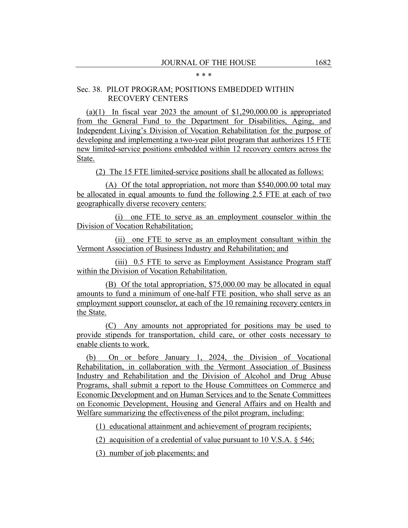#### \* \* \*

# Sec. 38. PILOT PROGRAM; POSITIONS EMBEDDED WITHIN RECOVERY CENTERS

(a)(1) In fiscal year 2023 the amount of  $$1,290,000.00$  is appropriated from the General Fund to the Department for Disabilities, Aging, and Independent Living's Division of Vocation Rehabilitation for the purpose of developing and implementing a two-year pilot program that authorizes 15 FTE new limited-service positions embedded within 12 recovery centers across the State.

(2) The 15 FTE limited-service positions shall be allocated as follows:

(A) Of the total appropriation, not more than \$540,000.00 total may be allocated in equal amounts to fund the following 2.5 FTE at each of two geographically diverse recovery centers:

(i) one FTE to serve as an employment counselor within the Division of Vocation Rehabilitation;

(ii) one FTE to serve as an employment consultant within the Vermont Association of Business Industry and Rehabilitation; and

(iii) 0.5 FTE to serve as Employment Assistance Program staff within the Division of Vocation Rehabilitation.

(B) Of the total appropriation, \$75,000.00 may be allocated in equal amounts to fund a minimum of one-half FTE position, who shall serve as an employment support counselor, at each of the 10 remaining recovery centers in the State.

(C) Any amounts not appropriated for positions may be used to provide stipends for transportation, child care, or other costs necessary to enable clients to work.

(b) On or before January 1, 2024, the Division of Vocational Rehabilitation, in collaboration with the Vermont Association of Business Industry and Rehabilitation and the Division of Alcohol and Drug Abuse Programs, shall submit a report to the House Committees on Commerce and Economic Development and on Human Services and to the Senate Committees on Economic Development, Housing and General Affairs and on Health and Welfare summarizing the effectiveness of the pilot program, including:

(1) educational attainment and achievement of program recipients;

(2) acquisition of a credential of value pursuant to 10 V.S.A. § 546;

(3) number of job placements; and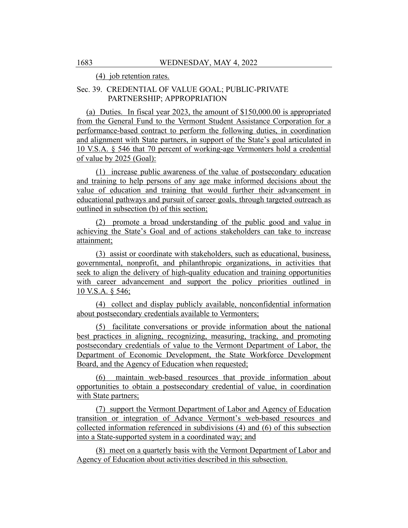(4) job retention rates.

# Sec. 39. CREDENTIAL OF VALUE GOAL; PUBLIC-PRIVATE PARTNERSHIP; APPROPRIATION

(a) Duties. In fiscal year 2023, the amount of \$150,000.00 is appropriated from the General Fund to the Vermont Student Assistance Corporation for a performance-based contract to perform the following duties, in coordination and alignment with State partners, in support of the State's goal articulated in 10 V.S.A. § 546 that 70 percent of working-age Vermonters hold a credential of value by 2025 (Goal):

(1) increase public awareness of the value of postsecondary education and training to help persons of any age make informed decisions about the value of education and training that would further their advancement in educational pathways and pursuit of career goals, through targeted outreach as outlined in subsection (b) of this section;

(2) promote a broad understanding of the public good and value in achieving the State's Goal and of actions stakeholders can take to increase attainment;

(3) assist or coordinate with stakeholders, such as educational, business, governmental, nonprofit, and philanthropic organizations, in activities that seek to align the delivery of high-quality education and training opportunities with career advancement and support the policy priorities outlined in 10 V.S.A. § 546;

(4) collect and display publicly available, nonconfidential information about postsecondary credentials available to Vermonters;

(5) facilitate conversations or provide information about the national best practices in aligning, recognizing, measuring, tracking, and promoting postsecondary credentials of value to the Vermont Department of Labor, the Department of Economic Development, the State Workforce Development Board, and the Agency of Education when requested;

(6) maintain web-based resources that provide information about opportunities to obtain a postsecondary credential of value, in coordination with State partners;

(7) support the Vermont Department of Labor and Agency of Education transition or integration of Advance Vermont's web-based resources and collected information referenced in subdivisions (4) and (6) of this subsection into a State-supported system in a coordinated way; and

(8) meet on a quarterly basis with the Vermont Department of Labor and Agency of Education about activities described in this subsection.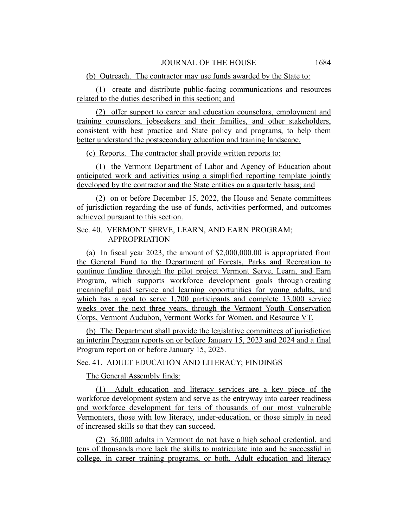(b) Outreach. The contractor may use funds awarded by the State to:

(1) create and distribute public-facing communications and resources related to the duties described in this section; and

(2) offer support to career and education counselors, employment and training counselors, jobseekers and their families, and other stakeholders, consistent with best practice and State policy and programs, to help them better understand the postsecondary education and training landscape.

(c) Reports. The contractor shall provide written reports to:

(1) the Vermont Department of Labor and Agency of Education about anticipated work and activities using a simplified reporting template jointly developed by the contractor and the State entities on a quarterly basis; and

(2) on or before December 15, 2022, the House and Senate committees of jurisdiction regarding the use of funds, activities performed, and outcomes achieved pursuant to this section.

## Sec. 40. VERMONT SERVE, LEARN, AND EARN PROGRAM; APPROPRIATION

(a) In fiscal year 2023, the amount of \$2,000,000.00 is appropriated from the General Fund to the Department of Forests, Parks and Recreation to continue funding through the pilot project Vermont Serve, Learn, and Earn Program, which supports workforce development goals through creating meaningful paid service and learning opportunities for young adults, and which has a goal to serve 1,700 participants and complete 13,000 service weeks over the next three years, through the Vermont Youth Conservation Corps, Vermont Audubon, Vermont Works for Women, and Resource VT.

(b) The Department shall provide the legislative committees of jurisdiction an interim Program reports on or before January 15, 2023 and 2024 and a final Program report on or before January 15, 2025.

## Sec. 41. ADULT EDUCATION AND LITERACY; FINDINGS

The General Assembly finds:

(1) Adult education and literacy services are a key piece of the workforce development system and serve as the entryway into career readiness and workforce development for tens of thousands of our most vulnerable Vermonters, those with low literacy, under-education, or those simply in need of increased skills so that they can succeed.

(2) 36,000 adults in Vermont do not have a high school credential, and tens of thousands more lack the skills to matriculate into and be successful in college, in career training programs, or both. Adult education and literacy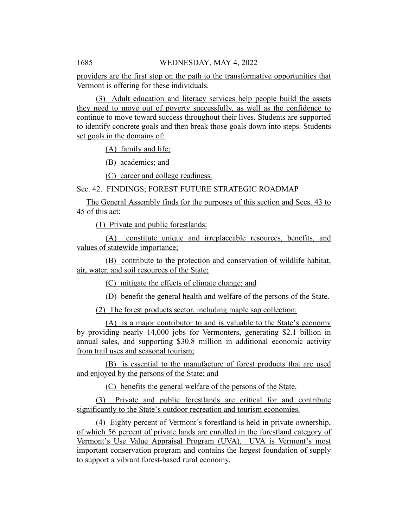providers are the first stop on the path to the transformative opportunities that Vermont is offering for these individuals.

(3) Adult education and literacy services help people build the assets they need to move out of poverty successfully, as well as the confidence to continue to move toward success throughout their lives. Students are supported to identify concrete goals and then break those goals down into steps. Students set goals in the domains of:

(A) family and life;

(B) academics; and

(C) career and college readiness.

Sec. 42. FINDINGS; FOREST FUTURE STRATEGIC ROADMAP

The General Assembly finds for the purposes of this section and Secs. 43 to 45 of this act:

(1) Private and public forestlands:

(A) constitute unique and irreplaceable resources, benefits, and values of statewide importance;

(B) contribute to the protection and conservation of wildlife habitat, air, water, and soil resources of the State;

(C) mitigate the effects of climate change; and

(D) benefit the general health and welfare of the persons of the State.

(2) The forest products sector, including maple sap collection:

(A) is a major contributor to and is valuable to the State's economy by providing nearly 14,000 jobs for Vermonters, generating \$2.1 billion in annual sales, and supporting \$30.8 million in additional economic activity from trail uses and seasonal tourism;

(B) is essential to the manufacture of forest products that are used and enjoyed by the persons of the State; and

(C) benefits the general welfare of the persons of the State.

(3) Private and public forestlands are critical for and contribute significantly to the State's outdoor recreation and tourism economies.

(4) Eighty percent of Vermont's forestland is held in private ownership, of which 56 percent of private lands are enrolled in the forestland category of Vermont's Use Value Appraisal Program (UVA). UVA is Vermont's most important conservation program and contains the largest foundation of supply to support a vibrant forest-based rural economy.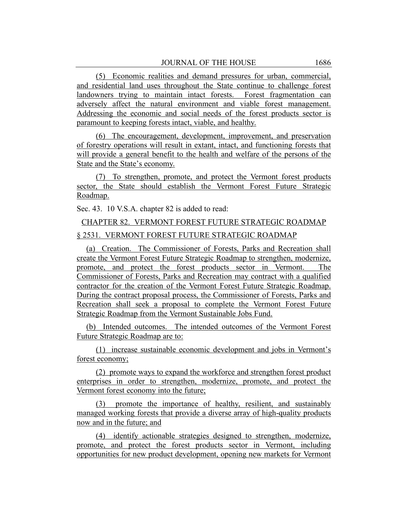(5) Economic realities and demand pressures for urban, commercial, and residential land uses throughout the State continue to challenge forest landowners trying to maintain intact forests. Forest fragmentation can adversely affect the natural environment and viable forest management. Addressing the economic and social needs of the forest products sector is paramount to keeping forests intact, viable, and healthy.

(6) The encouragement, development, improvement, and preservation of forestry operations will result in extant, intact, and functioning forests that will provide a general benefit to the health and welfare of the persons of the State and the State's economy.

(7) To strengthen, promote, and protect the Vermont forest products sector, the State should establish the Vermont Forest Future Strategic Roadmap.

Sec. 43. 10 V.S.A. chapter 82 is added to read:

CHAPTER 82. VERMONT FOREST FUTURE STRATEGIC ROADMAP § 2531. VERMONT FOREST FUTURE STRATEGIC ROADMAP

(a) Creation. The Commissioner of Forests, Parks and Recreation shall create the Vermont Forest Future Strategic Roadmap to strengthen, modernize, promote, and protect the forest products sector in Vermont. The Commissioner of Forests, Parks and Recreation may contract with a qualified contractor for the creation of the Vermont Forest Future Strategic Roadmap. During the contract proposal process, the Commissioner of Forests, Parks and Recreation shall seek a proposal to complete the Vermont Forest Future Strategic Roadmap from the Vermont Sustainable Jobs Fund.

(b) Intended outcomes. The intended outcomes of the Vermont Forest Future Strategic Roadmap are to:

(1) increase sustainable economic development and jobs in Vermont's forest economy;

(2) promote ways to expand the workforce and strengthen forest product enterprises in order to strengthen, modernize, promote, and protect the Vermont forest economy into the future;

(3) promote the importance of healthy, resilient, and sustainably managed working forests that provide a diverse array of high-quality products now and in the future; and

(4) identify actionable strategies designed to strengthen, modernize, promote, and protect the forest products sector in Vermont, including opportunities for new product development, opening new markets for Vermont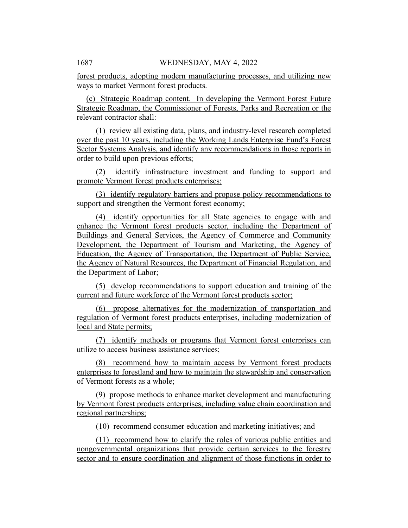forest products, adopting modern manufacturing processes, and utilizing new ways to market Vermont forest products.

(c) Strategic Roadmap content. In developing the Vermont Forest Future Strategic Roadmap, the Commissioner of Forests, Parks and Recreation or the relevant contractor shall:

(1) review all existing data, plans, and industry-level research completed over the past 10 years, including the Working Lands Enterprise Fund's Forest Sector Systems Analysis, and identify any recommendations in those reports in order to build upon previous efforts;

(2) identify infrastructure investment and funding to support and promote Vermont forest products enterprises;

(3) identify regulatory barriers and propose policy recommendations to support and strengthen the Vermont forest economy;

(4) identify opportunities for all State agencies to engage with and enhance the Vermont forest products sector, including the Department of Buildings and General Services, the Agency of Commerce and Community Development, the Department of Tourism and Marketing, the Agency of Education, the Agency of Transportation, the Department of Public Service, the Agency of Natural Resources, the Department of Financial Regulation, and the Department of Labor;

(5) develop recommendations to support education and training of the current and future workforce of the Vermont forest products sector;

(6) propose alternatives for the modernization of transportation and regulation of Vermont forest products enterprises, including modernization of local and State permits;

(7) identify methods or programs that Vermont forest enterprises can utilize to access business assistance services;

(8) recommend how to maintain access by Vermont forest products enterprises to forestland and how to maintain the stewardship and conservation of Vermont forests as a whole;

(9) propose methods to enhance market development and manufacturing by Vermont forest products enterprises, including value chain coordination and regional partnerships;

(10) recommend consumer education and marketing initiatives; and

(11) recommend how to clarify the roles of various public entities and nongovernmental organizations that provide certain services to the forestry sector and to ensure coordination and alignment of those functions in order to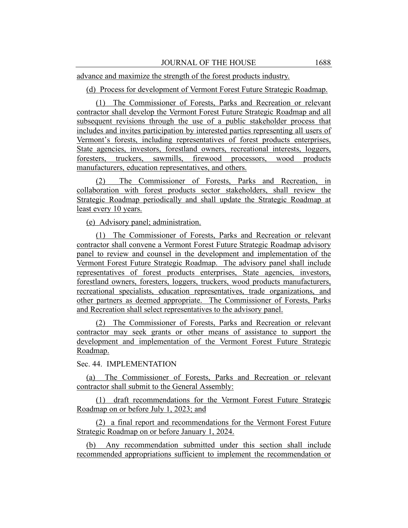advance and maximize the strength of the forest products industry.

(d) Process for development of Vermont Forest Future Strategic Roadmap.

(1) The Commissioner of Forests, Parks and Recreation or relevant contractor shall develop the Vermont Forest Future Strategic Roadmap and all subsequent revisions through the use of a public stakeholder process that includes and invites participation by interested parties representing all users of Vermont's forests, including representatives of forest products enterprises, State agencies, investors, forestland owners, recreational interests, loggers, foresters, truckers, sawmills, firewood processors, wood products manufacturers, education representatives, and others.

(2) The Commissioner of Forests, Parks and Recreation, in collaboration with forest products sector stakeholders, shall review the Strategic Roadmap periodically and shall update the Strategic Roadmap at least every 10 years.

(e) Advisory panel; administration.

(1) The Commissioner of Forests, Parks and Recreation or relevant contractor shall convene a Vermont Forest Future Strategic Roadmap advisory panel to review and counsel in the development and implementation of the Vermont Forest Future Strategic Roadmap. The advisory panel shall include representatives of forest products enterprises, State agencies, investors, forestland owners, foresters, loggers, truckers, wood products manufacturers, recreational specialists, education representatives, trade organizations, and other partners as deemed appropriate. The Commissioner of Forests, Parks and Recreation shall select representatives to the advisory panel.

(2) The Commissioner of Forests, Parks and Recreation or relevant contractor may seek grants or other means of assistance to support the development and implementation of the Vermont Forest Future Strategic Roadmap.

Sec. 44. IMPLEMENTATION

(a) The Commissioner of Forests, Parks and Recreation or relevant contractor shall submit to the General Assembly:

(1) draft recommendations for the Vermont Forest Future Strategic Roadmap on or before July 1, 2023; and

(2) a final report and recommendations for the Vermont Forest Future Strategic Roadmap on or before January 1, 2024.

(b) Any recommendation submitted under this section shall include recommended appropriations sufficient to implement the recommendation or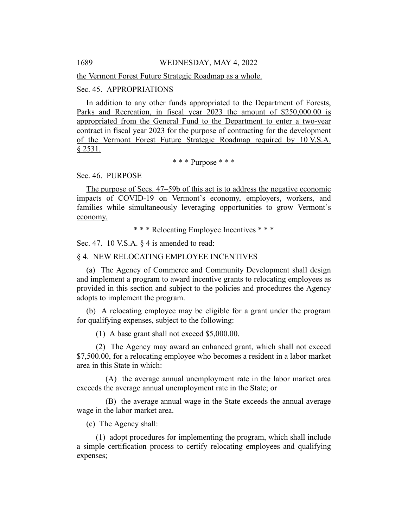the Vermont Forest Future Strategic Roadmap as a whole.

# Sec. 45. APPROPRIATIONS

In addition to any other funds appropriated to the Department of Forests, Parks and Recreation, in fiscal year 2023 the amount of \$250,000.00 is appropriated from the General Fund to the Department to enter a two-year contract in fiscal year 2023 for the purpose of contracting for the development of the Vermont Forest Future Strategic Roadmap required by 10 V.S.A. § 2531.

\* \* \* Purpose \* \* \*

#### Sec. 46. PURPOSE

The purpose of Secs. 47–59b of this act is to address the negative economic impacts of COVID-19 on Vermont's economy, employers, workers, and families while simultaneously leveraging opportunities to grow Vermont's economy.

\* \* \* Relocating Employee Incentives \* \* \*

Sec. 47. 10 V.S.A. § 4 is amended to read:

#### § 4. NEW RELOCATING EMPLOYEE INCENTIVES

(a) The Agency of Commerce and Community Development shall design and implement a program to award incentive grants to relocating employees as provided in this section and subject to the policies and procedures the Agency adopts to implement the program.

(b) A relocating employee may be eligible for a grant under the program for qualifying expenses, subject to the following:

(1) A base grant shall not exceed \$5,000.00.

(2) The Agency may award an enhanced grant, which shall not exceed \$7,500.00, for a relocating employee who becomes a resident in a labor market area in this State in which:

(A) the average annual unemployment rate in the labor market area exceeds the average annual unemployment rate in the State; or

(B) the average annual wage in the State exceeds the annual average wage in the labor market area.

(c) The Agency shall:

(1) adopt procedures for implementing the program, which shall include a simple certification process to certify relocating employees and qualifying expenses;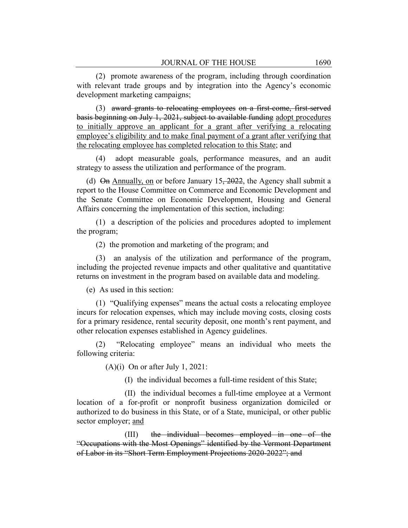(2) promote awareness of the program, including through coordination with relevant trade groups and by integration into the Agency's economic development marketing campaigns;

(3) award grants to relocating employees on a first-come, first-served basis beginning on July 1, 2021, subject to available funding adopt procedures to initially approve an applicant for a grant after verifying a relocating employee's eligibility and to make final payment of a grant after verifying that the relocating employee has completed relocation to this State; and

(4) adopt measurable goals, performance measures, and an audit strategy to assess the utilization and performance of the program.

(d)  $\Theta$ n Annually, on or before January 15, 2022, the Agency shall submit a report to the House Committee on Commerce and Economic Development and the Senate Committee on Economic Development, Housing and General Affairs concerning the implementation of this section, including:

(1) a description of the policies and procedures adopted to implement the program;

(2) the promotion and marketing of the program; and

(3) an analysis of the utilization and performance of the program, including the projected revenue impacts and other qualitative and quantitative returns on investment in the program based on available data and modeling.

(e) As used in this section:

(1) "Qualifying expenses" means the actual costs a relocating employee incurs for relocation expenses, which may include moving costs, closing costs for a primary residence, rental security deposit, one month's rent payment, and other relocation expenses established in Agency guidelines.

(2) "Relocating employee" means an individual who meets the following criteria:

(A)(i) On or after July 1, 2021:

(I) the individual becomes a full-time resident of this State;

(II) the individual becomes a full-time employee at a Vermont location of a for-profit or nonprofit business organization domiciled or authorized to do business in this State, or of a State, municipal, or other public sector employer; and

(III) the individual becomes employed in one of the "Occupations with the Most Openings" identified by the Vermont Department of Labor in its "Short Term Employment Projections 2020-2022"; and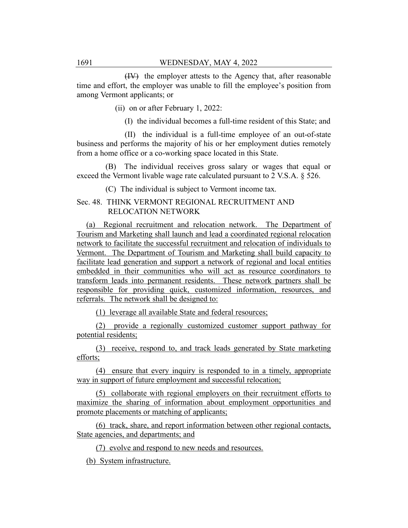(IV) the employer attests to the Agency that, after reasonable time and effort, the employer was unable to fill the employee's position from among Vermont applicants; or

(ii) on or after February 1, 2022:

(I) the individual becomes a full-time resident of this State; and

(II) the individual is a full-time employee of an out-of-state business and performs the majority of his or her employment duties remotely from a home office or a co-working space located in this State.

(B) The individual receives gross salary or wages that equal or exceed the Vermont livable wage rate calculated pursuant to 2 V.S.A. § 526.

(C) The individual is subject to Vermont income tax.

## Sec. 48. THINK VERMONT REGIONAL RECRUITMENT AND RELOCATION NETWORK

(a) Regional recruitment and relocation network. The Department of Tourism and Marketing shall launch and lead a coordinated regional relocation network to facilitate the successful recruitment and relocation of individuals to Vermont. The Department of Tourism and Marketing shall build capacity to facilitate lead generation and support a network of regional and local entities embedded in their communities who will act as resource coordinators to transform leads into permanent residents. These network partners shall be responsible for providing quick, customized information, resources, and referrals. The network shall be designed to:

(1) leverage all available State and federal resources;

(2) provide a regionally customized customer support pathway for potential residents;

(3) receive, respond to, and track leads generated by State marketing efforts;

(4) ensure that every inquiry is responded to in a timely, appropriate way in support of future employment and successful relocation;

(5) collaborate with regional employers on their recruitment efforts to maximize the sharing of information about employment opportunities and promote placements or matching of applicants;

(6) track, share, and report information between other regional contacts, State agencies, and departments; and

(7) evolve and respond to new needs and resources.

(b) System infrastructure.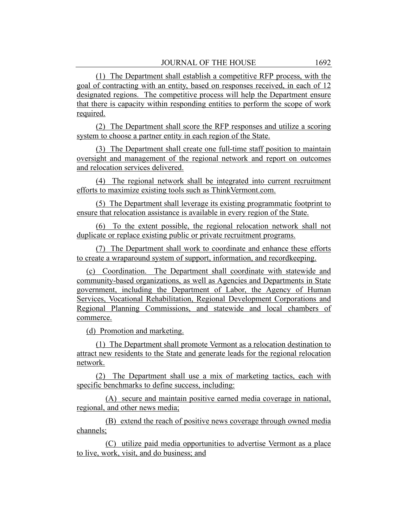(1) The Department shall establish a competitive RFP process, with the goal of contracting with an entity, based on responses received, in each of 12 designated regions. The competitive process will help the Department ensure that there is capacity within responding entities to perform the scope of work required.

(2) The Department shall score the RFP responses and utilize a scoring system to choose a partner entity in each region of the State.

(3) The Department shall create one full-time staff position to maintain oversight and management of the regional network and report on outcomes and relocation services delivered.

(4) The regional network shall be integrated into current recruitment efforts to maximize existing tools such as ThinkVermont.com.

(5) The Department shall leverage its existing programmatic footprint to ensure that relocation assistance is available in every region of the State.

(6) To the extent possible, the regional relocation network shall not duplicate or replace existing public or private recruitment programs.

(7) The Department shall work to coordinate and enhance these efforts to create a wraparound system of support, information, and recordkeeping.

(c) Coordination. The Department shall coordinate with statewide and community-based organizations, as well as Agencies and Departments in State government, including the Department of Labor, the Agency of Human Services, Vocational Rehabilitation, Regional Development Corporations and Regional Planning Commissions, and statewide and local chambers of commerce.

(d) Promotion and marketing.

(1) The Department shall promote Vermont as a relocation destination to attract new residents to the State and generate leads for the regional relocation network.

(2) The Department shall use a mix of marketing tactics, each with specific benchmarks to define success, including:

(A) secure and maintain positive earned media coverage in national, regional, and other news media;

(B) extend the reach of positive news coverage through owned media channels;

(C) utilize paid media opportunities to advertise Vermont as a place to live, work, visit, and do business; and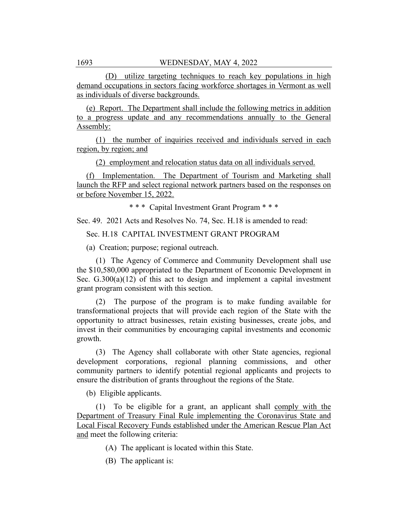(D) utilize targeting techniques to reach key populations in high demand occupations in sectors facing workforce shortages in Vermont as well as individuals of diverse backgrounds.

(e) Report. The Department shall include the following metrics in addition to a progress update and any recommendations annually to the General Assembly:

(1) the number of inquiries received and individuals served in each region, by region; and

(2) employment and relocation status data on all individuals served.

(f) Implementation. The Department of Tourism and Marketing shall launch the RFP and select regional network partners based on the responses on or before November 15, 2022.

\* \* \* Capital Investment Grant Program \* \* \*

Sec. 49. 2021 Acts and Resolves No. 74, Sec. H.18 is amended to read:

Sec. H.18 CAPITAL INVESTMENT GRANT PROGRAM

(a) Creation; purpose; regional outreach.

(1) The Agency of Commerce and Community Development shall use the \$10,580,000 appropriated to the Department of Economic Development in Sec. G.300(a)(12) of this act to design and implement a capital investment grant program consistent with this section.

(2) The purpose of the program is to make funding available for transformational projects that will provide each region of the State with the opportunity to attract businesses, retain existing businesses, create jobs, and invest in their communities by encouraging capital investments and economic growth.

(3) The Agency shall collaborate with other State agencies, regional development corporations, regional planning commissions, and other community partners to identify potential regional applicants and projects to ensure the distribution of grants throughout the regions of the State.

(b) Eligible applicants.

(1) To be eligible for a grant, an applicant shall comply with the Department of Treasury Final Rule implementing the Coronavirus State and Local Fiscal Recovery Funds established under the American Rescue Plan Act and meet the following criteria:

(A) The applicant is located within this State.

(B) The applicant is: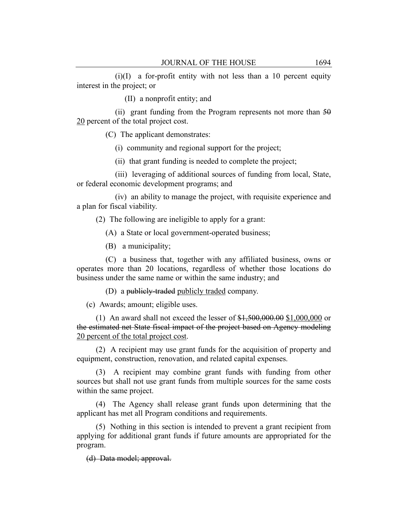$(i)(I)$  a for-profit entity with not less than a 10 percent equity interest in the project; or

(II) a nonprofit entity; and

(ii) grant funding from the Program represents not more than  $50$ 20 percent of the total project cost.

(C) The applicant demonstrates:

(i) community and regional support for the project;

(ii) that grant funding is needed to complete the project;

(iii) leveraging of additional sources of funding from local, State, or federal economic development programs; and

(iv) an ability to manage the project, with requisite experience and a plan for fiscal viability.

(2) The following are ineligible to apply for a grant:

(A) a State or local government-operated business;

(B) a municipality;

(C) a business that, together with any affiliated business, owns or operates more than 20 locations, regardless of whether those locations do business under the same name or within the same industry; and

(D) a publicly-traded publicly traded company.

(c) Awards; amount; eligible uses.

(1) An award shall not exceed the lesser of \$1,500,000.00 \$1,000,000 or the estimated net State fiscal impact of the project based on Agency modeling 20 percent of the total project cost.

(2) A recipient may use grant funds for the acquisition of property and equipment, construction, renovation, and related capital expenses.

(3) A recipient may combine grant funds with funding from other sources but shall not use grant funds from multiple sources for the same costs within the same project.

(4) The Agency shall release grant funds upon determining that the applicant has met all Program conditions and requirements.

(5) Nothing in this section is intended to prevent a grant recipient from applying for additional grant funds if future amounts are appropriated for the program.

(d) Data model; approval.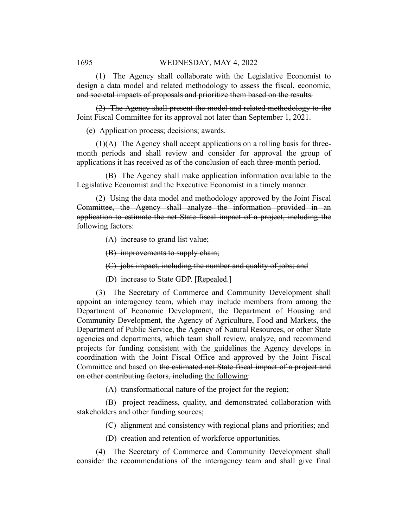(1) The Agency shall collaborate with the Legislative Economist to design a data model and related methodology to assess the fiscal, economic, and societal impacts of proposals and prioritize them based on the results.

(2) The Agency shall present the model and related methodology to the Joint Fiscal Committee for its approval not later than September 1, 2021.

(e) Application process; decisions; awards.

(1)(A) The Agency shall accept applications on a rolling basis for threemonth periods and shall review and consider for approval the group of applications it has received as of the conclusion of each three-month period.

(B) The Agency shall make application information available to the Legislative Economist and the Executive Economist in a timely manner.

(2) Using the data model and methodology approved by the Joint Fiscal Committee, the Agency shall analyze the information provided in an application to estimate the net State fiscal impact of a project, including the following factors:

(A) increase to grand list value;

(B) improvements to supply chain;

(C) jobs impact, including the number and quality of jobs; and

(D) increase to State GDP. [Repealed.]

(3) The Secretary of Commerce and Community Development shall appoint an interagency team, which may include members from among the Department of Economic Development, the Department of Housing and Community Development, the Agency of Agriculture, Food and Markets, the Department of Public Service, the Agency of Natural Resources, or other State agencies and departments, which team shall review, analyze, and recommend projects for funding consistent with the guidelines the Agency develops in coordination with the Joint Fiscal Office and approved by the Joint Fiscal Committee and based on the estimated net State fiscal impact of a project and on other contributing factors, including the following:

(A) transformational nature of the project for the region;

(B) project readiness, quality, and demonstrated collaboration with stakeholders and other funding sources;

(C) alignment and consistency with regional plans and priorities; and

(D) creation and retention of workforce opportunities.

(4) The Secretary of Commerce and Community Development shall consider the recommendations of the interagency team and shall give final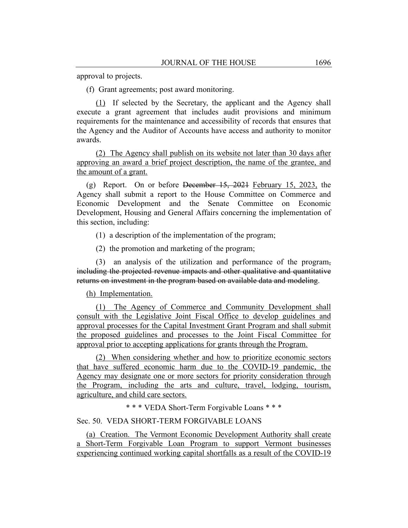approval to projects.

(f) Grant agreements; post award monitoring.

(1) If selected by the Secretary, the applicant and the Agency shall execute a grant agreement that includes audit provisions and minimum requirements for the maintenance and accessibility of records that ensures that the Agency and the Auditor of Accounts have access and authority to monitor awards.

(2) The Agency shall publish on its website not later than 30 days after approving an award a brief project description, the name of the grantee, and the amount of a grant.

(g) Report. On or before December  $15, 2021$  February 15, 2023, the Agency shall submit a report to the House Committee on Commerce and Economic Development and the Senate Committee on Economic Development, Housing and General Affairs concerning the implementation of this section, including:

(1) a description of the implementation of the program;

(2) the promotion and marketing of the program;

(3) an analysis of the utilization and performance of the program, including the projected revenue impacts and other qualitative and quantitative returns on investment in the program based on available data and modeling.

(h) Implementation.

(1) The Agency of Commerce and Community Development shall consult with the Legislative Joint Fiscal Office to develop guidelines and approval processes for the Capital Investment Grant Program and shall submit the proposed guidelines and processes to the Joint Fiscal Committee for approval prior to accepting applications for grants through the Program.

(2) When considering whether and how to prioritize economic sectors that have suffered economic harm due to the COVID-19 pandemic, the Agency may designate one or more sectors for priority consideration through the Program, including the arts and culture, travel, lodging, tourism, agriculture, and child care sectors.

\* \* \* VEDA Short-Term Forgivable Loans \* \* \*

#### Sec. 50. VEDA SHORT-TERM FORGIVABLE LOANS

(a) Creation. The Vermont Economic Development Authority shall create a Short-Term Forgivable Loan Program to support Vermont businesses experiencing continued working capital shortfalls as a result of the COVID-19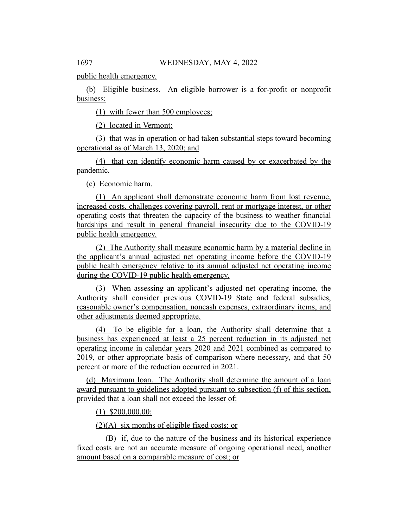public health emergency.

(b) Eligible business. An eligible borrower is a for-profit or nonprofit business:

(1) with fewer than 500 employees;

(2) located in Vermont;

(3) that was in operation or had taken substantial steps toward becoming operational as of March 13, 2020; and

(4) that can identify economic harm caused by or exacerbated by the pandemic.

(c) Economic harm.

(1) An applicant shall demonstrate economic harm from lost revenue, increased costs, challenges covering payroll, rent or mortgage interest, or other operating costs that threaten the capacity of the business to weather financial hardships and result in general financial insecurity due to the COVID-19 public health emergency.

(2) The Authority shall measure economic harm by a material decline in the applicant's annual adjusted net operating income before the COVID-19 public health emergency relative to its annual adjusted net operating income during the COVID-19 public health emergency.

(3) When assessing an applicant's adjusted net operating income, the Authority shall consider previous COVID-19 State and federal subsidies, reasonable owner's compensation, noncash expenses, extraordinary items, and other adjustments deemed appropriate.

(4) To be eligible for a loan, the Authority shall determine that a business has experienced at least a 25 percent reduction in its adjusted net operating income in calendar years 2020 and 2021 combined as compared to 2019, or other appropriate basis of comparison where necessary, and that 50 percent or more of the reduction occurred in 2021.

(d) Maximum loan. The Authority shall determine the amount of a loan award pursuant to guidelines adopted pursuant to subsection (f) of this section, provided that a loan shall not exceed the lesser of:

(1) \$200,000.00;

(2)(A) six months of eligible fixed costs; or

(B) if, due to the nature of the business and its historical experience fixed costs are not an accurate measure of ongoing operational need, another amount based on a comparable measure of cost; or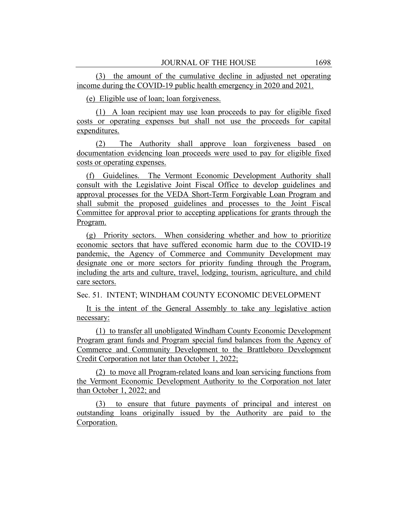(3) the amount of the cumulative decline in adjusted net operating income during the COVID-19 public health emergency in 2020 and 2021.

(e) Eligible use of loan; loan forgiveness.

(1) A loan recipient may use loan proceeds to pay for eligible fixed costs or operating expenses but shall not use the proceeds for capital expenditures.

(2) The Authority shall approve loan forgiveness based on documentation evidencing loan proceeds were used to pay for eligible fixed costs or operating expenses.

(f) Guidelines. The Vermont Economic Development Authority shall consult with the Legislative Joint Fiscal Office to develop guidelines and approval processes for the VEDA Short-Term Forgivable Loan Program and shall submit the proposed guidelines and processes to the Joint Fiscal Committee for approval prior to accepting applications for grants through the Program.

(g) Priority sectors. When considering whether and how to prioritize economic sectors that have suffered economic harm due to the COVID-19 pandemic, the Agency of Commerce and Community Development may designate one or more sectors for priority funding through the Program, including the arts and culture, travel, lodging, tourism, agriculture, and child care sectors.

Sec. 51. INTENT; WINDHAM COUNTY ECONOMIC DEVELOPMENT

It is the intent of the General Assembly to take any legislative action necessary:

(1) to transfer all unobligated Windham County Economic Development Program grant funds and Program special fund balances from the Agency of Commerce and Community Development to the Brattleboro Development Credit Corporation not later than October 1, 2022;

(2) to move all Program-related loans and loan servicing functions from the Vermont Economic Development Authority to the Corporation not later than October 1, 2022; and

(3) to ensure that future payments of principal and interest on outstanding loans originally issued by the Authority are paid to the Corporation.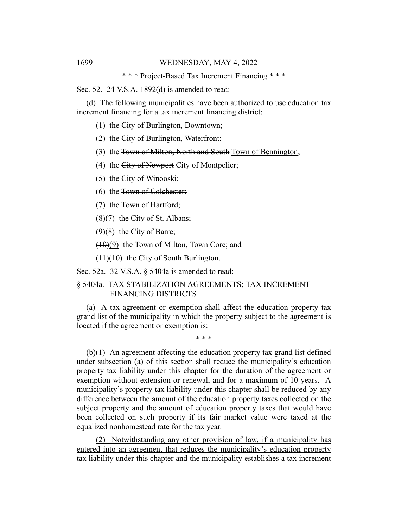\* \* \* Project-Based Tax Increment Financing \* \* \*

Sec. 52. 24 V.S.A. 1892(d) is amended to read:

(d) The following municipalities have been authorized to use education tax increment financing for a tax increment financing district:

(1) the City of Burlington, Downtown;

(2) the City of Burlington, Waterfront;

(3) the Town of Milton, North and South Town of Bennington;

(4) the City of Newport City of Montpelier;

(5) the City of Winooski;

(6) the Town of Colchester;

(7) the Town of Hartford;

 $(8)(7)$  the City of St. Albans;

 $(9)(8)$  the City of Barre;

(10)(9) the Town of Milton, Town Core; and

 $(11)(10)$  the City of South Burlington.

Sec. 52a. 32 V.S.A. § 5404a is amended to read:

## § 5404a. TAX STABILIZATION AGREEMENTS; TAX INCREMENT FINANCING DISTRICTS

(a) A tax agreement or exemption shall affect the education property tax grand list of the municipality in which the property subject to the agreement is located if the agreement or exemption is:

\* \* \*

(b)(1) An agreement affecting the education property tax grand list defined under subsection (a) of this section shall reduce the municipality's education property tax liability under this chapter for the duration of the agreement or exemption without extension or renewal, and for a maximum of 10 years. A municipality's property tax liability under this chapter shall be reduced by any difference between the amount of the education property taxes collected on the subject property and the amount of education property taxes that would have been collected on such property if its fair market value were taxed at the equalized nonhomestead rate for the tax year.

(2) Notwithstanding any other provision of law, if a municipality has entered into an agreement that reduces the municipality's education property tax liability under this chapter and the municipality establishes a tax increment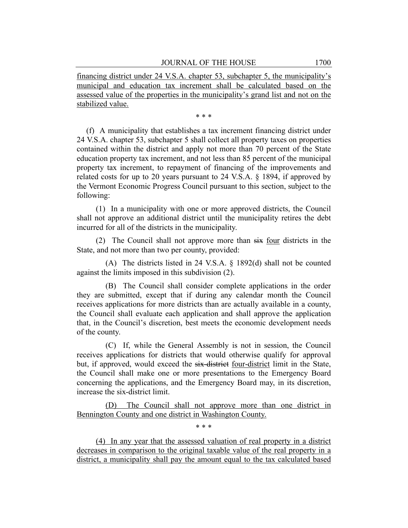financing district under 24 V.S.A. chapter 53, subchapter 5, the municipality's municipal and education tax increment shall be calculated based on the assessed value of the properties in the municipality's grand list and not on the stabilized value.

\* \* \*

(f) A municipality that establishes a tax increment financing district under 24 V.S.A. chapter 53, subchapter 5 shall collect all property taxes on properties contained within the district and apply not more than 70 percent of the State education property tax increment, and not less than 85 percent of the municipal property tax increment, to repayment of financing of the improvements and related costs for up to 20 years pursuant to 24 V.S.A. § 1894, if approved by the Vermont Economic Progress Council pursuant to this section, subject to the following:

(1) In a municipality with one or more approved districts, the Council shall not approve an additional district until the municipality retires the debt incurred for all of the districts in the municipality.

(2) The Council shall not approve more than six four districts in the State, and not more than two per county, provided:

(A) The districts listed in 24 V.S.A. § 1892(d) shall not be counted against the limits imposed in this subdivision (2).

(B) The Council shall consider complete applications in the order they are submitted, except that if during any calendar month the Council receives applications for more districts than are actually available in a county, the Council shall evaluate each application and shall approve the application that, in the Council's discretion, best meets the economic development needs of the county.

(C) If, while the General Assembly is not in session, the Council receives applications for districts that would otherwise qualify for approval but, if approved, would exceed the six-district four-district limit in the State, the Council shall make one or more presentations to the Emergency Board concerning the applications, and the Emergency Board may, in its discretion, increase the six-district limit.

(D) The Council shall not approve more than one district in Bennington County and one district in Washington County.

\* \* \*

(4) In any year that the assessed valuation of real property in a district decreases in comparison to the original taxable value of the real property in a district, a municipality shall pay the amount equal to the tax calculated based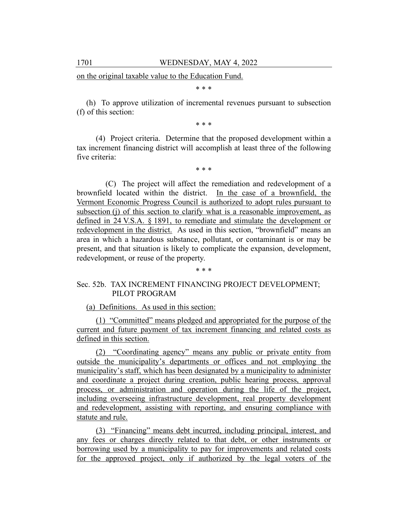on the original taxable value to the Education Fund.

\* \* \*

(h) To approve utilization of incremental revenues pursuant to subsection (f) of this section:

\* \* \*

(4) Project criteria. Determine that the proposed development within a tax increment financing district will accomplish at least three of the following five criteria:

\* \* \*

(C) The project will affect the remediation and redevelopment of a brownfield located within the district. In the case of a brownfield, the Vermont Economic Progress Council is authorized to adopt rules pursuant to subsection (j) of this section to clarify what is a reasonable improvement, as defined in 24 V.S.A. § 1891, to remediate and stimulate the development or redevelopment in the district. As used in this section, "brownfield" means an area in which a hazardous substance, pollutant, or contaminant is or may be present, and that situation is likely to complicate the expansion, development, redevelopment, or reuse of the property.

# Sec. 52b. TAX INCREMENT FINANCING PROJECT DEVELOPMENT; PILOT PROGRAM

\* \* \*

(a) Definitions. As used in this section:

(1) "Committed" means pledged and appropriated for the purpose of the current and future payment of tax increment financing and related costs as defined in this section.

(2) "Coordinating agency" means any public or private entity from outside the municipality's departments or offices and not employing the municipality's staff, which has been designated by a municipality to administer and coordinate a project during creation, public hearing process, approval process, or administration and operation during the life of the project, including overseeing infrastructure development, real property development and redevelopment, assisting with reporting, and ensuring compliance with statute and rule.

(3) "Financing" means debt incurred, including principal, interest, and any fees or charges directly related to that debt, or other instruments or borrowing used by a municipality to pay for improvements and related costs for the approved project, only if authorized by the legal voters of the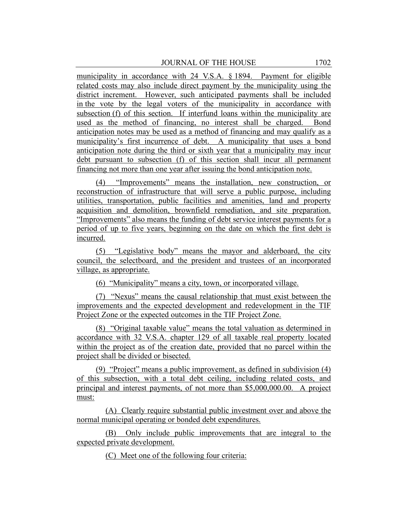municipality in accordance with 24 V.S.A. § 1894. Payment for eligible related costs may also include direct payment by the municipality using the district increment. However, such anticipated payments shall be included in the vote by the legal voters of the municipality in accordance with subsection (f) of this section. If interfund loans within the municipality are used as the method of financing, no interest shall be charged. Bond anticipation notes may be used as a method of financing and may qualify as a municipality's first incurrence of debt. A municipality that uses a bond anticipation note during the third or sixth year that a municipality may incur debt pursuant to subsection (f) of this section shall incur all permanent financing not more than one year after issuing the bond anticipation note.

(4) "Improvements" means the installation, new construction, or reconstruction of infrastructure that will serve a public purpose, including utilities, transportation, public facilities and amenities, land and property acquisition and demolition, brownfield remediation, and site preparation. "Improvements" also means the funding of debt service interest payments for a period of up to five years, beginning on the date on which the first debt is incurred.

(5) "Legislative body" means the mayor and alderboard, the city council, the selectboard, and the president and trustees of an incorporated village, as appropriate.

(6) "Municipality" means a city, town, or incorporated village.

(7) "Nexus" means the causal relationship that must exist between the improvements and the expected development and redevelopment in the TIF Project Zone or the expected outcomes in the TIF Project Zone.

(8) "Original taxable value" means the total valuation as determined in accordance with 32 V.S.A. chapter 129 of all taxable real property located within the project as of the creation date, provided that no parcel within the project shall be divided or bisected.

(9) "Project" means a public improvement, as defined in subdivision (4) of this subsection, with a total debt ceiling, including related costs, and principal and interest payments, of not more than \$5,000,000.00. A project must:

(A) Clearly require substantial public investment over and above the normal municipal operating or bonded debt expenditures.

(B) Only include public improvements that are integral to the expected private development.

(C) Meet one of the following four criteria: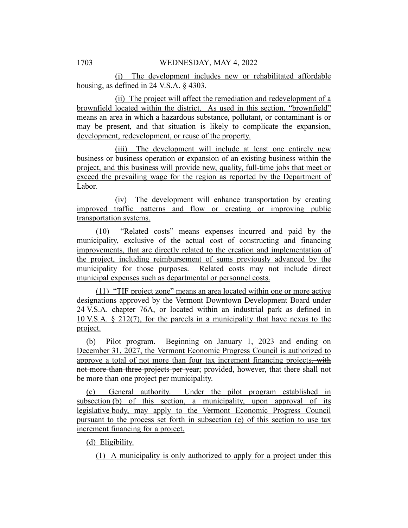(i) The development includes new or rehabilitated affordable housing, as defined in 24 V.S.A. § 4303.

(ii) The project will affect the remediation and redevelopment of a brownfield located within the district. As used in this section, "brownfield" means an area in which a hazardous substance, pollutant, or contaminant is or may be present, and that situation is likely to complicate the expansion, development, redevelopment, or reuse of the property.

(iii) The development will include at least one entirely new business or business operation or expansion of an existing business within the project, and this business will provide new, quality, full-time jobs that meet or exceed the prevailing wage for the region as reported by the Department of Labor.

(iv) The development will enhance transportation by creating improved traffic patterns and flow or creating or improving public transportation systems.

(10) "Related costs" means expenses incurred and paid by the municipality, exclusive of the actual cost of constructing and financing improvements, that are directly related to the creation and implementation of the project, including reimbursement of sums previously advanced by the municipality for those purposes. Related costs may not include direct municipal expenses such as departmental or personnel costs.

(11) "TIF project zone" means an area located within one or more active designations approved by the Vermont Downtown Development Board under 24 V.S.A. chapter 76A, or located within an industrial park as defined in 10 V.S.A. § 212(7), for the parcels in a municipality that have nexus to the project.

(b) Pilot program. Beginning on January 1, 2023 and ending on December 31, 2027, the Vermont Economic Progress Council is authorized to approve a total of not more than four tax increment financing projects, with not more than three projects per year; provided, however, that there shall not be more than one project per municipality.

(c) General authority. Under the pilot program established in subsection (b) of this section, a municipality, upon approval of its legislative body, may apply to the Vermont Economic Progress Council pursuant to the process set forth in subsection (e) of this section to use tax increment financing for a project.

(d) Eligibility.

(1) A municipality is only authorized to apply for a project under this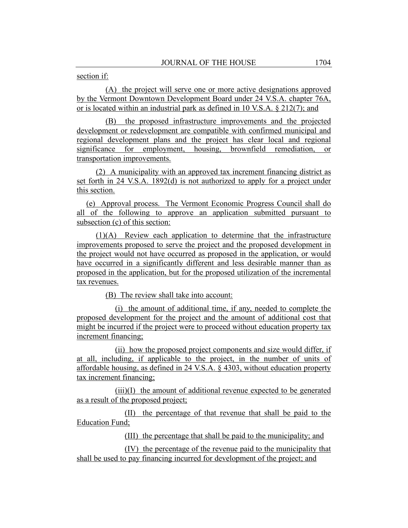## section if:

(A) the project will serve one or more active designations approved by the Vermont Downtown Development Board under 24 V.S.A. chapter 76A, or is located within an industrial park as defined in 10 V.S.A. § 212(7); and

(B) the proposed infrastructure improvements and the projected development or redevelopment are compatible with confirmed municipal and regional development plans and the project has clear local and regional significance for employment, housing, brownfield remediation, or transportation improvements.

(2) A municipality with an approved tax increment financing district as set forth in 24 V.S.A. 1892(d) is not authorized to apply for a project under this section.

(e) Approval process. The Vermont Economic Progress Council shall do all of the following to approve an application submitted pursuant to subsection (c) of this section:

(1)(A) Review each application to determine that the infrastructure improvements proposed to serve the project and the proposed development in the project would not have occurred as proposed in the application, or would have occurred in a significantly different and less desirable manner than as proposed in the application, but for the proposed utilization of the incremental tax revenues.

(B) The review shall take into account:

(i) the amount of additional time, if any, needed to complete the proposed development for the project and the amount of additional cost that might be incurred if the project were to proceed without education property tax increment financing;

(ii) how the proposed project components and size would differ, if at all, including, if applicable to the project, in the number of units of affordable housing, as defined in 24 V.S.A. § 4303, without education property tax increment financing;

(iii)(I) the amount of additional revenue expected to be generated as a result of the proposed project;

(II) the percentage of that revenue that shall be paid to the Education Fund;

(III) the percentage that shall be paid to the municipality; and

(IV) the percentage of the revenue paid to the municipality that shall be used to pay financing incurred for development of the project; and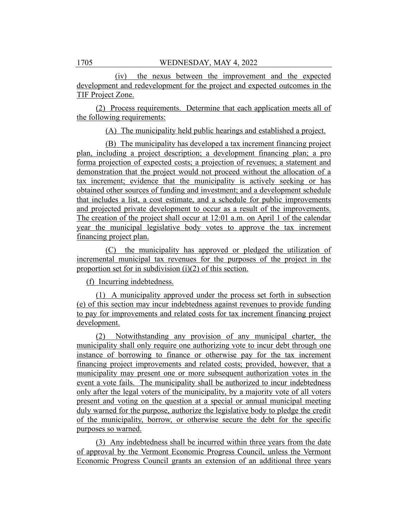(iv) the nexus between the improvement and the expected development and redevelopment for the project and expected outcomes in the TIF Project Zone.

(2) Process requirements. Determine that each application meets all of the following requirements:

(A) The municipality held public hearings and established a project.

(B) The municipality has developed a tax increment financing project plan, including a project description; a development financing plan; a pro forma projection of expected costs; a projection of revenues; a statement and demonstration that the project would not proceed without the allocation of a tax increment; evidence that the municipality is actively seeking or has obtained other sources of funding and investment; and a development schedule that includes a list, a cost estimate, and a schedule for public improvements and projected private development to occur as a result of the improvements. The creation of the project shall occur at 12:01 a.m. on April 1 of the calendar year the municipal legislative body votes to approve the tax increment financing project plan.

(C) the municipality has approved or pledged the utilization of incremental municipal tax revenues for the purposes of the project in the proportion set for in subdivision (i)(2) of this section.

(f) Incurring indebtedness.

(1) A municipality approved under the process set forth in subsection (e) of this section may incur indebtedness against revenues to provide funding to pay for improvements and related costs for tax increment financing project development.

(2) Notwithstanding any provision of any municipal charter, the municipality shall only require one authorizing vote to incur debt through one instance of borrowing to finance or otherwise pay for the tax increment financing project improvements and related costs; provided, however, that a municipality may present one or more subsequent authorization votes in the event a vote fails. The municipality shall be authorized to incur indebtedness only after the legal voters of the municipality, by a majority vote of all voters present and voting on the question at a special or annual municipal meeting duly warned for the purpose, authorize the legislative body to pledge the credit of the municipality, borrow, or otherwise secure the debt for the specific purposes so warned.

(3) Any indebtedness shall be incurred within three years from the date of approval by the Vermont Economic Progress Council, unless the Vermont Economic Progress Council grants an extension of an additional three years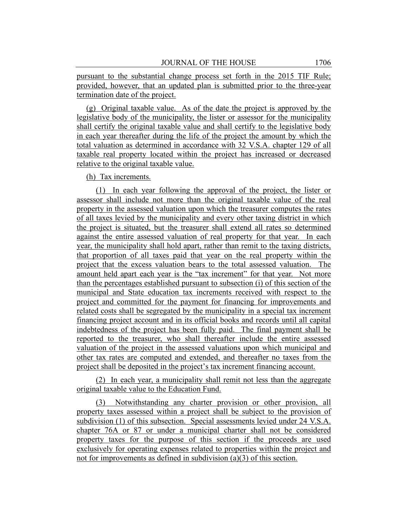pursuant to the substantial change process set forth in the 2015 TIF Rule; provided, however, that an updated plan is submitted prior to the three-year termination date of the project.

(g) Original taxable value. As of the date the project is approved by the legislative body of the municipality, the lister or assessor for the municipality shall certify the original taxable value and shall certify to the legislative body in each year thereafter during the life of the project the amount by which the total valuation as determined in accordance with 32 V.S.A. chapter 129 of all taxable real property located within the project has increased or decreased relative to the original taxable value.

(h) Tax increments.

(1) In each year following the approval of the project, the lister or assessor shall include not more than the original taxable value of the real property in the assessed valuation upon which the treasurer computes the rates of all taxes levied by the municipality and every other taxing district in which the project is situated, but the treasurer shall extend all rates so determined against the entire assessed valuation of real property for that year. In each year, the municipality shall hold apart, rather than remit to the taxing districts, that proportion of all taxes paid that year on the real property within the project that the excess valuation bears to the total assessed valuation. The amount held apart each year is the "tax increment" for that year. Not more than the percentages established pursuant to subsection (i) of this section of the municipal and State education tax increments received with respect to the project and committed for the payment for financing for improvements and related costs shall be segregated by the municipality in a special tax increment financing project account and in its official books and records until all capital indebtedness of the project has been fully paid. The final payment shall be reported to the treasurer, who shall thereafter include the entire assessed valuation of the project in the assessed valuations upon which municipal and other tax rates are computed and extended, and thereafter no taxes from the project shall be deposited in the project's tax increment financing account.

(2) In each year, a municipality shall remit not less than the aggregate original taxable value to the Education Fund.

(3) Notwithstanding any charter provision or other provision, all property taxes assessed within a project shall be subject to the provision of subdivision (1) of this subsection. Special assessments levied under 24 V.S.A. chapter 76A or 87 or under a municipal charter shall not be considered property taxes for the purpose of this section if the proceeds are used exclusively for operating expenses related to properties within the project and not for improvements as defined in subdivision (a)(3) of this section.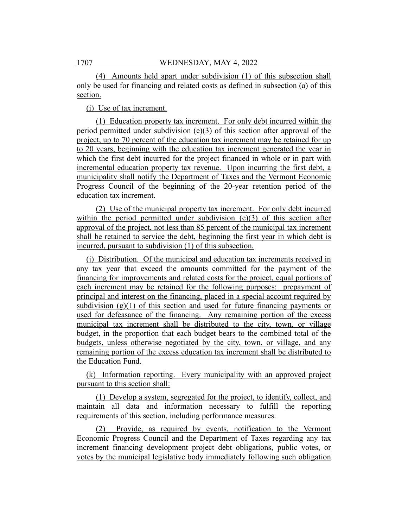(4) Amounts held apart under subdivision (1) of this subsection shall only be used for financing and related costs as defined in subsection (a) of this section.

(i) Use of tax increment.

(1) Education property tax increment. For only debt incurred within the period permitted under subdivision (e)(3) of this section after approval of the project, up to 70 percent of the education tax increment may be retained for up to 20 years, beginning with the education tax increment generated the year in which the first debt incurred for the project financed in whole or in part with incremental education property tax revenue. Upon incurring the first debt, a municipality shall notify the Department of Taxes and the Vermont Economic Progress Council of the beginning of the 20-year retention period of the education tax increment.

(2) Use of the municipal property tax increment. For only debt incurred within the period permitted under subdivision  $(e)(3)$  of this section after approval of the project, not less than 85 percent of the municipal tax increment shall be retained to service the debt, beginning the first year in which debt is incurred, pursuant to subdivision (1) of this subsection.

(j) Distribution. Of the municipal and education tax increments received in any tax year that exceed the amounts committed for the payment of the financing for improvements and related costs for the project, equal portions of each increment may be retained for the following purposes: prepayment of principal and interest on the financing, placed in a special account required by subdivision  $(g)(1)$  of this section and used for future financing payments or used for defeasance of the financing. Any remaining portion of the excess municipal tax increment shall be distributed to the city, town, or village budget, in the proportion that each budget bears to the combined total of the budgets, unless otherwise negotiated by the city, town, or village, and any remaining portion of the excess education tax increment shall be distributed to the Education Fund.

(k) Information reporting. Every municipality with an approved project pursuant to this section shall:

(1) Develop a system, segregated for the project, to identify, collect, and maintain all data and information necessary to fulfill the reporting requirements of this section, including performance measures.

(2) Provide, as required by events, notification to the Vermont Economic Progress Council and the Department of Taxes regarding any tax increment financing development project debt obligations, public votes, or votes by the municipal legislative body immediately following such obligation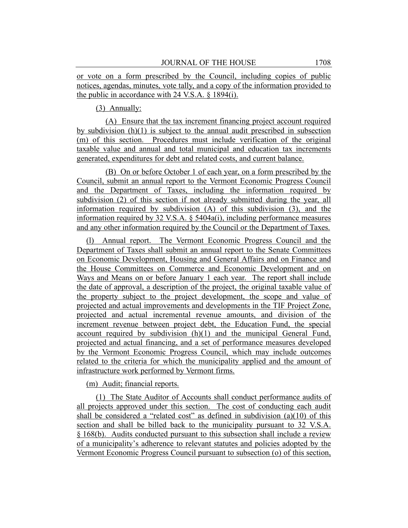or vote on a form prescribed by the Council, including copies of public notices, agendas, minutes, vote tally, and a copy of the information provided to the public in accordance with 24 V.S.A. § 1894(i).

## (3) Annually:

(A) Ensure that the tax increment financing project account required by subdivision  $(h)(1)$  is subject to the annual audit prescribed in subsection (m) of this section. Procedures must include verification of the original taxable value and annual and total municipal and education tax increments generated, expenditures for debt and related costs, and current balance.

(B) On or before October 1 of each year, on a form prescribed by the Council, submit an annual report to the Vermont Economic Progress Council and the Department of Taxes, including the information required by subdivision (2) of this section if not already submitted during the year, all information required by subdivision (A) of this subdivision (3), and the information required by 32 V.S.A.  $\delta$  5404a(i), including performance measures and any other information required by the Council or the Department of Taxes.

(l) Annual report. The Vermont Economic Progress Council and the Department of Taxes shall submit an annual report to the Senate Committees on Economic Development, Housing and General Affairs and on Finance and the House Committees on Commerce and Economic Development and on Ways and Means on or before January 1 each year. The report shall include the date of approval, a description of the project, the original taxable value of the property subject to the project development, the scope and value of projected and actual improvements and developments in the TIF Project Zone, projected and actual incremental revenue amounts, and division of the increment revenue between project debt, the Education Fund, the special account required by subdivision (h)(1) and the municipal General Fund, projected and actual financing, and a set of performance measures developed by the Vermont Economic Progress Council, which may include outcomes related to the criteria for which the municipality applied and the amount of infrastructure work performed by Vermont firms.

#### (m) Audit; financial reports.

(1) The State Auditor of Accounts shall conduct performance audits of all projects approved under this section. The cost of conducting each audit shall be considered a "related cost" as defined in subdivision (a)(10) of this section and shall be billed back to the municipality pursuant to 32 V.S.A. § 168(b). Audits conducted pursuant to this subsection shall include a review of a municipality's adherence to relevant statutes and policies adopted by the Vermont Economic Progress Council pursuant to subsection (o) of this section,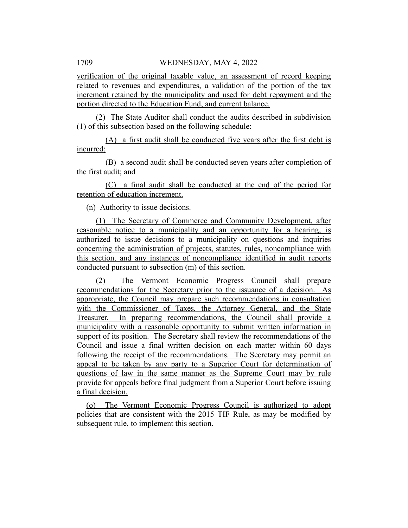verification of the original taxable value, an assessment of record keeping related to revenues and expenditures, a validation of the portion of the tax increment retained by the municipality and used for debt repayment and the portion directed to the Education Fund, and current balance.

(2) The State Auditor shall conduct the audits described in subdivision (1) of this subsection based on the following schedule:

(A) a first audit shall be conducted five years after the first debt is incurred;

(B) a second audit shall be conducted seven years after completion of the first audit; and

(C) a final audit shall be conducted at the end of the period for retention of education increment.

(n) Authority to issue decisions.

(1) The Secretary of Commerce and Community Development, after reasonable notice to a municipality and an opportunity for a hearing, is authorized to issue decisions to a municipality on questions and inquiries concerning the administration of projects, statutes, rules, noncompliance with this section, and any instances of noncompliance identified in audit reports conducted pursuant to subsection (m) of this section.

(2) The Vermont Economic Progress Council shall prepare recommendations for the Secretary prior to the issuance of a decision. As appropriate, the Council may prepare such recommendations in consultation with the Commissioner of Taxes, the Attorney General, and the State Treasurer. In preparing recommendations, the Council shall provide a municipality with a reasonable opportunity to submit written information in support of its position. The Secretary shall review the recommendations of the Council and issue a final written decision on each matter within 60 days following the receipt of the recommendations. The Secretary may permit an appeal to be taken by any party to a Superior Court for determination of questions of law in the same manner as the Supreme Court may by rule provide for appeals before final judgment from a Superior Court before issuing a final decision.

(o) The Vermont Economic Progress Council is authorized to adopt policies that are consistent with the 2015 TIF Rule, as may be modified by subsequent rule, to implement this section.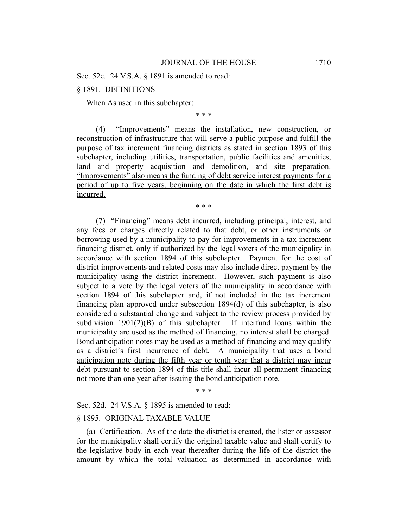Sec. 52c. 24 V.S.A. § 1891 is amended to read:

# § 1891. DEFINITIONS

When As used in this subchapter:

\* \* \*

(4) "Improvements" means the installation, new construction, or reconstruction of infrastructure that will serve a public purpose and fulfill the purpose of tax increment financing districts as stated in section 1893 of this subchapter, including utilities, transportation, public facilities and amenities, land and property acquisition and demolition, and site preparation. "Improvements" also means the funding of debt service interest payments for a period of up to five years, beginning on the date in which the first debt is incurred.

\* \* \*

(7) "Financing" means debt incurred, including principal, interest, and any fees or charges directly related to that debt, or other instruments or borrowing used by a municipality to pay for improvements in a tax increment financing district, only if authorized by the legal voters of the municipality in accordance with section 1894 of this subchapter. Payment for the cost of district improvements and related costs may also include direct payment by the municipality using the district increment. However, such payment is also subject to a vote by the legal voters of the municipality in accordance with section 1894 of this subchapter and, if not included in the tax increment financing plan approved under subsection 1894(d) of this subchapter, is also considered a substantial change and subject to the review process provided by subdivision  $1901(2)(B)$  of this subchapter. If interfund loans within the municipality are used as the method of financing, no interest shall be charged. Bond anticipation notes may be used as a method of financing and may qualify as a district's first incurrence of debt. A municipality that uses a bond anticipation note during the fifth year or tenth year that a district may incur debt pursuant to section 1894 of this title shall incur all permanent financing not more than one year after issuing the bond anticipation note.

\* \* \*

Sec. 52d. 24 V.S.A. § 1895 is amended to read:

## § 1895. ORIGINAL TAXABLE VALUE

(a) Certification. As of the date the district is created, the lister or assessor for the municipality shall certify the original taxable value and shall certify to the legislative body in each year thereafter during the life of the district the amount by which the total valuation as determined in accordance with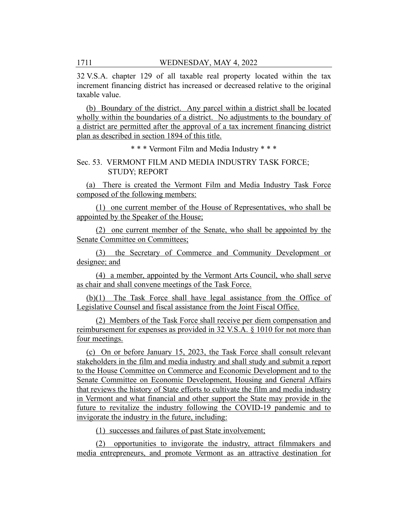32 V.S.A. chapter 129 of all taxable real property located within the tax increment financing district has increased or decreased relative to the original taxable value.

(b) Boundary of the district. Any parcel within a district shall be located wholly within the boundaries of a district. No adjustments to the boundary of a district are permitted after the approval of a tax increment financing district plan as described in section 1894 of this title.

\* \* \* Vermont Film and Media Industry \* \* \*

# Sec. 53. VERMONT FILM AND MEDIA INDUSTRY TASK FORCE; STUDY; REPORT

(a) There is created the Vermont Film and Media Industry Task Force composed of the following members:

(1) one current member of the House of Representatives, who shall be appointed by the Speaker of the House;

(2) one current member of the Senate, who shall be appointed by the Senate Committee on Committees;

(3) the Secretary of Commerce and Community Development or designee; and

(4) a member, appointed by the Vermont Arts Council, who shall serve as chair and shall convene meetings of the Task Force.

(b)(1) The Task Force shall have legal assistance from the Office of Legislative Counsel and fiscal assistance from the Joint Fiscal Office.

(2) Members of the Task Force shall receive per diem compensation and reimbursement for expenses as provided in 32 V.S.A. § 1010 for not more than four meetings.

(c) On or before January 15, 2023, the Task Force shall consult relevant stakeholders in the film and media industry and shall study and submit a report to the House Committee on Commerce and Economic Development and to the Senate Committee on Economic Development, Housing and General Affairs that reviews the history of State efforts to cultivate the film and media industry in Vermont and what financial and other support the State may provide in the future to revitalize the industry following the COVID-19 pandemic and to invigorate the industry in the future, including:

(1) successes and failures of past State involvement;

(2) opportunities to invigorate the industry, attract filmmakers and media entrepreneurs, and promote Vermont as an attractive destination for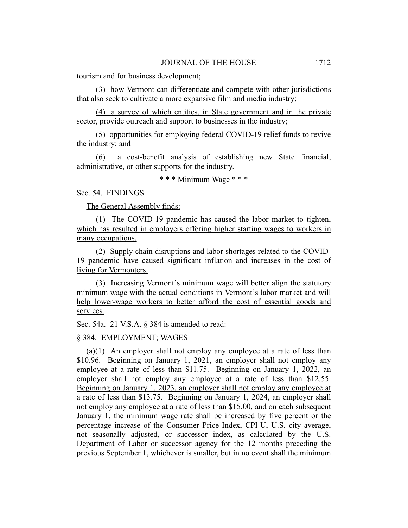tourism and for business development;

(3) how Vermont can differentiate and compete with other jurisdictions that also seek to cultivate a more expansive film and media industry;

(4) a survey of which entities, in State government and in the private sector, provide outreach and support to businesses in the industry;

(5) opportunities for employing federal COVID-19 relief funds to revive the industry; and

(6) a cost-benefit analysis of establishing new State financial, administrative, or other supports for the industry.

\* \* \* Minimum Wage \* \* \*

Sec. 54. FINDINGS

The General Assembly finds:

(1) The COVID-19 pandemic has caused the labor market to tighten, which has resulted in employers offering higher starting wages to workers in many occupations.

(2) Supply chain disruptions and labor shortages related to the COVID-19 pandemic have caused significant inflation and increases in the cost of living for Vermonters.

(3) Increasing Vermont's minimum wage will better align the statutory minimum wage with the actual conditions in Vermont's labor market and will help lower-wage workers to better afford the cost of essential goods and services.

Sec. 54a. 21 V.S.A. § 384 is amended to read:

§ 384. EMPLOYMENT; WAGES

(a)(1) An employer shall not employ any employee at a rate of less than \$10.96. Beginning on January 1, 2021, an employer shall not employ any employee at a rate of less than \$11.75. Beginning on January 1, 2022, an employer shall not employ any employee at a rate of less than \$12.55. Beginning on January 1, 2023, an employer shall not employ any employee at a rate of less than \$13.75. Beginning on January 1, 2024, an employer shall not employ any employee at a rate of less than \$15.00, and on each subsequent January 1, the minimum wage rate shall be increased by five percent or the percentage increase of the Consumer Price Index, CPI-U, U.S. city average, not seasonally adjusted, or successor index, as calculated by the U.S. Department of Labor or successor agency for the 12 months preceding the previous September 1, whichever is smaller, but in no event shall the minimum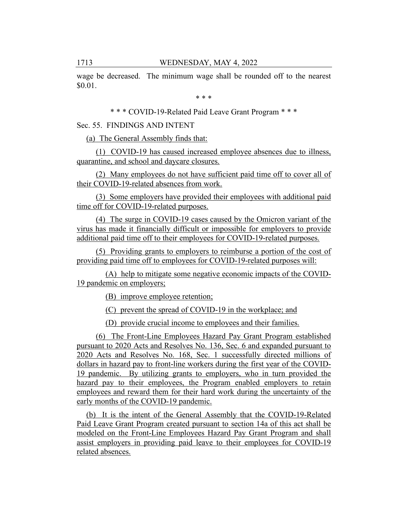wage be decreased. The minimum wage shall be rounded off to the nearest \$0.01.

\* \* \*

\* \* \* COVID-19-Related Paid Leave Grant Program \* \* \*

## Sec. 55. FINDINGS AND INTENT

(a) The General Assembly finds that:

(1) COVID-19 has caused increased employee absences due to illness, quarantine, and school and daycare closures.

(2) Many employees do not have sufficient paid time off to cover all of their COVID-19-related absences from work.

(3) Some employers have provided their employees with additional paid time off for COVID-19-related purposes.

(4) The surge in COVID-19 cases caused by the Omicron variant of the virus has made it financially difficult or impossible for employers to provide additional paid time off to their employees for COVID-19-related purposes.

(5) Providing grants to employers to reimburse a portion of the cost of providing paid time off to employees for COVID-19-related purposes will:

(A) help to mitigate some negative economic impacts of the COVID-19 pandemic on employers;

(B) improve employee retention;

(C) prevent the spread of COVID-19 in the workplace; and

(D) provide crucial income to employees and their families.

(6) The Front-Line Employees Hazard Pay Grant Program established pursuant to 2020 Acts and Resolves No. 136, Sec. 6 and expanded pursuant to 2020 Acts and Resolves No. 168, Sec. 1 successfully directed millions of dollars in hazard pay to front-line workers during the first year of the COVID-19 pandemic. By utilizing grants to employers, who in turn provided the hazard pay to their employees, the Program enabled employers to retain employees and reward them for their hard work during the uncertainty of the early months of the COVID-19 pandemic.

(b) It is the intent of the General Assembly that the COVID-19-Related Paid Leave Grant Program created pursuant to section 14a of this act shall be modeled on the Front-Line Employees Hazard Pay Grant Program and shall assist employers in providing paid leave to their employees for COVID-19 related absences.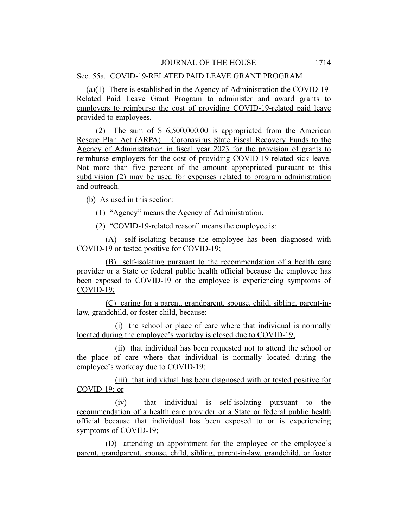## Sec. 55a. COVID-19-RELATED PAID LEAVE GRANT PROGRAM

(a)(1) There is established in the Agency of Administration the COVID-19- Related Paid Leave Grant Program to administer and award grants to employers to reimburse the cost of providing COVID-19-related paid leave provided to employees.

(2) The sum of \$16,500,000.00 is appropriated from the American Rescue Plan Act (ARPA) – Coronavirus State Fiscal Recovery Funds to the Agency of Administration in fiscal year 2023 for the provision of grants to reimburse employers for the cost of providing COVID-19-related sick leave. Not more than five percent of the amount appropriated pursuant to this subdivision (2) may be used for expenses related to program administration and outreach.

(b) As used in this section:

(1) "Agency" means the Agency of Administration.

(2) "COVID-19-related reason" means the employee is:

(A) self-isolating because the employee has been diagnosed with COVID-19 or tested positive for COVID-19;

(B) self-isolating pursuant to the recommendation of a health care provider or a State or federal public health official because the employee has been exposed to COVID-19 or the employee is experiencing symptoms of COVID-19;

(C) caring for a parent, grandparent, spouse, child, sibling, parent-inlaw, grandchild, or foster child, because:

(i) the school or place of care where that individual is normally located during the employee's workday is closed due to COVID-19;

(ii) that individual has been requested not to attend the school or the place of care where that individual is normally located during the employee's workday due to COVID-19;

(iii) that individual has been diagnosed with or tested positive for COVID-19; or

(iv) that individual is self-isolating pursuant to the recommendation of a health care provider or a State or federal public health official because that individual has been exposed to or is experiencing symptoms of COVID-19;

(D) attending an appointment for the employee or the employee's parent, grandparent, spouse, child, sibling, parent-in-law, grandchild, or foster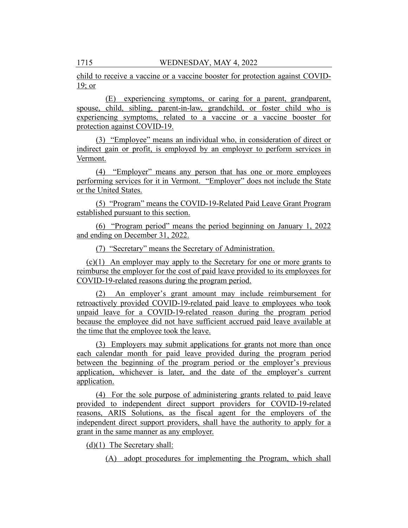child to receive a vaccine or a vaccine booster for protection against COVID-19; or

(E) experiencing symptoms, or caring for a parent, grandparent, spouse, child, sibling, parent-in-law, grandchild, or foster child who is experiencing symptoms, related to a vaccine or a vaccine booster for protection against COVID-19.

(3) "Employee" means an individual who, in consideration of direct or indirect gain or profit, is employed by an employer to perform services in Vermont.

(4) "Employer" means any person that has one or more employees performing services for it in Vermont. "Employer" does not include the State or the United States.

(5) "Program" means the COVID-19-Related Paid Leave Grant Program established pursuant to this section.

(6) "Program period" means the period beginning on January 1, 2022 and ending on December 31, 2022.

(7) "Secretary" means the Secretary of Administration.

(c)(1) An employer may apply to the Secretary for one or more grants to reimburse the employer for the cost of paid leave provided to its employees for COVID-19-related reasons during the program period.

(2) An employer's grant amount may include reimbursement for retroactively provided COVID-19-related paid leave to employees who took unpaid leave for a COVID-19-related reason during the program period because the employee did not have sufficient accrued paid leave available at the time that the employee took the leave.

(3) Employers may submit applications for grants not more than once each calendar month for paid leave provided during the program period between the beginning of the program period or the employer's previous application, whichever is later, and the date of the employer's current application.

(4) For the sole purpose of administering grants related to paid leave provided to independent direct support providers for COVID-19-related reasons, ARIS Solutions, as the fiscal agent for the employers of the independent direct support providers, shall have the authority to apply for a grant in the same manner as any employer.

(d)(1) The Secretary shall:

(A) adopt procedures for implementing the Program, which shall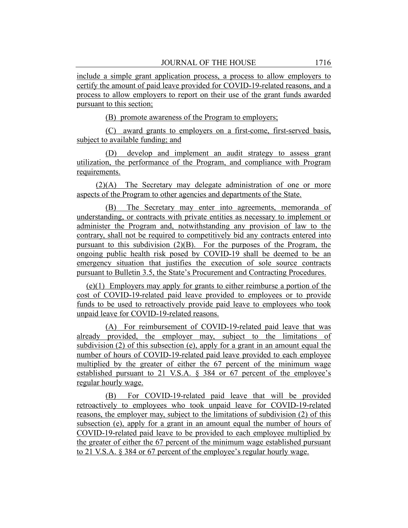include a simple grant application process, a process to allow employers to certify the amount of paid leave provided for COVID-19-related reasons, and a process to allow employers to report on their use of the grant funds awarded pursuant to this section;

(B) promote awareness of the Program to employers;

(C) award grants to employers on a first-come, first-served basis, subject to available funding; and

(D) develop and implement an audit strategy to assess grant utilization, the performance of the Program, and compliance with Program requirements.

(2)(A) The Secretary may delegate administration of one or more aspects of the Program to other agencies and departments of the State.

(B) The Secretary may enter into agreements, memoranda of understanding, or contracts with private entities as necessary to implement or administer the Program and, notwithstanding any provision of law to the contrary, shall not be required to competitively bid any contracts entered into pursuant to this subdivision  $(2)(B)$ . For the purposes of the Program, the ongoing public health risk posed by COVID-19 shall be deemed to be an emergency situation that justifies the execution of sole source contracts pursuant to Bulletin 3.5, the State's Procurement and Contracting Procedures.

(e)(1) Employers may apply for grants to either reimburse a portion of the cost of COVID-19-related paid leave provided to employees or to provide funds to be used to retroactively provide paid leave to employees who took unpaid leave for COVID-19-related reasons.

(A) For reimbursement of COVID-19-related paid leave that was already provided, the employer may, subject to the limitations of subdivision (2) of this subsection (e), apply for a grant in an amount equal the number of hours of COVID-19-related paid leave provided to each employee multiplied by the greater of either the 67 percent of the minimum wage established pursuant to 21 V.S.A. § 384 or 67 percent of the employee's regular hourly wage.

(B) For COVID-19-related paid leave that will be provided retroactively to employees who took unpaid leave for COVID-19-related reasons, the employer may, subject to the limitations of subdivision (2) of this subsection (e), apply for a grant in an amount equal the number of hours of COVID-19-related paid leave to be provided to each employee multiplied by the greater of either the 67 percent of the minimum wage established pursuant to 21 V.S.A. § 384 or 67 percent of the employee's regular hourly wage.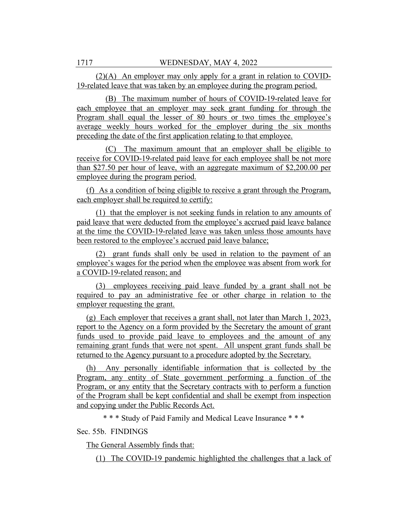(2)(A) An employer may only apply for a grant in relation to COVID-19-related leave that was taken by an employee during the program period.

(B) The maximum number of hours of COVID-19-related leave for each employee that an employer may seek grant funding for through the Program shall equal the lesser of 80 hours or two times the employee's average weekly hours worked for the employer during the six months preceding the date of the first application relating to that employee.

(C) The maximum amount that an employer shall be eligible to receive for COVID-19-related paid leave for each employee shall be not more than \$27.50 per hour of leave, with an aggregate maximum of \$2,200.00 per employee during the program period.

(f) As a condition of being eligible to receive a grant through the Program, each employer shall be required to certify:

(1) that the employer is not seeking funds in relation to any amounts of paid leave that were deducted from the employee's accrued paid leave balance at the time the COVID-19-related leave was taken unless those amounts have been restored to the employee's accrued paid leave balance;

(2) grant funds shall only be used in relation to the payment of an employee's wages for the period when the employee was absent from work for a COVID-19-related reason; and

(3) employees receiving paid leave funded by a grant shall not be required to pay an administrative fee or other charge in relation to the employer requesting the grant.

(g) Each employer that receives a grant shall, not later than March 1, 2023, report to the Agency on a form provided by the Secretary the amount of grant funds used to provide paid leave to employees and the amount of any remaining grant funds that were not spent. All unspent grant funds shall be returned to the Agency pursuant to a procedure adopted by the Secretary.

(h) Any personally identifiable information that is collected by the Program, any entity of State government performing a function of the Program, or any entity that the Secretary contracts with to perform a function of the Program shall be kept confidential and shall be exempt from inspection and copying under the Public Records Act.

\* \* \* Study of Paid Family and Medical Leave Insurance \* \* \*

Sec. 55b. FINDINGS

The General Assembly finds that:

(1) The COVID-19 pandemic highlighted the challenges that a lack of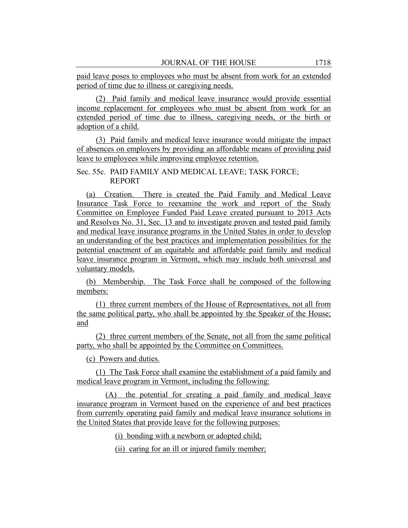paid leave poses to employees who must be absent from work for an extended period of time due to illness or caregiving needs.

(2) Paid family and medical leave insurance would provide essential income replacement for employees who must be absent from work for an extended period of time due to illness, caregiving needs, or the birth or adoption of a child.

(3) Paid family and medical leave insurance would mitigate the impact of absences on employers by providing an affordable means of providing paid leave to employees while improving employee retention.

Sec. 55c. PAID FAMILY AND MEDICAL LEAVE; TASK FORCE; REPORT

(a) Creation. There is created the Paid Family and Medical Leave Insurance Task Force to reexamine the work and report of the Study Committee on Employee Funded Paid Leave created pursuant to 2013 Acts and Resolves No. 31, Sec. 13 and to investigate proven and tested paid family and medical leave insurance programs in the United States in order to develop an understanding of the best practices and implementation possibilities for the potential enactment of an equitable and affordable paid family and medical leave insurance program in Vermont, which may include both universal and voluntary models.

(b) Membership. The Task Force shall be composed of the following members:

(1) three current members of the House of Representatives, not all from the same political party, who shall be appointed by the Speaker of the House; and

(2) three current members of the Senate, not all from the same political party, who shall be appointed by the Committee on Committees.

(c) Powers and duties.

(1) The Task Force shall examine the establishment of a paid family and medical leave program in Vermont, including the following:

(A) the potential for creating a paid family and medical leave insurance program in Vermont based on the experience of and best practices from currently operating paid family and medical leave insurance solutions in the United States that provide leave for the following purposes:

(i) bonding with a newborn or adopted child;

(ii) caring for an ill or injured family member;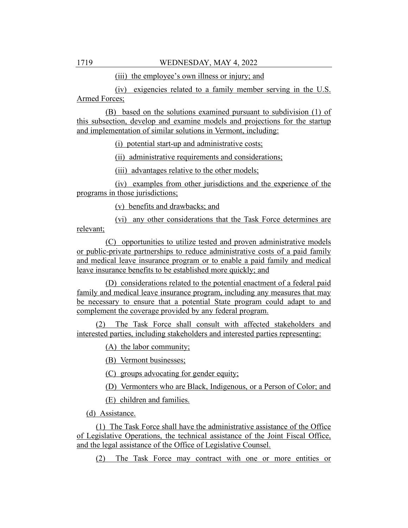(iii) the employee's own illness or injury; and

(iv) exigencies related to a family member serving in the U.S. Armed Forces;

(B) based on the solutions examined pursuant to subdivision (1) of this subsection, develop and examine models and projections for the startup and implementation of similar solutions in Vermont, including:

(i) potential start-up and administrative costs;

(ii) administrative requirements and considerations;

(iii) advantages relative to the other models;

(iv) examples from other jurisdictions and the experience of the programs in those jurisdictions;

(v) benefits and drawbacks; and

(vi) any other considerations that the Task Force determines are relevant;

(C) opportunities to utilize tested and proven administrative models or public-private partnerships to reduce administrative costs of a paid family and medical leave insurance program or to enable a paid family and medical leave insurance benefits to be established more quickly; and

(D) considerations related to the potential enactment of a federal paid family and medical leave insurance program, including any measures that may be necessary to ensure that a potential State program could adapt to and complement the coverage provided by any federal program.

(2) The Task Force shall consult with affected stakeholders and interested parties, including stakeholders and interested parties representing:

(A) the labor community;

(B) Vermont businesses;

(C) groups advocating for gender equity;

(D) Vermonters who are Black, Indigenous, or a Person of Color; and

(E) children and families.

(d) Assistance.

(1) The Task Force shall have the administrative assistance of the Office of Legislative Operations, the technical assistance of the Joint Fiscal Office, and the legal assistance of the Office of Legislative Counsel.

(2) The Task Force may contract with one or more entities or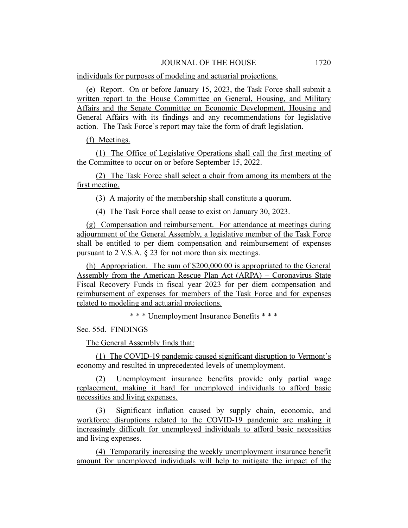individuals for purposes of modeling and actuarial projections.

(e) Report. On or before January 15, 2023, the Task Force shall submit a written report to the House Committee on General, Housing, and Military Affairs and the Senate Committee on Economic Development, Housing and General Affairs with its findings and any recommendations for legislative action. The Task Force's report may take the form of draft legislation.

(f) Meetings.

(1) The Office of Legislative Operations shall call the first meeting of the Committee to occur on or before September 15, 2022.

(2) The Task Force shall select a chair from among its members at the first meeting.

(3) A majority of the membership shall constitute a quorum.

(4) The Task Force shall cease to exist on January 30, 2023.

(g) Compensation and reimbursement. For attendance at meetings during adjournment of the General Assembly, a legislative member of the Task Force shall be entitled to per diem compensation and reimbursement of expenses pursuant to 2 V.S.A. § 23 for not more than six meetings.

(h) Appropriation. The sum of \$200,000.00 is appropriated to the General Assembly from the American Rescue Plan Act (ARPA) – Coronavirus State Fiscal Recovery Funds in fiscal year 2023 for per diem compensation and reimbursement of expenses for members of the Task Force and for expenses related to modeling and actuarial projections.

\* \* \* Unemployment Insurance Benefits \* \* \*

Sec. 55d. FINDINGS

The General Assembly finds that:

(1) The COVID-19 pandemic caused significant disruption to Vermont's economy and resulted in unprecedented levels of unemployment.

(2) Unemployment insurance benefits provide only partial wage replacement, making it hard for unemployed individuals to afford basic necessities and living expenses.

(3) Significant inflation caused by supply chain, economic, and workforce disruptions related to the COVID-19 pandemic are making it increasingly difficult for unemployed individuals to afford basic necessities and living expenses.

(4) Temporarily increasing the weekly unemployment insurance benefit amount for unemployed individuals will help to mitigate the impact of the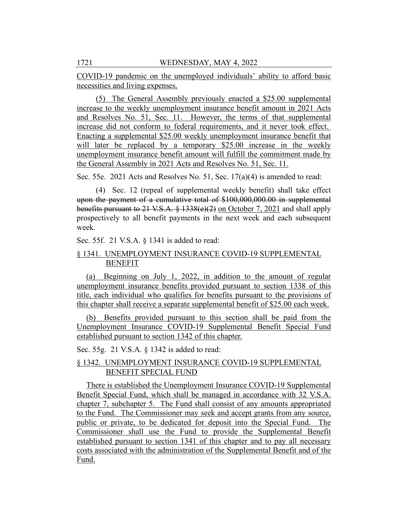COVID-19 pandemic on the unemployed individuals' ability to afford basic necessities and living expenses.

(5) The General Assembly previously enacted a \$25.00 supplemental increase to the weekly unemployment insurance benefit amount in 2021 Acts and Resolves No. 51, Sec. 11. However, the terms of that supplemental increase did not conform to federal requirements, and it never took effect. Enacting a supplemental \$25.00 weekly unemployment insurance benefit that will later be replaced by a temporary \$25.00 increase in the weekly unemployment insurance benefit amount will fulfill the commitment made by the General Assembly in 2021 Acts and Resolves No. 51, Sec. 11.

Sec. 55e. 2021 Acts and Resolves No. 51, Sec. 17(a)(4) is amended to read:

(4) Sec. 12 (repeal of supplemental weekly benefit) shall take effect upon the payment of a cumulative total of \$100,000,000.00 in supplemental benefits pursuant to 21 V.S.A. § 1338(e)(2) on October 7, 2021 and shall apply prospectively to all benefit payments in the next week and each subsequent week.

Sec. 55f. 21 V.S.A. § 1341 is added to read:

# § 1341. UNEMPLOYMENT INSURANCE COVID-19 SUPPLEMENTAL BENEFIT

(a) Beginning on July 1, 2022, in addition to the amount of regular unemployment insurance benefits provided pursuant to section 1338 of this title, each individual who qualifies for benefits pursuant to the provisions of this chapter shall receive a separate supplemental benefit of \$25.00 each week.

(b) Benefits provided pursuant to this section shall be paid from the Unemployment Insurance COVID-19 Supplemental Benefit Special Fund established pursuant to section 1342 of this chapter.

Sec. 55g. 21 V.S.A. § 1342 is added to read:

# § 1342. UNEMPLOYMENT INSURANCE COVID-19 SUPPLEMENTAL BENEFIT SPECIAL FUND

There is established the Unemployment Insurance COVID-19 Supplemental Benefit Special Fund, which shall be managed in accordance with 32 V.S.A. chapter 7, subchapter 5. The Fund shall consist of any amounts appropriated to the Fund. The Commissioner may seek and accept grants from any source, public or private, to be dedicated for deposit into the Special Fund. The Commissioner shall use the Fund to provide the Supplemental Benefit established pursuant to section 1341 of this chapter and to pay all necessary costs associated with the administration of the Supplemental Benefit and of the Fund.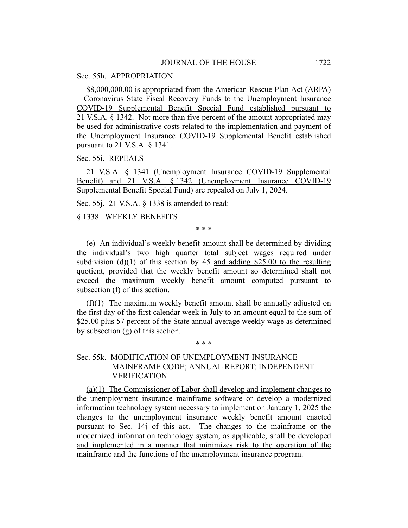# Sec. 55h. APPROPRIATION

\$8,000,000.00 is appropriated from the American Rescue Plan Act (ARPA) – Coronavirus State Fiscal Recovery Funds to the Unemployment Insurance COVID-19 Supplemental Benefit Special Fund established pursuant to 21 V.S.A. § 1342. Not more than five percent of the amount appropriated may be used for administrative costs related to the implementation and payment of the Unemployment Insurance COVID-19 Supplemental Benefit established pursuant to 21 V.S.A. § 1341.

Sec. 55i. REPEALS

21 V.S.A. § 1341 (Unemployment Insurance COVID-19 Supplemental Benefit) and 21 V.S.A. § 1342 (Unemployment Insurance COVID-19 Supplemental Benefit Special Fund) are repealed on July 1, 2024.

Sec. 55j. 21 V.S.A. § 1338 is amended to read:

§ 1338. WEEKLY BENEFITS

\* \* \*

(e) An individual's weekly benefit amount shall be determined by dividing the individual's two high quarter total subject wages required under subdivision (d)(1) of this section by 45 and adding \$25.00 to the resulting quotient, provided that the weekly benefit amount so determined shall not exceed the maximum weekly benefit amount computed pursuant to subsection (f) of this section.

(f)(1) The maximum weekly benefit amount shall be annually adjusted on the first day of the first calendar week in July to an amount equal to the sum of \$25.00 plus 57 percent of the State annual average weekly wage as determined by subsection (g) of this section.

\* \* \*

# Sec. 55k. MODIFICATION OF UNEMPLOYMENT INSURANCE MAINFRAME CODE; ANNUAL REPORT; INDEPENDENT VERIFICATION

(a)(1) The Commissioner of Labor shall develop and implement changes to the unemployment insurance mainframe software or develop a modernized information technology system necessary to implement on January 1, 2025 the changes to the unemployment insurance weekly benefit amount enacted pursuant to Sec. 14j of this act. The changes to the mainframe or the modernized information technology system, as applicable, shall be developed and implemented in a manner that minimizes risk to the operation of the mainframe and the functions of the unemployment insurance program.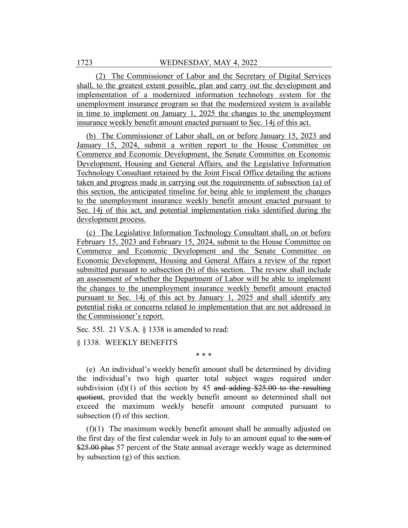(2) The Commissioner of Labor and the Secretary of Digital Services shall, to the greatest extent possible, plan and carry out the development and implementation of a modernized information technology system for the unemployment insurance program so that the modernized system is available in time to implement on January 1, 2025 the changes to the unemployment insurance weekly benefit amount enacted pursuant to Sec. 14j of this act.

(b) The Commissioner of Labor shall, on or before January 15, 2023 and January 15, 2024, submit a written report to the House Committee on Commerce and Economic Development, the Senate Committee on Economic Development, Housing and General Affairs, and the Legislative Information Technology Consultant retained by the Joint Fiscal Office detailing the actions taken and progress made in carrying out the requirements of subsection (a) of this section, the anticipated timeline for being able to implement the changes to the unemployment insurance weekly benefit amount enacted pursuant to Sec. 14j of this act, and potential implementation risks identified during the development process.

(c) The Legislative Information Technology Consultant shall, on or before February 15, 2023 and February 15, 2024, submit to the House Committee on Commerce and Economic Development and the Senate Committee on Economic Development, Housing and General Affairs a review of the report submitted pursuant to subsection (b) of this section. The review shall include an assessment of whether the Department of Labor will be able to implement the changes to the unemployment insurance weekly benefit amount enacted pursuant to Sec. 14j of this act by January 1, 2025 and shall identify any potential risks or concerns related to implementation that are not addressed in the Commissioner's report.

Sec. 55l. 21 V.S.A. § 1338 is amended to read:

§ 1338. WEEKLY BENEFITS

\* \* \*

(e) An individual's weekly benefit amount shall be determined by dividing the individual's two high quarter total subject wages required under subdivision (d)(1) of this section by 45 and adding  $$25.00$  to the resulting quotient, provided that the weekly benefit amount so determined shall not exceed the maximum weekly benefit amount computed pursuant to subsection (f) of this section.

(f)(1) The maximum weekly benefit amount shall be annually adjusted on the first day of the first calendar week in July to an amount equal to the sum of \$25.00 plus 57 percent of the State annual average weekly wage as determined by subsection (g) of this section.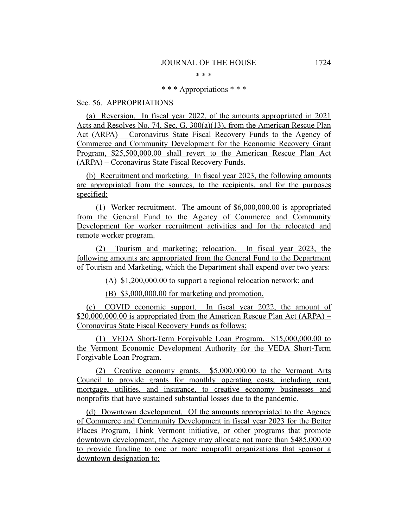\* \* \*

\* \* \* Appropriations \* \* \*

Sec. 56. APPROPRIATIONS

(a) Reversion. In fiscal year 2022, of the amounts appropriated in 2021 Acts and Resolves No. 74, Sec. G. 300(a)(13), from the American Rescue Plan Act (ARPA) – Coronavirus State Fiscal Recovery Funds to the Agency of Commerce and Community Development for the Economic Recovery Grant Program, \$25,500,000.00 shall revert to the American Rescue Plan Act (ARPA) – Coronavirus State Fiscal Recovery Funds.

(b) Recruitment and marketing. In fiscal year 2023, the following amounts are appropriated from the sources, to the recipients, and for the purposes specified:

(1) Worker recruitment. The amount of \$6,000,000.00 is appropriated from the General Fund to the Agency of Commerce and Community Development for worker recruitment activities and for the relocated and remote worker program.

(2) Tourism and marketing; relocation. In fiscal year 2023, the following amounts are appropriated from the General Fund to the Department of Tourism and Marketing, which the Department shall expend over two years:

(A) \$1,200,000.00 to support a regional relocation network; and

(B) \$3,000,000.00 for marketing and promotion.

(c) COVID economic support. In fiscal year 2022, the amount of \$20,000,000.00 is appropriated from the American Rescue Plan Act (ARPA) – Coronavirus State Fiscal Recovery Funds as follows:

(1) VEDA Short-Term Forgivable Loan Program. \$15,000,000.00 to the Vermont Economic Development Authority for the VEDA Short-Term Forgivable Loan Program.

(2) Creative economy grants. \$5,000,000.00 to the Vermont Arts Council to provide grants for monthly operating costs, including rent, mortgage, utilities, and insurance, to creative economy businesses and nonprofits that have sustained substantial losses due to the pandemic.

(d) Downtown development. Of the amounts appropriated to the Agency of Commerce and Community Development in fiscal year 2023 for the Better Places Program, Think Vermont initiative, or other programs that promote downtown development, the Agency may allocate not more than \$485,000.00 to provide funding to one or more nonprofit organizations that sponsor a downtown designation to: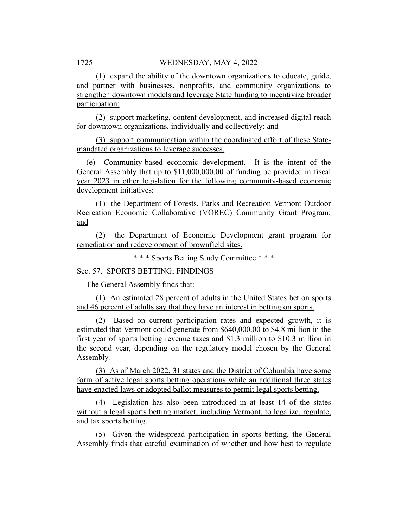(1) expand the ability of the downtown organizations to educate, guide, and partner with businesses, nonprofits, and community organizations to strengthen downtown models and leverage State funding to incentivize broader participation;

(2) support marketing, content development, and increased digital reach for downtown organizations, individually and collectively; and

(3) support communication within the coordinated effort of these Statemandated organizations to leverage successes.

(e) Community-based economic development. It is the intent of the General Assembly that up to \$11,000,000.00 of funding be provided in fiscal year 2023 in other legislation for the following community-based economic development initiatives:

(1) the Department of Forests, Parks and Recreation Vermont Outdoor Recreation Economic Collaborative (VOREC) Community Grant Program; and

(2) the Department of Economic Development grant program for remediation and redevelopment of brownfield sites.

\* \* \* Sports Betting Study Committee \* \* \*

Sec. 57. SPORTS BETTING; FINDINGS

The General Assembly finds that:

(1) An estimated 28 percent of adults in the United States bet on sports and 46 percent of adults say that they have an interest in betting on sports.

(2) Based on current participation rates and expected growth, it is estimated that Vermont could generate from \$640,000.00 to \$4.8 million in the first year of sports betting revenue taxes and \$1.3 million to \$10.3 million in the second year, depending on the regulatory model chosen by the General Assembly.

(3) As of March 2022, 31 states and the District of Columbia have some form of active legal sports betting operations while an additional three states have enacted laws or adopted ballot measures to permit legal sports betting.

(4) Legislation has also been introduced in at least 14 of the states without a legal sports betting market, including Vermont, to legalize, regulate, and tax sports betting.

(5) Given the widespread participation in sports betting, the General Assembly finds that careful examination of whether and how best to regulate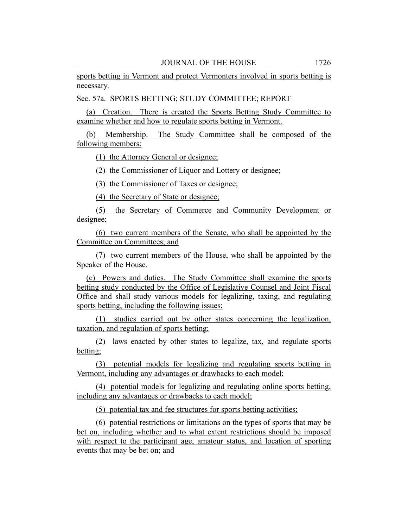sports betting in Vermont and protect Vermonters involved in sports betting is necessary.

Sec. 57a. SPORTS BETTING; STUDY COMMITTEE; REPORT

(a) Creation. There is created the Sports Betting Study Committee to examine whether and how to regulate sports betting in Vermont.

(b) Membership. The Study Committee shall be composed of the following members:

(1) the Attorney General or designee;

(2) the Commissioner of Liquor and Lottery or designee;

(3) the Commissioner of Taxes or designee;

(4) the Secretary of State or designee;

(5) the Secretary of Commerce and Community Development or designee;

(6) two current members of the Senate, who shall be appointed by the Committee on Committees; and

(7) two current members of the House, who shall be appointed by the Speaker of the House.

(c) Powers and duties. The Study Committee shall examine the sports betting study conducted by the Office of Legislative Counsel and Joint Fiscal Office and shall study various models for legalizing, taxing, and regulating sports betting, including the following issues:

(1) studies carried out by other states concerning the legalization, taxation, and regulation of sports betting;

(2) laws enacted by other states to legalize, tax, and regulate sports betting;

(3) potential models for legalizing and regulating sports betting in Vermont, including any advantages or drawbacks to each model;

(4) potential models for legalizing and regulating online sports betting, including any advantages or drawbacks to each model;

(5) potential tax and fee structures for sports betting activities;

(6) potential restrictions or limitations on the types of sports that may be bet on, including whether and to what extent restrictions should be imposed with respect to the participant age, amateur status, and location of sporting events that may be bet on; and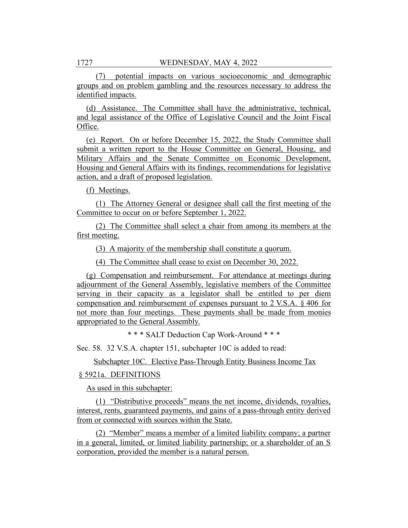(7) potential impacts on various socioeconomic and demographic groups and on problem gambling and the resources necessary to address the identified impacts.

(d) Assistance. The Committee shall have the administrative, technical, and legal assistance of the Office of Legislative Council and the Joint Fiscal Office.

(e) Report. On or before December 15, 2022, the Study Committee shall submit a written report to the House Committee on General, Housing, and Military Affairs and the Senate Committee on Economic Development, Housing and General Affairs with its findings, recommendations for legislative action, and a draft of proposed legislation.

(f) Meetings.

(1) The Attorney General or designee shall call the first meeting of the Committee to occur on or before September 1, 2022.

(2) The Committee shall select a chair from among its members at the first meeting.

(3) A majority of the membership shall constitute a quorum.

(4) The Committee shall cease to exist on December 30, 2022.

(g) Compensation and reimbursement. For attendance at meetings during adjournment of the General Assembly, legislative members of the Committee serving in their capacity as a legislator shall be entitled to per diem compensation and reimbursement of expenses pursuant to 2 V.S.A. § 406 for not more than four meetings. These payments shall be made from monies appropriated to the General Assembly.

\* \* \* SALT Deduction Cap Work-Around \* \* \*

Sec. 58. 32 V.S.A. chapter 151, subchapter 10C is added to read:

Subchapter 10C. Elective Pass-Through Entity Business Income Tax

## § 5921a. DEFINITIONS

As used in this subchapter:

(1) "Distributive proceeds" means the net income, dividends, royalties, interest, rents, guaranteed payments, and gains of a pass-through entity derived from or connected with sources within the State.

(2) "Member" means a member of a limited liability company; a partner in a general, limited, or limited liability partnership; or a shareholder of an S corporation, provided the member is a natural person.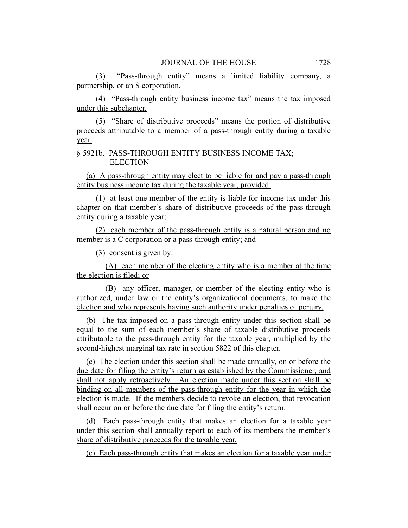(3) "Pass-through entity" means a limited liability company, a partnership, or an S corporation.

(4) "Pass-through entity business income tax" means the tax imposed under this subchapter.

(5) "Share of distributive proceeds" means the portion of distributive proceeds attributable to a member of a pass-through entity during a taxable year.

# § 5921b. PASS-THROUGH ENTITY BUSINESS INCOME TAX; **ELECTION**

(a) A pass-through entity may elect to be liable for and pay a pass-through entity business income tax during the taxable year, provided:

(1) at least one member of the entity is liable for income tax under this chapter on that member's share of distributive proceeds of the pass-through entity during a taxable year;

(2) each member of the pass-through entity is a natural person and no member is a C corporation or a pass-through entity; and

(3) consent is given by:

(A) each member of the electing entity who is a member at the time the election is filed; or

(B) any officer, manager, or member of the electing entity who is authorized, under law or the entity's organizational documents, to make the election and who represents having such authority under penalties of perjury.

(b) The tax imposed on a pass-through entity under this section shall be equal to the sum of each member's share of taxable distributive proceeds attributable to the pass-through entity for the taxable year, multiplied by the second-highest marginal tax rate in section 5822 of this chapter.

(c) The election under this section shall be made annually, on or before the due date for filing the entity's return as established by the Commissioner, and shall not apply retroactively. An election made under this section shall be binding on all members of the pass-through entity for the year in which the election is made. If the members decide to revoke an election, that revocation shall occur on or before the due date for filing the entity's return.

(d) Each pass-through entity that makes an election for a taxable year under this section shall annually report to each of its members the member's share of distributive proceeds for the taxable year.

(e) Each pass-through entity that makes an election for a taxable year under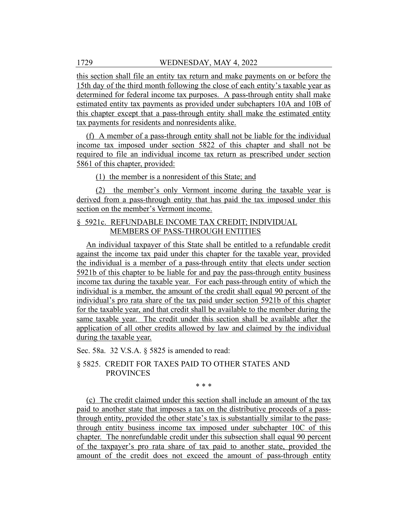this section shall file an entity tax return and make payments on or before the 15th day of the third month following the close of each entity's taxable year as determined for federal income tax purposes. A pass-through entity shall make estimated entity tax payments as provided under subchapters 10A and 10B of this chapter except that a pass-through entity shall make the estimated entity tax payments for residents and nonresidents alike.

(f) A member of a pass-through entity shall not be liable for the individual income tax imposed under section 5822 of this chapter and shall not be required to file an individual income tax return as prescribed under section 5861 of this chapter, provided:

(1) the member is a nonresident of this State; and

(2) the member's only Vermont income during the taxable year is derived from a pass-through entity that has paid the tax imposed under this section on the member's Vermont income.

# § 5921c. REFUNDABLE INCOME TAX CREDIT; INDIVIDUAL MEMBERS OF PASS-THROUGH ENTITIES

An individual taxpayer of this State shall be entitled to a refundable credit against the income tax paid under this chapter for the taxable year, provided the individual is a member of a pass-through entity that elects under section 5921b of this chapter to be liable for and pay the pass-through entity business income tax during the taxable year. For each pass-through entity of which the individual is a member, the amount of the credit shall equal 90 percent of the individual's pro rata share of the tax paid under section 5921b of this chapter for the taxable year, and that credit shall be available to the member during the same taxable year. The credit under this section shall be available after the application of all other credits allowed by law and claimed by the individual during the taxable year.

Sec. 58a. 32 V.S.A. § 5825 is amended to read:

# § 5825. CREDIT FOR TAXES PAID TO OTHER STATES AND PROVINCES

\* \* \*

(c) The credit claimed under this section shall include an amount of the tax paid to another state that imposes a tax on the distributive proceeds of a passthrough entity, provided the other state's tax is substantially similar to the passthrough entity business income tax imposed under subchapter 10C of this chapter. The nonrefundable credit under this subsection shall equal 90 percent of the taxpayer's pro rata share of tax paid to another state, provided the amount of the credit does not exceed the amount of pass-through entity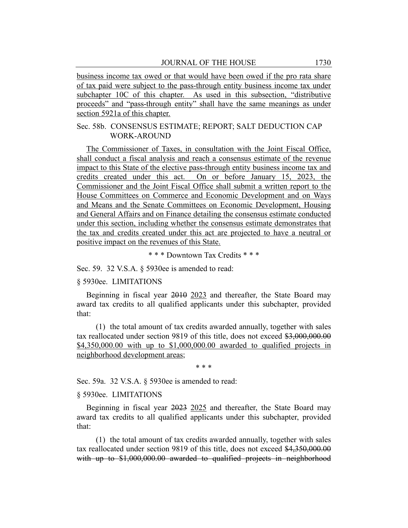business income tax owed or that would have been owed if the pro rata share of tax paid were subject to the pass-through entity business income tax under subchapter 10C of this chapter. As used in this subsection, "distributive proceeds" and "pass-through entity" shall have the same meanings as under section 5921a of this chapter.

# Sec. 58b. CONSENSUS ESTIMATE; REPORT; SALT DEDUCTION CAP WORK-AROUND

The Commissioner of Taxes, in consultation with the Joint Fiscal Office, shall conduct a fiscal analysis and reach a consensus estimate of the revenue impact to this State of the elective pass-through entity business income tax and credits created under this act. On or before January 15, 2023, the Commissioner and the Joint Fiscal Office shall submit a written report to the House Committees on Commerce and Economic Development and on Ways and Means and the Senate Committees on Economic Development, Housing and General Affairs and on Finance detailing the consensus estimate conducted under this section, including whether the consensus estimate demonstrates that the tax and credits created under this act are projected to have a neutral or positive impact on the revenues of this State.

\* \* \* Downtown Tax Credits \* \* \*

Sec. 59. 32 V.S.A. § 5930ee is amended to read:

## § 5930ee. LIMITATIONS

Beginning in fiscal year 2010 2023 and thereafter, the State Board may award tax credits to all qualified applicants under this subchapter, provided that:

(1) the total amount of tax credits awarded annually, together with sales tax reallocated under section 9819 of this title, does not exceed \$3,000,000.00 \$4,350,000.00 with up to \$1,000,000.00 awarded to qualified projects in neighborhood development areas;

\* \* \*

Sec. 59a. 32 V.S.A. § 5930ee is amended to read:

#### § 5930ee. LIMITATIONS

Beginning in fiscal year 2023 2025 and thereafter, the State Board may award tax credits to all qualified applicants under this subchapter, provided that:

(1) the total amount of tax credits awarded annually, together with sales tax reallocated under section 9819 of this title, does not exceed \$4,350,000.00 with up to \$1,000,000.00 awarded to qualified projects in neighborhood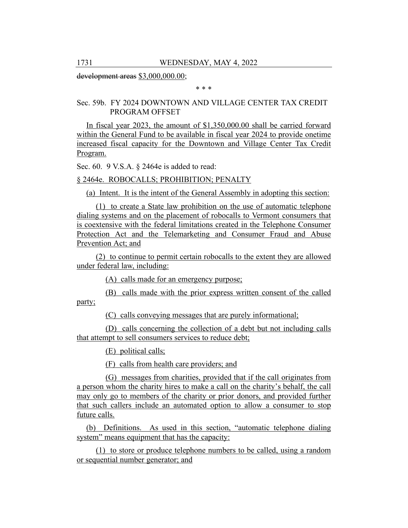development areas \$3,000,000.00;

\* \* \*

# Sec. 59b. FY 2024 DOWNTOWN AND VILLAGE CENTER TAX CREDIT PROGRAM OFFSET

In fiscal year 2023, the amount of \$1,350,000.00 shall be carried forward within the General Fund to be available in fiscal year 2024 to provide onetime increased fiscal capacity for the Downtown and Village Center Tax Credit Program.

Sec. 60. 9 V.S.A. § 2464e is added to read:

# § 2464e. ROBOCALLS; PROHIBITION; PENALTY

(a) Intent. It is the intent of the General Assembly in adopting this section:

(1) to create a State law prohibition on the use of automatic telephone dialing systems and on the placement of robocalls to Vermont consumers that is coextensive with the federal limitations created in the Telephone Consumer Protection Act and the Telemarketing and Consumer Fraud and Abuse Prevention Act; and

(2) to continue to permit certain robocalls to the extent they are allowed under federal law, including:

(A) calls made for an emergency purpose;

(B) calls made with the prior express written consent of the called party;

(C) calls conveying messages that are purely informational;

(D) calls concerning the collection of a debt but not including calls that attempt to sell consumers services to reduce debt;

(E) political calls;

(F) calls from health care providers; and

(G) messages from charities, provided that if the call originates from a person whom the charity hires to make a call on the charity's behalf, the call may only go to members of the charity or prior donors, and provided further that such callers include an automated option to allow a consumer to stop future calls.

(b) Definitions. As used in this section, "automatic telephone dialing system" means equipment that has the capacity:

(1) to store or produce telephone numbers to be called, using a random or sequential number generator; and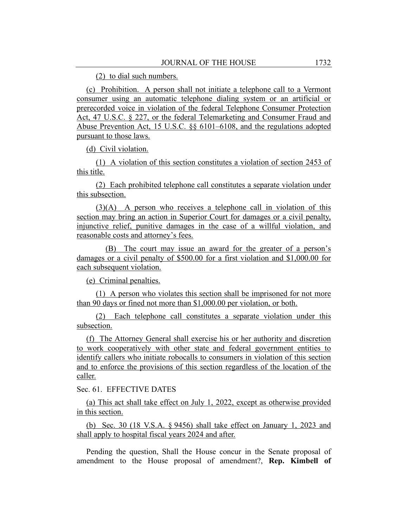(2) to dial such numbers.

(c) Prohibition. A person shall not initiate a telephone call to a Vermont consumer using an automatic telephone dialing system or an artificial or prerecorded voice in violation of the federal Telephone Consumer Protection Act, 47 U.S.C. § 227, or the federal Telemarketing and Consumer Fraud and Abuse Prevention Act, 15 U.S.C. §§ 6101–6108, and the regulations adopted pursuant to those laws.

(d) Civil violation.

(1) A violation of this section constitutes a violation of section 2453 of this title.

(2) Each prohibited telephone call constitutes a separate violation under this subsection.

(3)(A) A person who receives a telephone call in violation of this section may bring an action in Superior Court for damages or a civil penalty, injunctive relief, punitive damages in the case of a willful violation, and reasonable costs and attorney's fees.

(B) The court may issue an award for the greater of a person's damages or a civil penalty of \$500.00 for a first violation and \$1,000.00 for each subsequent violation.

(e) Criminal penalties.

(1) A person who violates this section shall be imprisoned for not more than 90 days or fined not more than \$1,000.00 per violation, or both.

(2) Each telephone call constitutes a separate violation under this subsection.

(f) The Attorney General shall exercise his or her authority and discretion to work cooperatively with other state and federal government entities to identify callers who initiate robocalls to consumers in violation of this section and to enforce the provisions of this section regardless of the location of the caller.

Sec. 61. EFFECTIVE DATES

(a) This act shall take effect on July 1, 2022, except as otherwise provided in this section.

(b) Sec. 30 (18 V.S.A. § 9456) shall take effect on January 1, 2023 and shall apply to hospital fiscal years 2024 and after.

Pending the question, Shall the House concur in the Senate proposal of amendment to the House proposal of amendment?, **Rep. Kimbell of**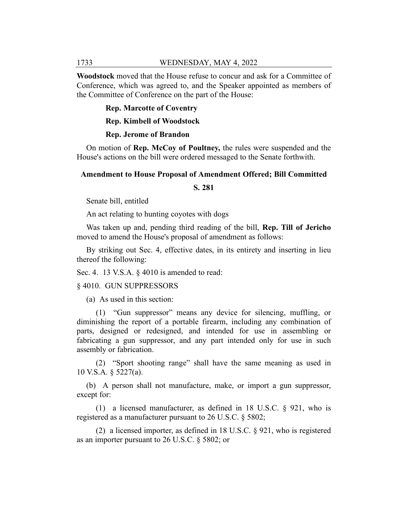**Woodstock** moved that the House refuse to concur and ask for a Committee of Conference, which was agreed to, and the Speaker appointed as members of the Committee of Conference on the part of the House:

#### **Rep. Marcotte of Coventry**

**Rep. Kimbell of Woodstock**

#### **Rep. Jerome of Brandon**

On motion of **Rep. McCoy of Poultney,** the rules were suspended and the House's actions on the bill were ordered messaged to the Senate forthwith.

#### **Amendment to House Proposal of Amendment Offered; Bill Committed**

**S. 281**

Senate bill, entitled

An act relating to hunting coyotes with dogs

Was taken up and, pending third reading of the bill, **Rep. Till of Jericho** moved to amend the House's proposal of amendment as follows:

By striking out Sec. 4, effective dates, in its entirety and inserting in lieu thereof the following:

Sec. 4. 13 V.S.A. § 4010 is amended to read:

#### § 4010. GUN SUPPRESSORS

(a) As used in this section:

(1) "Gun suppressor" means any device for silencing, muffling, or diminishing the report of a portable firearm, including any combination of parts, designed or redesigned, and intended for use in assembling or fabricating a gun suppressor, and any part intended only for use in such assembly or fabrication.

(2) "Sport shooting range" shall have the same meaning as used in 10 V.S.A. § 5227(a).

(b) A person shall not manufacture, make, or import a gun suppressor, except for:

(1) a licensed manufacturer, as defined in 18 U.S.C. § 921, who is registered as a manufacturer pursuant to 26 U.S.C. § 5802;

(2) a licensed importer, as defined in 18 U.S.C. § 921, who is registered as an importer pursuant to 26 U.S.C. § 5802; or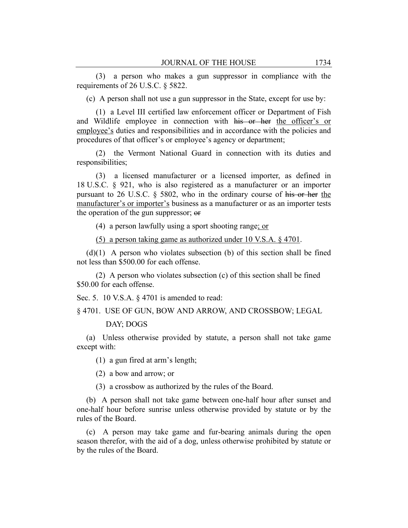(3) a person who makes a gun suppressor in compliance with the requirements of 26 U.S.C. § 5822.

(c) A person shall not use a gun suppressor in the State, except for use by:

(1) a Level III certified law enforcement officer or Department of Fish and Wildlife employee in connection with his or her the officer's or employee's duties and responsibilities and in accordance with the policies and procedures of that officer's or employee's agency or department;

(2) the Vermont National Guard in connection with its duties and responsibilities;

(3) a licensed manufacturer or a licensed importer, as defined in 18 U.S.C. § 921, who is also registered as a manufacturer or an importer pursuant to 26 U.S.C. § 5802, who in the ordinary course of his or her the manufacturer's or importer's business as a manufacturer or as an importer tests the operation of the gun suppressor; or

(4) a person lawfully using a sport shooting range; or

(5) a person taking game as authorized under 10 V.S.A. § 4701.

 $(d)(1)$  A person who violates subsection (b) of this section shall be fined not less than \$500.00 for each offense.

(2) A person who violates subsection (c) of this section shall be fined \$50.00 for each offense.

Sec. 5. 10 V.S.A. § 4701 is amended to read:

§ 4701. USE OF GUN, BOW AND ARROW, AND CROSSBOW; LEGAL

DAY; DOGS

(a) Unless otherwise provided by statute, a person shall not take game except with:

(1) a gun fired at arm's length;

(2) a bow and arrow; or

(3) a crossbow as authorized by the rules of the Board.

(b) A person shall not take game between one-half hour after sunset and one-half hour before sunrise unless otherwise provided by statute or by the rules of the Board.

(c) A person may take game and fur-bearing animals during the open season therefor, with the aid of a dog, unless otherwise prohibited by statute or by the rules of the Board.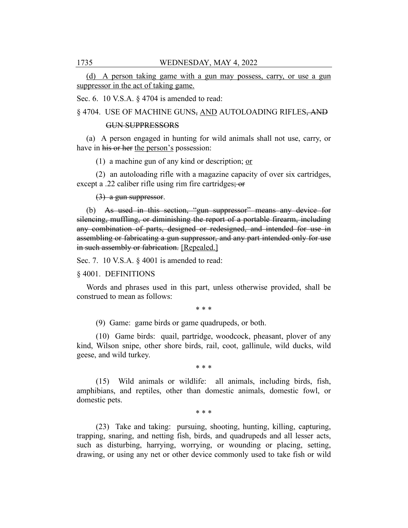(d) A person taking game with a gun may possess, carry, or use a gun suppressor in the act of taking game.

Sec. 6. 10 V.S.A. § 4704 is amended to read:

§ 4704. USE OF MACHINE GUNS, AND AUTOLOADING RIFLES, AND

#### GUN SUPPRESSORS

(a) A person engaged in hunting for wild animals shall not use, carry, or have in his or her the person's possession:

(1) a machine gun of any kind or description; or

(2) an autoloading rifle with a magazine capacity of over six cartridges, except a .22 caliber rifle using rim fire cartridges; or

(3) a gun suppressor.

(b) As used in this section, "gun suppressor" means any device for silencing, muffling, or diminishing the report of a portable firearm, including any combination of parts, designed or redesigned, and intended for use in assembling or fabricating a gun suppressor, and any part intended only for use in such assembly or fabrication. [Repealed.]

Sec. 7. 10 V.S.A. § 4001 is amended to read:

#### § 4001. DEFINITIONS

Words and phrases used in this part, unless otherwise provided, shall be construed to mean as follows:

\* \* \*

(9) Game: game birds or game quadrupeds, or both.

(10) Game birds: quail, partridge, woodcock, pheasant, plover of any kind, Wilson snipe, other shore birds, rail, coot, gallinule, wild ducks, wild geese, and wild turkey.

\* \* \*

(15) Wild animals or wildlife: all animals, including birds, fish, amphibians, and reptiles, other than domestic animals, domestic fowl, or domestic pets.

\* \* \*

(23) Take and taking: pursuing, shooting, hunting, killing, capturing, trapping, snaring, and netting fish, birds, and quadrupeds and all lesser acts, such as disturbing, harrying, worrying, or wounding or placing, setting, drawing, or using any net or other device commonly used to take fish or wild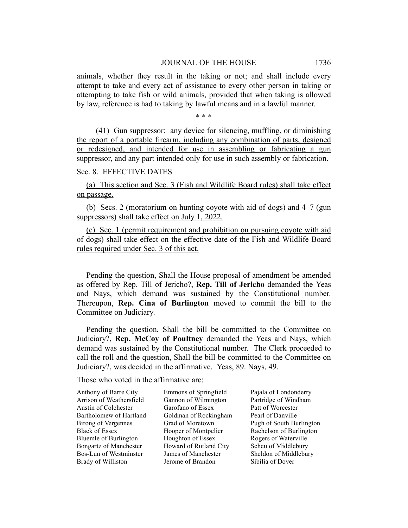animals, whether they result in the taking or not; and shall include every attempt to take and every act of assistance to every other person in taking or attempting to take fish or wild animals, provided that when taking is allowed by law, reference is had to taking by lawful means and in a lawful manner.

\* \* \*

(41) Gun suppressor: any device for silencing, muffling, or diminishing the report of a portable firearm, including any combination of parts, designed or redesigned, and intended for use in assembling or fabricating a gun suppressor, and any part intended only for use in such assembly or fabrication.

#### Sec. 8. EFFECTIVE DATES

(a) This section and Sec. 3 (Fish and Wildlife Board rules) shall take effect on passage.

(b) Secs. 2 (moratorium on hunting coyote with aid of dogs) and 4–7 (gun suppressors) shall take effect on July 1, 2022.

(c) Sec. 1 (permit requirement and prohibition on pursuing coyote with aid of dogs) shall take effect on the effective date of the Fish and Wildlife Board rules required under Sec. 3 of this act.

Pending the question, Shall the House proposal of amendment be amended as offered by Rep. Till of Jericho?, **Rep. Till of Jericho** demanded the Yeas and Nays, which demand was sustained by the Constitutional number. Thereupon, **Rep. Cina of Burlington** moved to commit the bill to the Committee on Judiciary.

Pending the question, Shall the bill be committed to the Committee on Judiciary?, **Rep. McCoy of Poultney** demanded the Yeas and Nays, which demand was sustained by the Constitutional number. The Clerk proceeded to call the roll and the question, Shall the bill be committed to the Committee on Judiciary?, was decided in the affirmative. Yeas, 89. Nays, 49.

Those who voted in the affirmative are:

Anthony of Barre City Arrison of Weathersfield Austin of Colchester Bartholomew of Hartland Birong of Vergennes Black of Essex Bluemle of Burlington Bongartz of Manchester Bos-Lun of Westminster Brady of Williston

Emmons of Springfield Gannon of Wilmington Garofano of Essex Goldman of Rockingham Grad of Moretown Hooper of Montpelier Houghton of Essex Howard of Rutland City James of Manchester Jerome of Brandon

Pajala of Londonderry Partridge of Windham Patt of Worcester Pearl of Danville Pugh of South Burlington Rachelson of Burlington Rogers of Waterville Scheu of Middlebury Sheldon of Middlebury Sibilia of Dover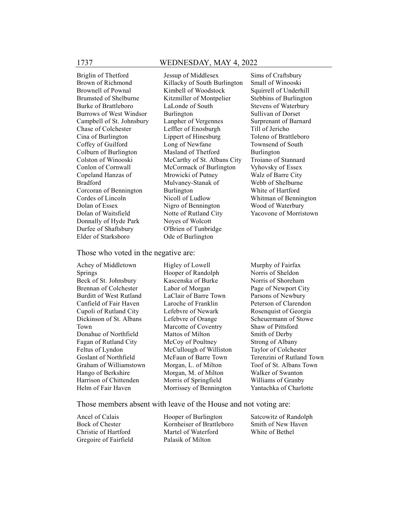Briglin of Thetford Brown of Richmond Brownell of Pownal Brumsted of Shelburne Burke of Brattleboro Burrows of West Windsor Campbell of St. Johnsbury Chase of Colchester Cina of Burlington Coffey of Guilford Colburn of Burlington Colston of Winooski Conlon of Cornwall Copeland Hanzas of Bradford Corcoran of Bennington Cordes of Lincoln Dolan of Essex Dolan of Waitsfield Donnally of Hyde Park Durfee of Shaftsbury Elder of Starksboro

Jessup of Middlesex Killacky of South Burlington Kimbell of Woodstock Kitzmiller of Montpelier LaLonde of South Burlington Lanpher of Vergennes Leffler of Enosburgh Lippert of Hinesburg Long of Newfane Masland of Thetford McCarthy of St. Albans City McCormack of Burlington Mrowicki of Putney Mulvaney-Stanak of Burlington Nicoll of Ludlow Nigro of Bennington Notte of Rutland City Noyes of Wolcott O'Brien of Tunbridge Ode of Burlington

Sims of Craftsbury Small of Winooski Squirrell of Underhill Stebbins of Burlington Stevens of Waterbury Sullivan of Dorset Surprenant of Barnard Till of Jericho Toleno of Brattleboro Townsend of South Burlington Troiano of Stannard Vyhovsky of Essex Walz of Barre City Webb of Shelburne White of Hartford Whitman of Bennington Wood of Waterbury Yacovone of Morristown

Those who voted in the negative are:

Achey of Middletown Springs Beck of St. Johnsbury Brennan of Colchester Burditt of West Rutland Canfield of Fair Haven Cupoli of Rutland City Dickinson of St. Albans Town Donahue of Northfield Fagan of Rutland City Feltus of Lyndon Goslant of Northfield Graham of Williamstown Hango of Berkshire Harrison of Chittenden Helm of Fair Haven

Higley of Lowell Hooper of Randolph Kascenska of Burke Labor of Morgan LaClair of Barre Town Laroche of Franklin Lefebvre of Newark Lefebvre of Orange Marcotte of Coventry Mattos of Milton McCoy of Poultney McCullough of Williston McFaun of Barre Town Morgan, L. of Milton Morgan, M. of Milton Morris of Springfield Morrissey of Bennington

Murphy of Fairfax Norris of Sheldon Norris of Shoreham Page of Newport City Parsons of Newbury Peterson of Clarendon Rosenquist of Georgia Scheuermann of Stowe Shaw of Pittsford Smith of Derby Strong of Albany Taylor of Colchester Terenzini of Rutland Town Toof of St. Albans Town Walker of Swanton Williams of Granby Yantachka of Charlotte

Those members absent with leave of the House and not voting are:

Ancel of Calais Bock of Chester Christie of Hartford Gregoire of Fairfield

Hooper of Burlington Kornheiser of Brattleboro Martel of Waterford Palasik of Milton

Satcowitz of Randolph Smith of New Haven White of Bethel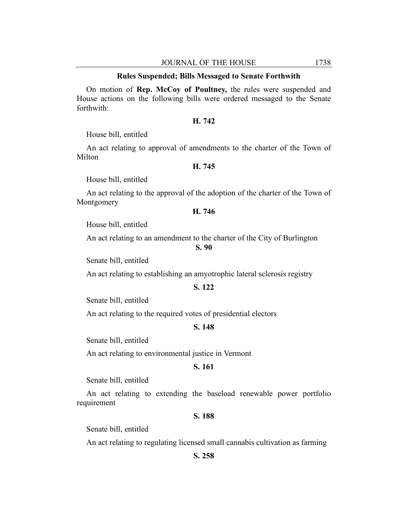#### **Rules Suspended; Bills Messaged to Senate Forthwith**

On motion of **Rep. McCoy of Poultney,** the rules were suspended and House actions on the following bills were ordered messaged to the Senate forthwith:

# **H. 742**

House bill, entitled

An act relating to approval of amendments to the charter of the Town of Milton

## **H. 745**

House bill, entitled

An act relating to the approval of the adoption of the charter of the Town of Montgomery

### **H. 746**

House bill, entitled

An act relating to an amendment to the charter of the City of Burlington

#### **S. 90**

Senate bill, entitled

An act relating to establishing an amyotrophic lateral sclerosis registry

#### **S. 122**

Senate bill, entitled

An act relating to the required votes of presidential electors

#### **S. 148**

Senate bill, entitled

An act relating to environmental justice in Vermont

# **S. 161**

Senate bill, entitled

An act relating to extending the baseload renewable power portfolio requirement

#### **S. 188**

Senate bill, entitled

An act relating to regulating licensed small cannabis cultivation as farming

# **S. 258**